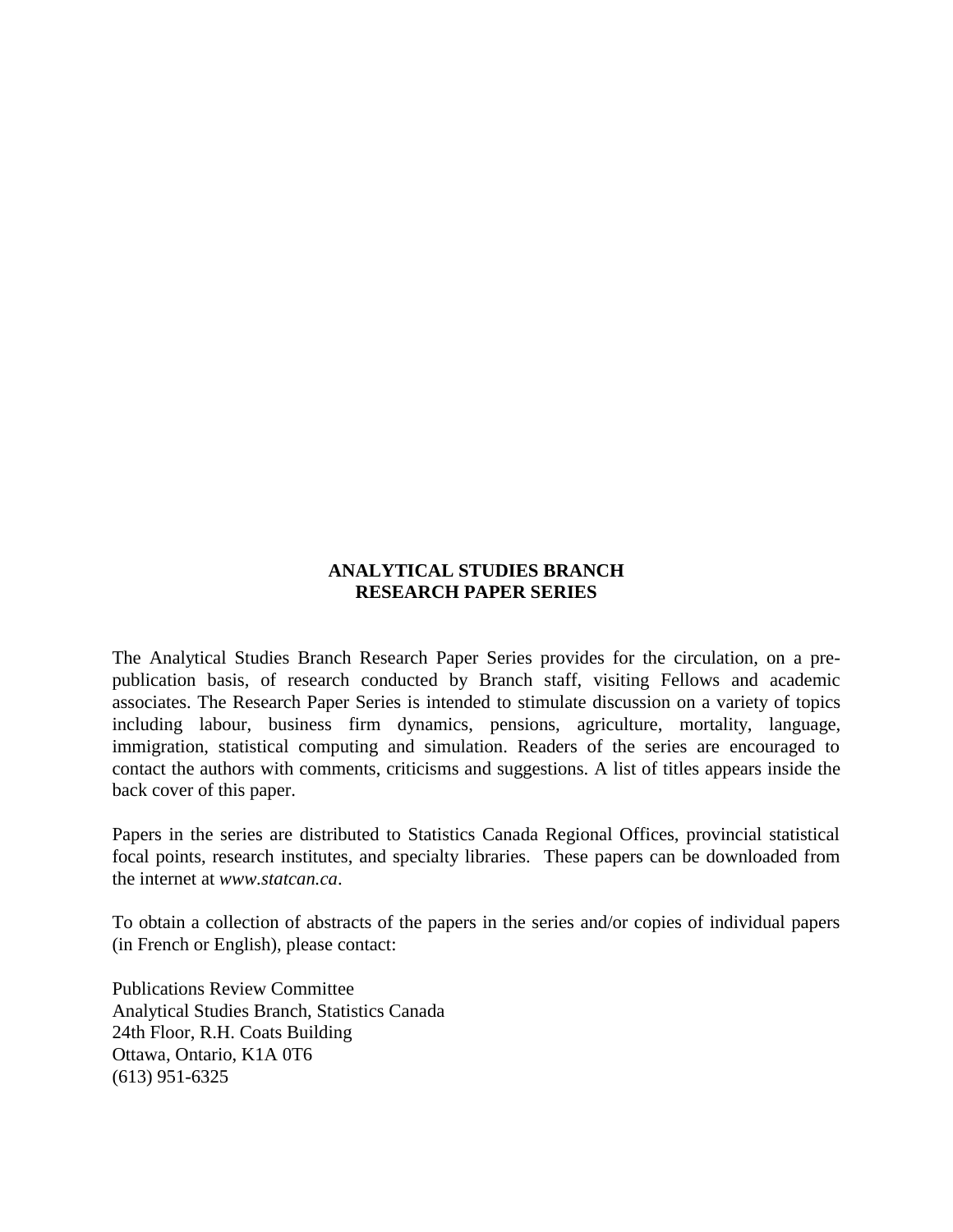#### **ANALYTICAL STUDIES BRANCH RESEARCH PAPER SERIES**

The Analytical Studies Branch Research Paper Series provides for the circulation, on a prepublication basis, of research conducted by Branch staff, visiting Fellows and academic associates. The Research Paper Series is intended to stimulate discussion on a variety of topics including labour, business firm dynamics, pensions, agriculture, mortality, language, immigration, statistical computing and simulation. Readers of the series are encouraged to contact the authors with comments, criticisms and suggestions. A list of titles appears inside the back cover of this paper.

Papers in the series are distributed to Statistics Canada Regional Offices, provincial statistical focal points, research institutes, and specialty libraries. These papers can be downloaded from the internet at *www.statcan.ca*.

To obtain a collection of abstracts of the papers in the series and/or copies of individual papers (in French or English), please contact:

Publications Review Committee Analytical Studies Branch, Statistics Canada 24th Floor, R.H. Coats Building Ottawa, Ontario, K1A 0T6 (613) 951-6325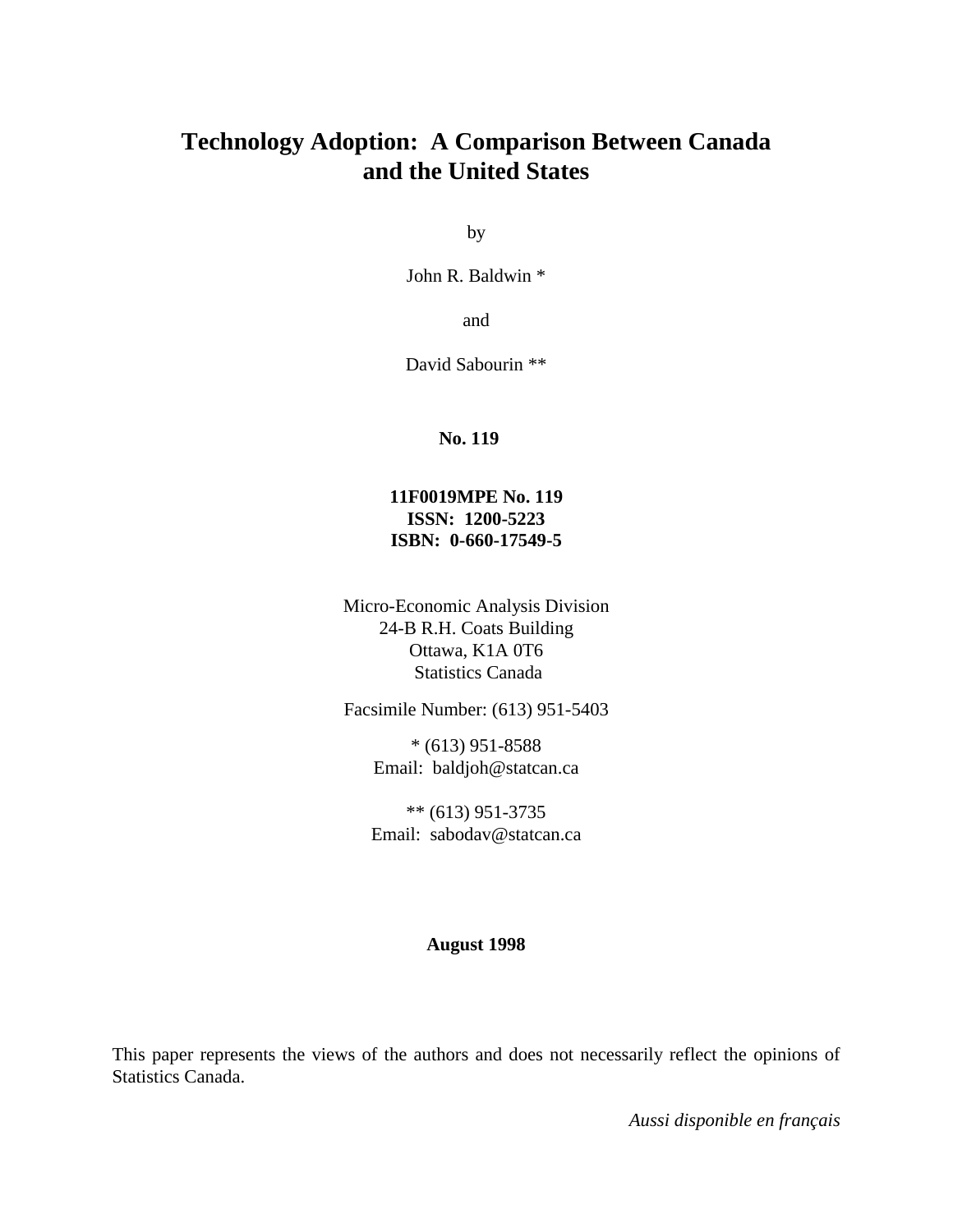## **Technology Adoption: A Comparison Between Canada and the United States**

by

John R. Baldwin \*

and

David Sabourin \*\*

**No. 119**

**11F0019MPE No. 119 ISSN: 1200-5223 ISBN: 0-660-17549-5**

Micro-Economic Analysis Division 24-B R.H. Coats Building Ottawa, K1A 0T6 Statistics Canada

Facsimile Number: (613) 951-5403

 $*(613)$  951-8588 Email: baldjoh@statcan.ca

\*\* (613) 951-3735 Email: sabodav@statcan.ca

#### **August 1998**

This paper represents the views of the authors and does not necessarily reflect the opinions of Statistics Canada.

*Aussi disponible en français*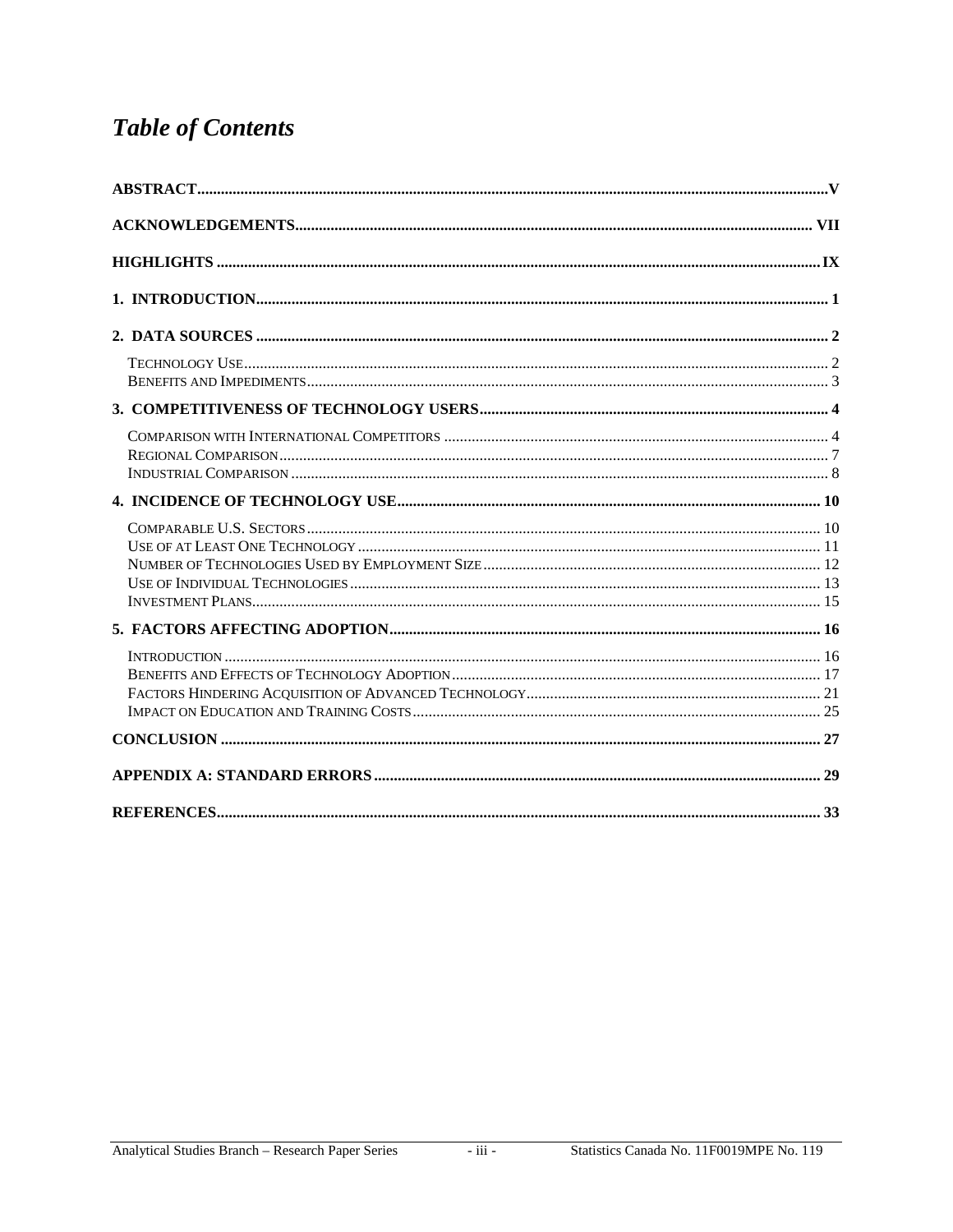# **Table of Contents**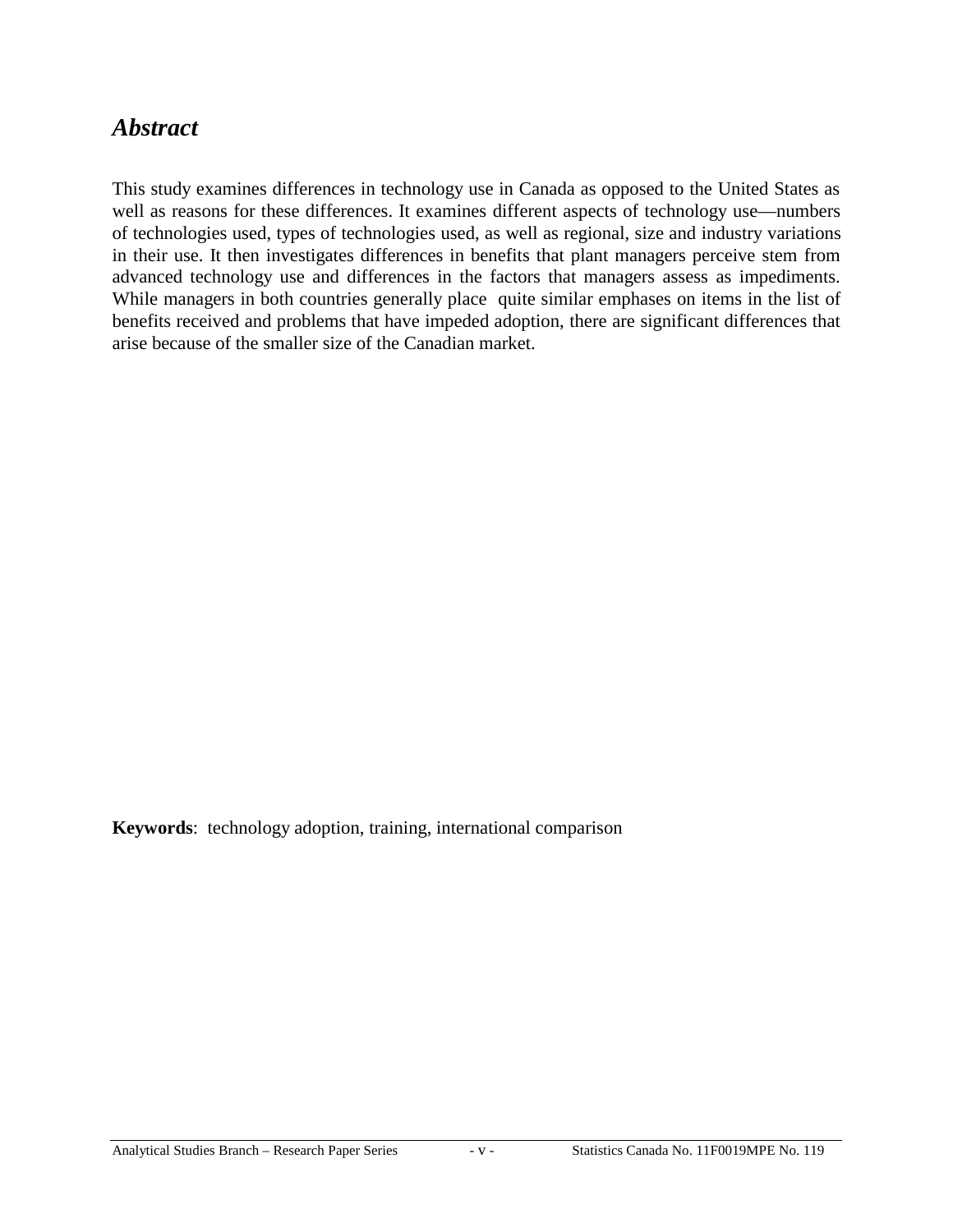# *Abstract*

This study examines differences in technology use in Canada as opposed to the United States as well as reasons for these differences. It examines different aspects of technology use—numbers of technologies used, types of technologies used, as well as regional, size and industry variations in their use. It then investigates differences in benefits that plant managers perceive stem from advanced technology use and differences in the factors that managers assess as impediments. While managers in both countries generally place quite similar emphases on items in the list of benefits received and problems that have impeded adoption, there are significant differences that arise because of the smaller size of the Canadian market.

**Keywords**: technology adoption, training, international comparison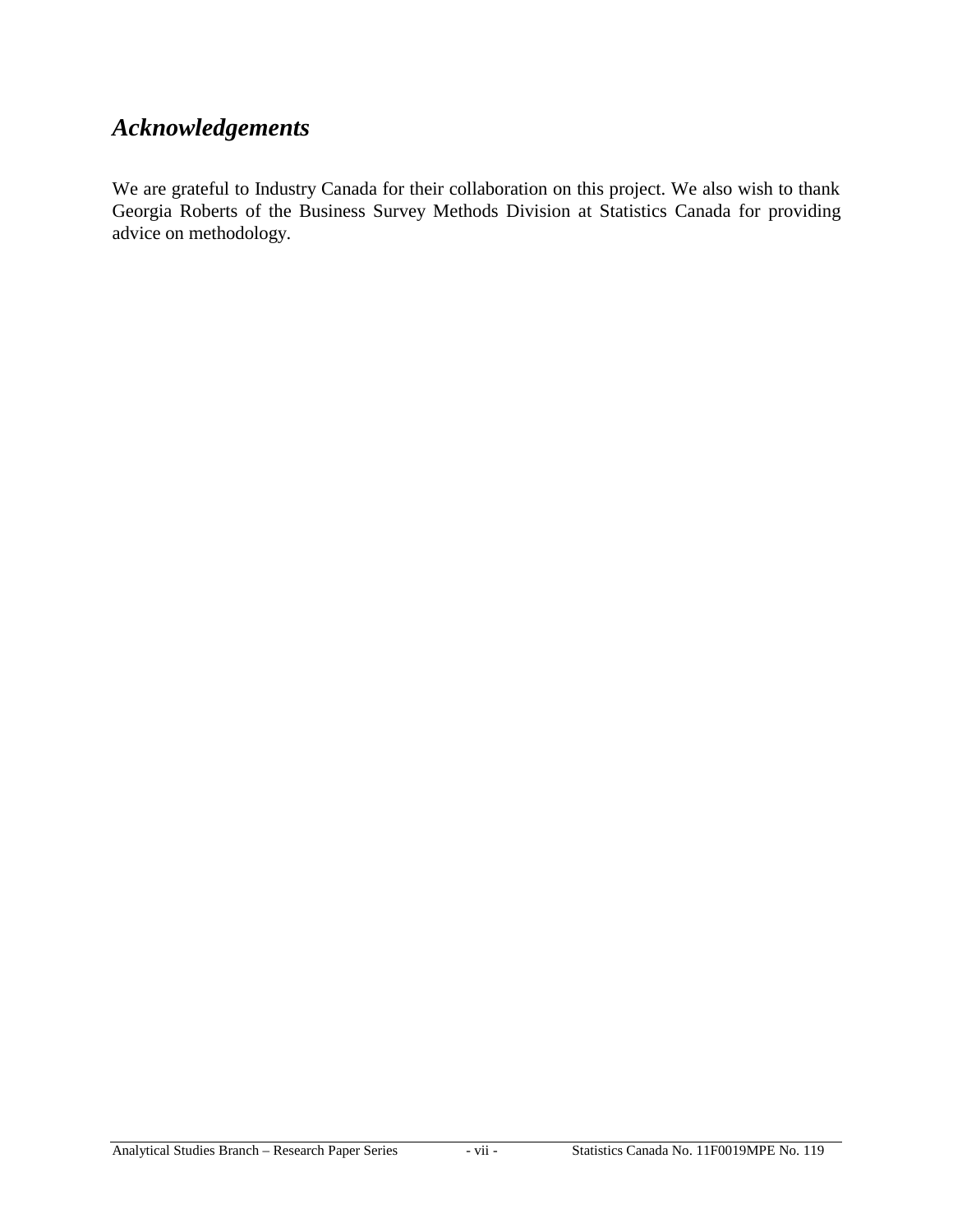# *Acknowledgements*

We are grateful to Industry Canada for their collaboration on this project. We also wish to thank Georgia Roberts of the Business Survey Methods Division at Statistics Canada for providing advice on methodology.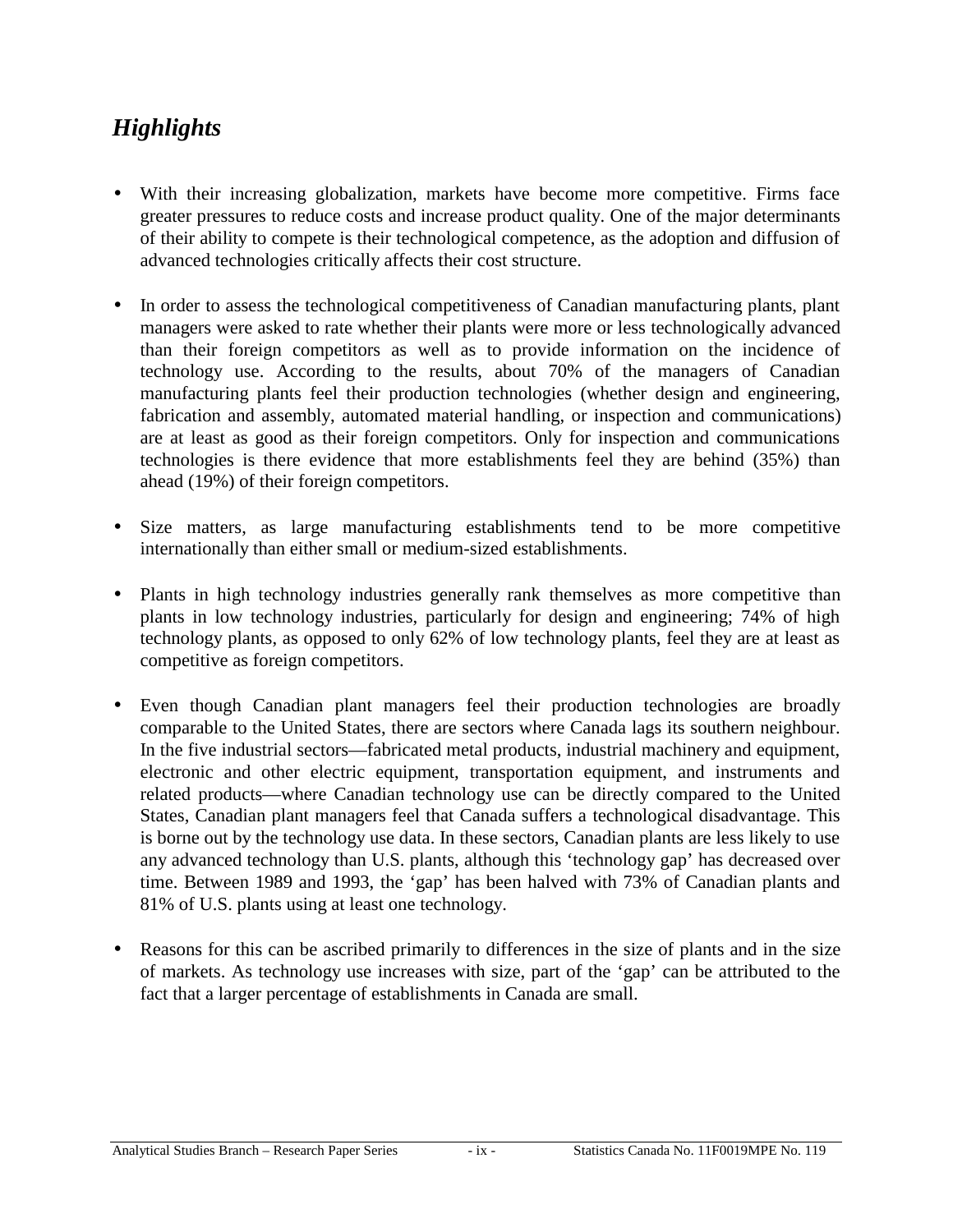# *Highlights*

- With their increasing globalization, markets have become more competitive. Firms face greater pressures to reduce costs and increase product quality. One of the major determinants of their ability to compete is their technological competence, as the adoption and diffusion of advanced technologies critically affects their cost structure.
- In order to assess the technological competitiveness of Canadian manufacturing plants, plant managers were asked to rate whether their plants were more or less technologically advanced than their foreign competitors as well as to provide information on the incidence of technology use. According to the results, about 70% of the managers of Canadian manufacturing plants feel their production technologies (whether design and engineering, fabrication and assembly, automated material handling, or inspection and communications) are at least as good as their foreign competitors. Only for inspection and communications technologies is there evidence that more establishments feel they are behind (35%) than ahead (19%) of their foreign competitors.
- Size matters, as large manufacturing establishments tend to be more competitive internationally than either small or medium-sized establishments.
- Plants in high technology industries generally rank themselves as more competitive than plants in low technology industries, particularly for design and engineering; 74% of high technology plants, as opposed to only 62% of low technology plants, feel they are at least as competitive as foreign competitors.
- Even though Canadian plant managers feel their production technologies are broadly comparable to the United States, there are sectors where Canada lags its southern neighbour. In the five industrial sectors—fabricated metal products, industrial machinery and equipment, electronic and other electric equipment, transportation equipment, and instruments and related products—where Canadian technology use can be directly compared to the United States, Canadian plant managers feel that Canada suffers a technological disadvantage. This is borne out by the technology use data. In these sectors, Canadian plants are less likely to use any advanced technology than U.S. plants, although this 'technology gap' has decreased over time. Between 1989 and 1993, the 'gap' has been halved with 73% of Canadian plants and 81% of U.S. plants using at least one technology.
- Reasons for this can be ascribed primarily to differences in the size of plants and in the size of markets. As technology use increases with size, part of the 'gap' can be attributed to the fact that a larger percentage of establishments in Canada are small.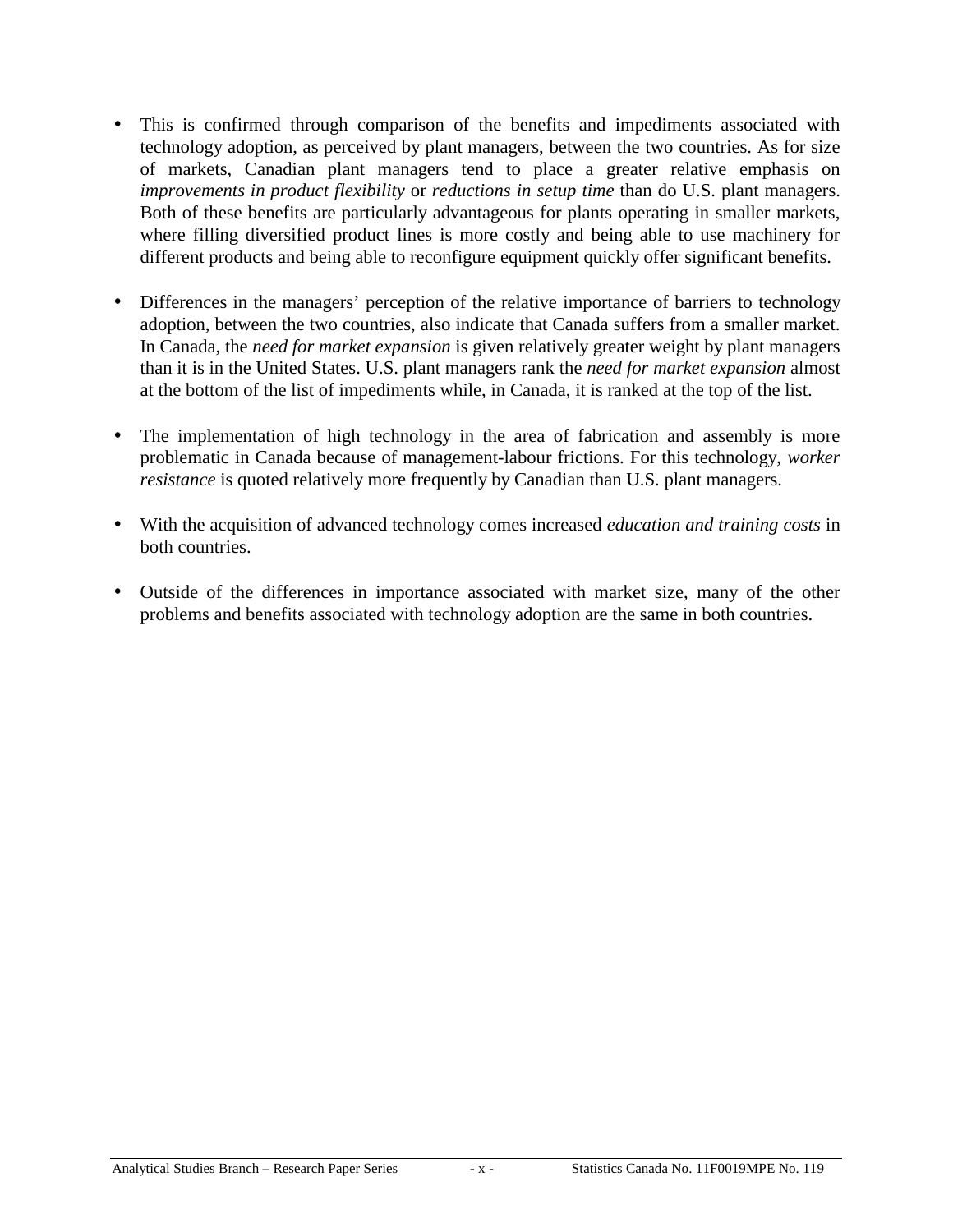- This is confirmed through comparison of the benefits and impediments associated with technology adoption, as perceived by plant managers, between the two countries. As for size of markets, Canadian plant managers tend to place a greater relative emphasis on *improvements in product flexibility* or *reductions in setup time* than do U.S. plant managers. Both of these benefits are particularly advantageous for plants operating in smaller markets, where filling diversified product lines is more costly and being able to use machinery for different products and being able to reconfigure equipment quickly offer significant benefits.
- Differences in the managers' perception of the relative importance of barriers to technology adoption, between the two countries, also indicate that Canada suffers from a smaller market. In Canada, the *need for market expansion* is given relatively greater weight by plant managers than it is in the United States. U.S. plant managers rank the *need for market expansion* almost at the bottom of the list of impediments while, in Canada, it is ranked at the top of the list.
- The implementation of high technology in the area of fabrication and assembly is more problematic in Canada because of management-labour frictions. For this technology, *worker resistance* is quoted relatively more frequently by Canadian than U.S. plant managers.
- With the acquisition of advanced technology comes increased *education and training costs* in both countries.
- Outside of the differences in importance associated with market size, many of the other problems and benefits associated with technology adoption are the same in both countries.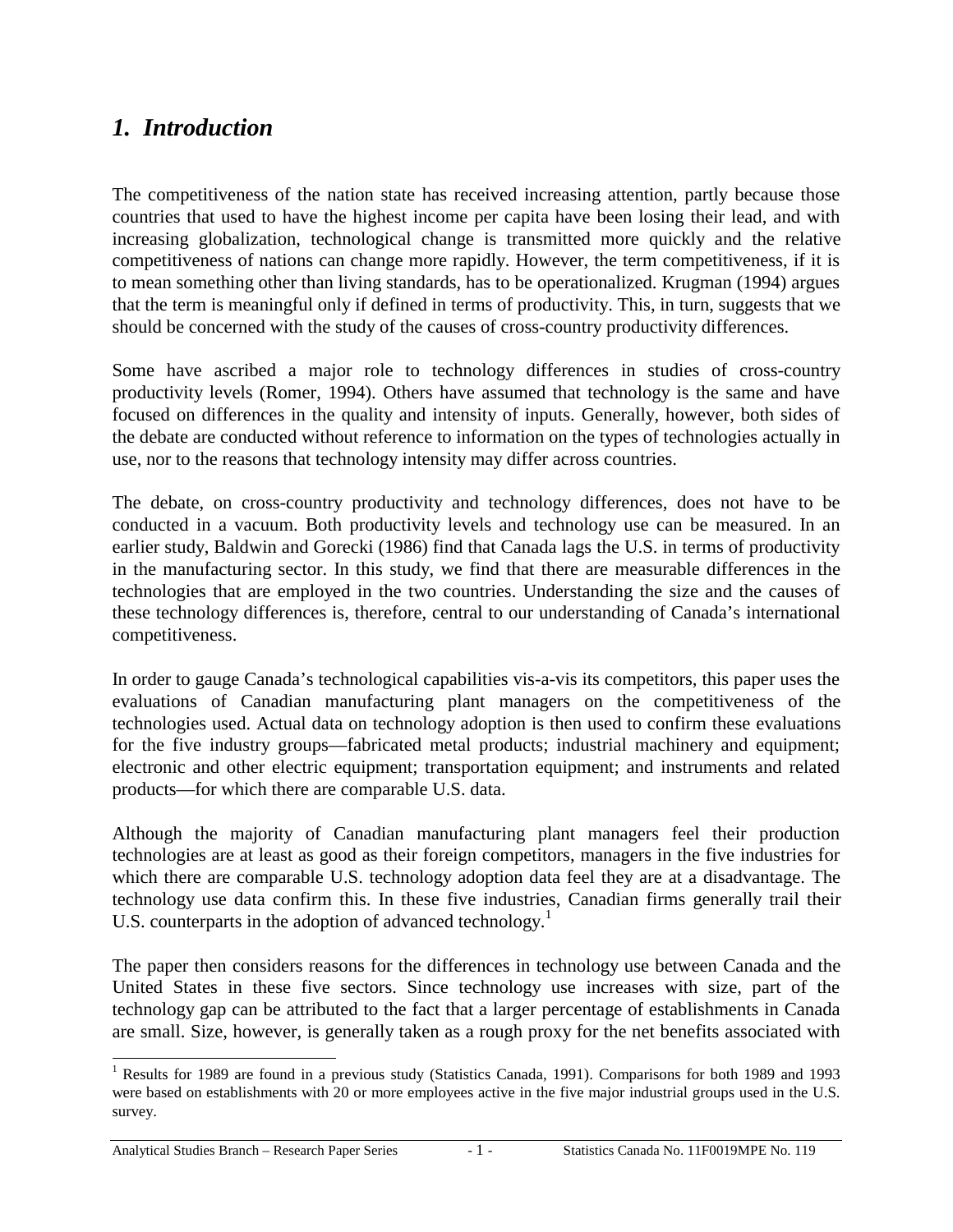## *1. Introduction*

The competitiveness of the nation state has received increasing attention, partly because those countries that used to have the highest income per capita have been losing their lead, and with increasing globalization, technological change is transmitted more quickly and the relative competitiveness of nations can change more rapidly. However, the term competitiveness, if it is to mean something other than living standards, has to be operationalized. Krugman (1994) argues that the term is meaningful only if defined in terms of productivity. This, in turn, suggests that we should be concerned with the study of the causes of cross-country productivity differences.

Some have ascribed a major role to technology differences in studies of cross-country productivity levels (Romer, 1994). Others have assumed that technology is the same and have focused on differences in the quality and intensity of inputs. Generally, however, both sides of the debate are conducted without reference to information on the types of technologies actually in use, nor to the reasons that technology intensity may differ across countries.

The debate, on cross-country productivity and technology differences, does not have to be conducted in a vacuum. Both productivity levels and technology use can be measured. In an earlier study, Baldwin and Gorecki (1986) find that Canada lags the U.S. in terms of productivity in the manufacturing sector. In this study, we find that there are measurable differences in the technologies that are employed in the two countries. Understanding the size and the causes of these technology differences is, therefore, central to our understanding of Canada's international competitiveness.

In order to gauge Canada's technological capabilities vis-a-vis its competitors, this paper uses the evaluations of Canadian manufacturing plant managers on the competitiveness of the technologies used. Actual data on technology adoption is then used to confirm these evaluations for the five industry groups—fabricated metal products; industrial machinery and equipment; electronic and other electric equipment; transportation equipment; and instruments and related products—for which there are comparable U.S. data.

Although the majority of Canadian manufacturing plant managers feel their production technologies are at least as good as their foreign competitors, managers in the five industries for which there are comparable U.S. technology adoption data feel they are at a disadvantage. The technology use data confirm this. In these five industries, Canadian firms generally trail their U.S. counterparts in the adoption of advanced technology.<sup>1</sup>

The paper then considers reasons for the differences in technology use between Canada and the United States in these five sectors. Since technology use increases with size, part of the technology gap can be attributed to the fact that a larger percentage of establishments in Canada are small. Size, however, is generally taken as a rough proxy for the net benefits associated with

 $\overline{a}$ <sup>1</sup> Results for 1989 are found in a previous study (Statistics Canada, 1991). Comparisons for both 1989 and 1993 were based on establishments with 20 or more employees active in the five major industrial groups used in the U.S. survey.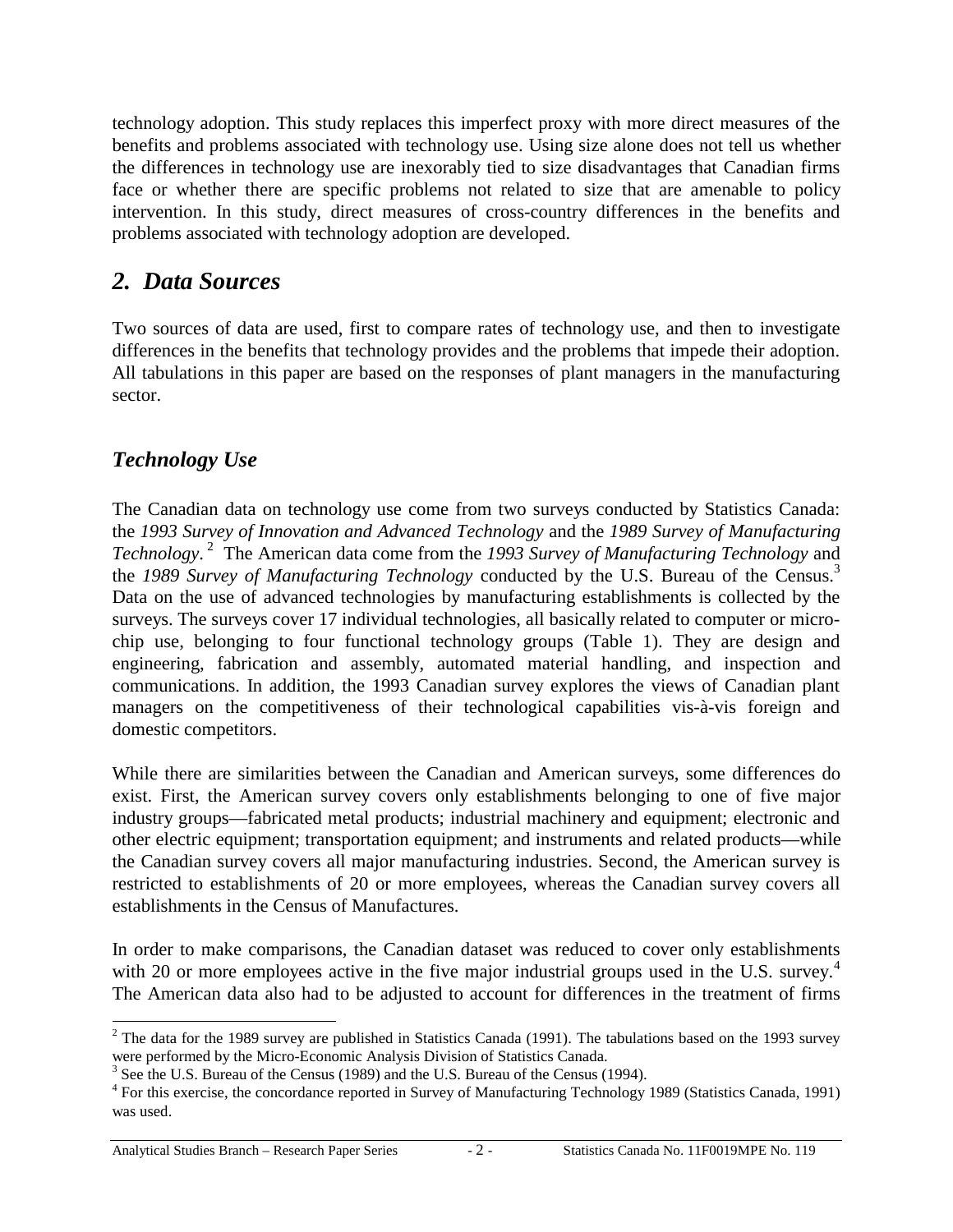technology adoption. This study replaces this imperfect proxy with more direct measures of the benefits and problems associated with technology use. Using size alone does not tell us whether the differences in technology use are inexorably tied to size disadvantages that Canadian firms face or whether there are specific problems not related to size that are amenable to policy intervention. In this study, direct measures of cross-country differences in the benefits and problems associated with technology adoption are developed.

# *2. Data Sources*

Two sources of data are used, first to compare rates of technology use, and then to investigate differences in the benefits that technology provides and the problems that impede their adoption. All tabulations in this paper are based on the responses of plant managers in the manufacturing sector.

## *Technology Use*

The Canadian data on technology use come from two surveys conducted by Statistics Canada: the *1993 Survey of Innovation and Advanced Technology* and the *1989 Survey of Manufacturing* Technology.<sup>2</sup> The American data come from the 1993 Survey of Manufacturing Technology and the *1989 Survey of Manufacturing Technology* conducted by the U.S. Bureau of the Census.<sup>3</sup> Data on the use of advanced technologies by manufacturing establishments is collected by the surveys. The surveys cover 17 individual technologies, all basically related to computer or microchip use, belonging to four functional technology groups (Table 1). They are design and engineering, fabrication and assembly, automated material handling, and inspection and communications. In addition, the 1993 Canadian survey explores the views of Canadian plant managers on the competitiveness of their technological capabilities vis-à-vis foreign and domestic competitors.

While there are similarities between the Canadian and American surveys, some differences do exist. First, the American survey covers only establishments belonging to one of five major industry groups—fabricated metal products; industrial machinery and equipment; electronic and other electric equipment; transportation equipment; and instruments and related products—while the Canadian survey covers all major manufacturing industries. Second, the American survey is restricted to establishments of 20 or more employees, whereas the Canadian survey covers all establishments in the Census of Manufactures.

In order to make comparisons, the Canadian dataset was reduced to cover only establishments with 20 or more employees active in the five major industrial groups used in the U.S. survey.<sup>4</sup> The American data also had to be adjusted to account for differences in the treatment of firms

<sup>&</sup>lt;sup>2</sup> The data for the 1989 survey are published in Statistics Canada (1991). The tabulations based on the 1993 survey were performed by the Micro-Economic Analysis Division of Statistics Canada.

 $3$  See the U.S. Bureau of the Census (1989) and the U.S. Bureau of the Census (1994).

<sup>&</sup>lt;sup>4</sup> For this exercise, the concordance reported in Survey of Manufacturing Technology 1989 (Statistics Canada, 1991) was used.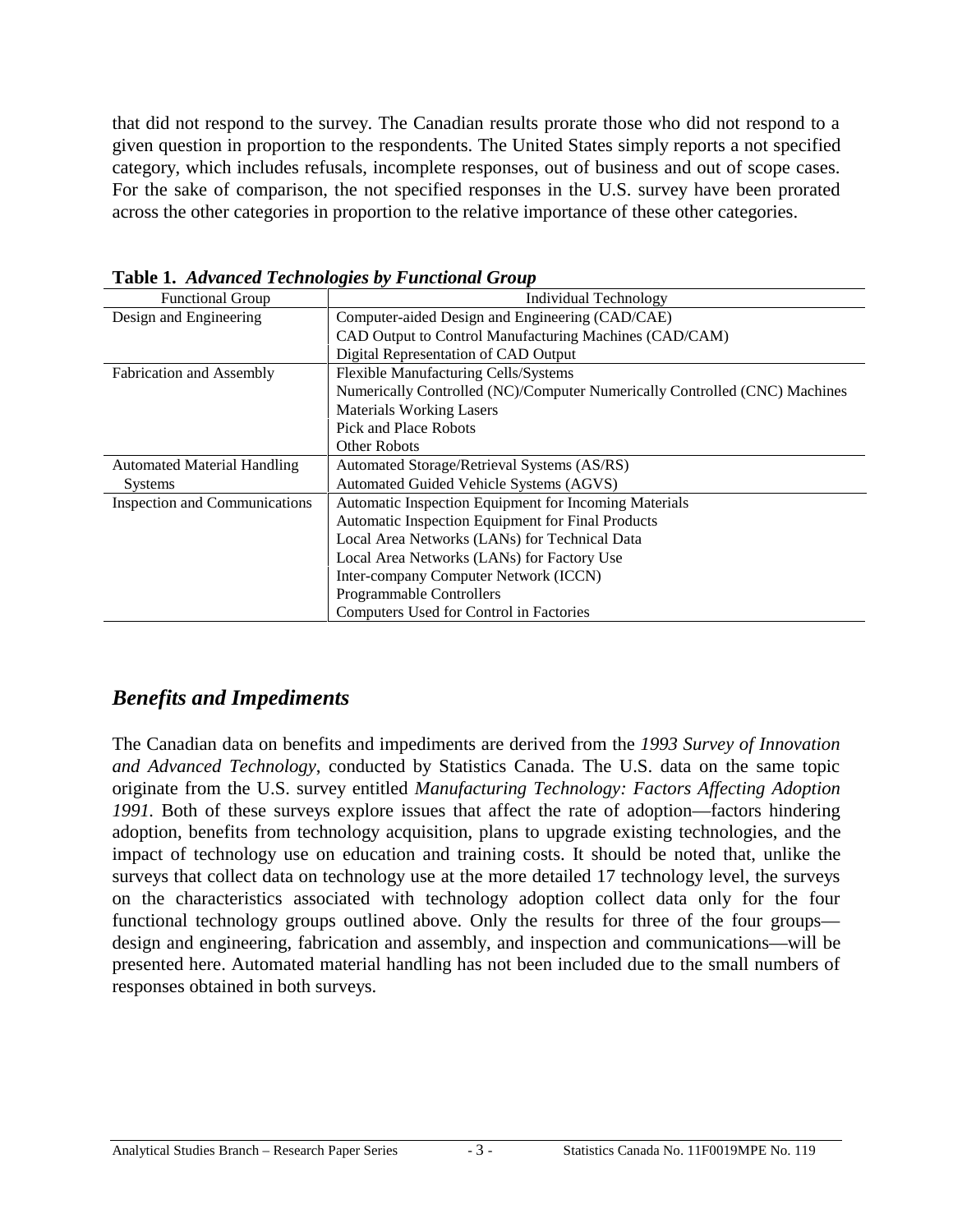that did not respond to the survey. The Canadian results prorate those who did not respond to a given question in proportion to the respondents. The United States simply reports a not specified category, which includes refusals, incomplete responses, out of business and out of scope cases. For the sake of comparison, the not specified responses in the U.S. survey have been prorated across the other categories in proportion to the relative importance of these other categories.

| <b>Functional Group</b>              | <b>Individual Technology</b>                                               |
|--------------------------------------|----------------------------------------------------------------------------|
| Design and Engineering               | Computer-aided Design and Engineering (CAD/CAE)                            |
|                                      | CAD Output to Control Manufacturing Machines (CAD/CAM)                     |
|                                      | Digital Representation of CAD Output                                       |
| <b>Fabrication and Assembly</b>      | Flexible Manufacturing Cells/Systems                                       |
|                                      | Numerically Controlled (NC)/Computer Numerically Controlled (CNC) Machines |
|                                      | <b>Materials Working Lasers</b>                                            |
|                                      | Pick and Place Robots                                                      |
|                                      | Other Robots                                                               |
| <b>Automated Material Handling</b>   | Automated Storage/Retrieval Systems (AS/RS)                                |
| <b>Systems</b>                       | Automated Guided Vehicle Systems (AGVS)                                    |
| <b>Inspection and Communications</b> | Automatic Inspection Equipment for Incoming Materials                      |
|                                      | Automatic Inspection Equipment for Final Products                          |
|                                      | Local Area Networks (LANs) for Technical Data                              |
|                                      | Local Area Networks (LANs) for Factory Use                                 |
|                                      | Inter-company Computer Network (ICCN)                                      |
|                                      | Programmable Controllers                                                   |
|                                      | Computers Used for Control in Factories                                    |

**Table 1.** *Advanced Technologies by Functional Group*

## *Benefits and Impediments*

The Canadian data on benefits and impediments are derived from the *1993 Survey of Innovation and Advanced Technology*, conducted by Statistics Canada. The U.S. data on the same topic originate from the U.S. survey entitled *Manufacturing Technology: Factors Affecting Adoption 1991.* Both of these surveys explore issues that affect the rate of adoption—factors hindering adoption, benefits from technology acquisition, plans to upgrade existing technologies, and the impact of technology use on education and training costs. It should be noted that, unlike the surveys that collect data on technology use at the more detailed 17 technology level, the surveys on the characteristics associated with technology adoption collect data only for the four functional technology groups outlined above. Only the results for three of the four groups design and engineering, fabrication and assembly, and inspection and communications—will be presented here. Automated material handling has not been included due to the small numbers of responses obtained in both surveys.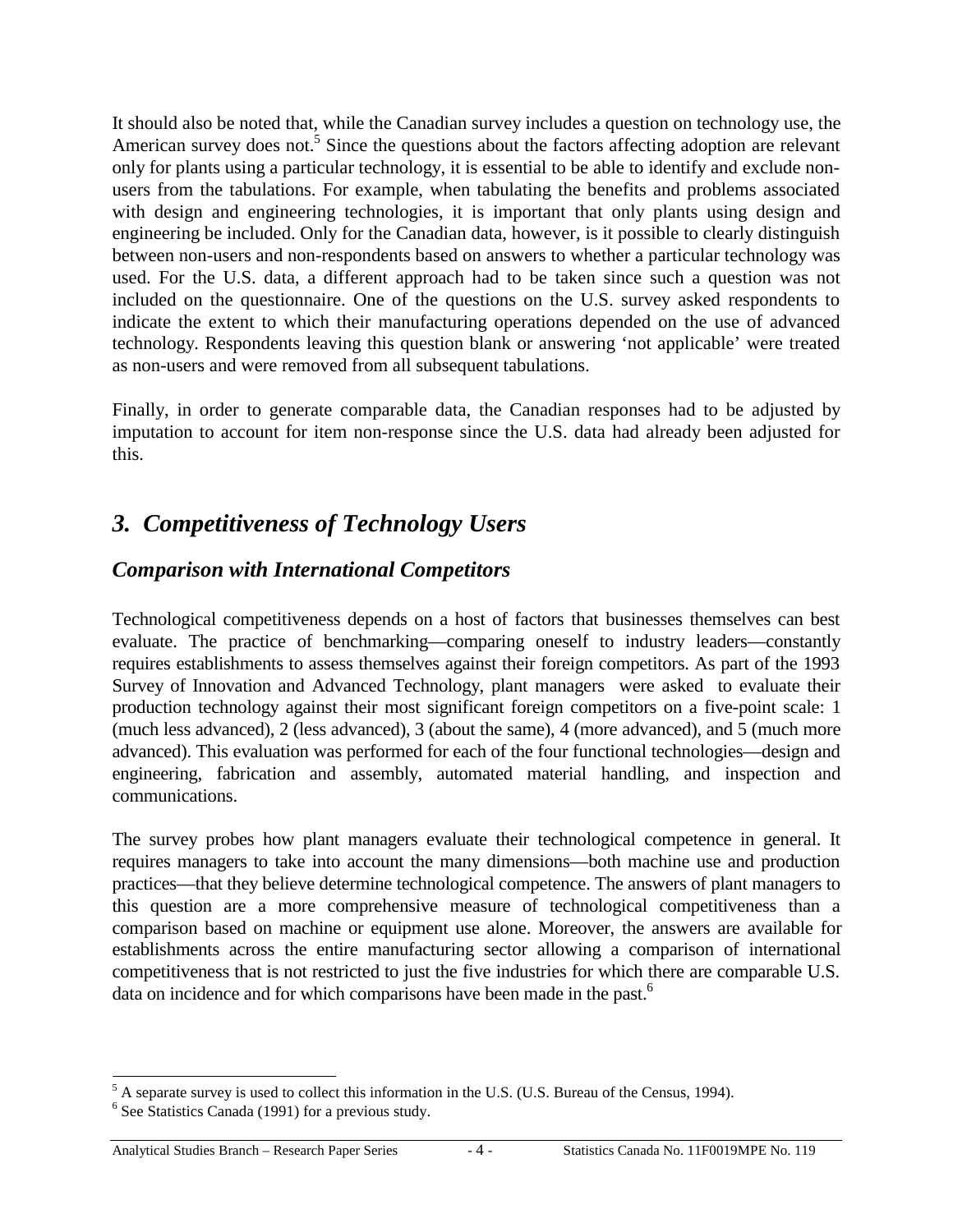It should also be noted that, while the Canadian survey includes a question on technology use, the American survey does not.<sup>5</sup> Since the questions about the factors affecting adoption are relevant only for plants using a particular technology, it is essential to be able to identify and exclude nonusers from the tabulations. For example, when tabulating the benefits and problems associated with design and engineering technologies, it is important that only plants using design and engineering be included. Only for the Canadian data, however, is it possible to clearly distinguish between non-users and non-respondents based on answers to whether a particular technology was used. For the U.S. data, a different approach had to be taken since such a question was not included on the questionnaire. One of the questions on the U.S. survey asked respondents to indicate the extent to which their manufacturing operations depended on the use of advanced technology. Respondents leaving this question blank or answering 'not applicable' were treated as non-users and were removed from all subsequent tabulations.

Finally, in order to generate comparable data, the Canadian responses had to be adjusted by imputation to account for item non-response since the U.S. data had already been adjusted for this.

# *3. Competitiveness of Technology Users*

### *Comparison with International Competitors*

Technological competitiveness depends on a host of factors that businesses themselves can best evaluate. The practice of benchmarking—comparing oneself to industry leaders—constantly requires establishments to assess themselves against their foreign competitors. As part of the 1993 Survey of Innovation and Advanced Technology, plant managers were asked to evaluate their production technology against their most significant foreign competitors on a five-point scale: 1 (much less advanced), 2 (less advanced), 3 (about the same), 4 (more advanced), and 5 (much more advanced). This evaluation was performed for each of the four functional technologies—design and engineering, fabrication and assembly, automated material handling, and inspection and communications.

The survey probes how plant managers evaluate their technological competence in general. It requires managers to take into account the many dimensions—both machine use and production practices—that they believe determine technological competence. The answers of plant managers to this question are a more comprehensive measure of technological competitiveness than a comparison based on machine or equipment use alone. Moreover, the answers are available for establishments across the entire manufacturing sector allowing a comparison of international competitiveness that is not restricted to just the five industries for which there are comparable U.S. data on incidence and for which comparisons have been made in the past.<sup>6</sup>

<sup>&</sup>lt;sup>5</sup> A separate survey is used to collect this information in the U.S. (U.S. Bureau of the Census, 1994).

<sup>&</sup>lt;sup>6</sup> See Statistics Canada (1991) for a previous study.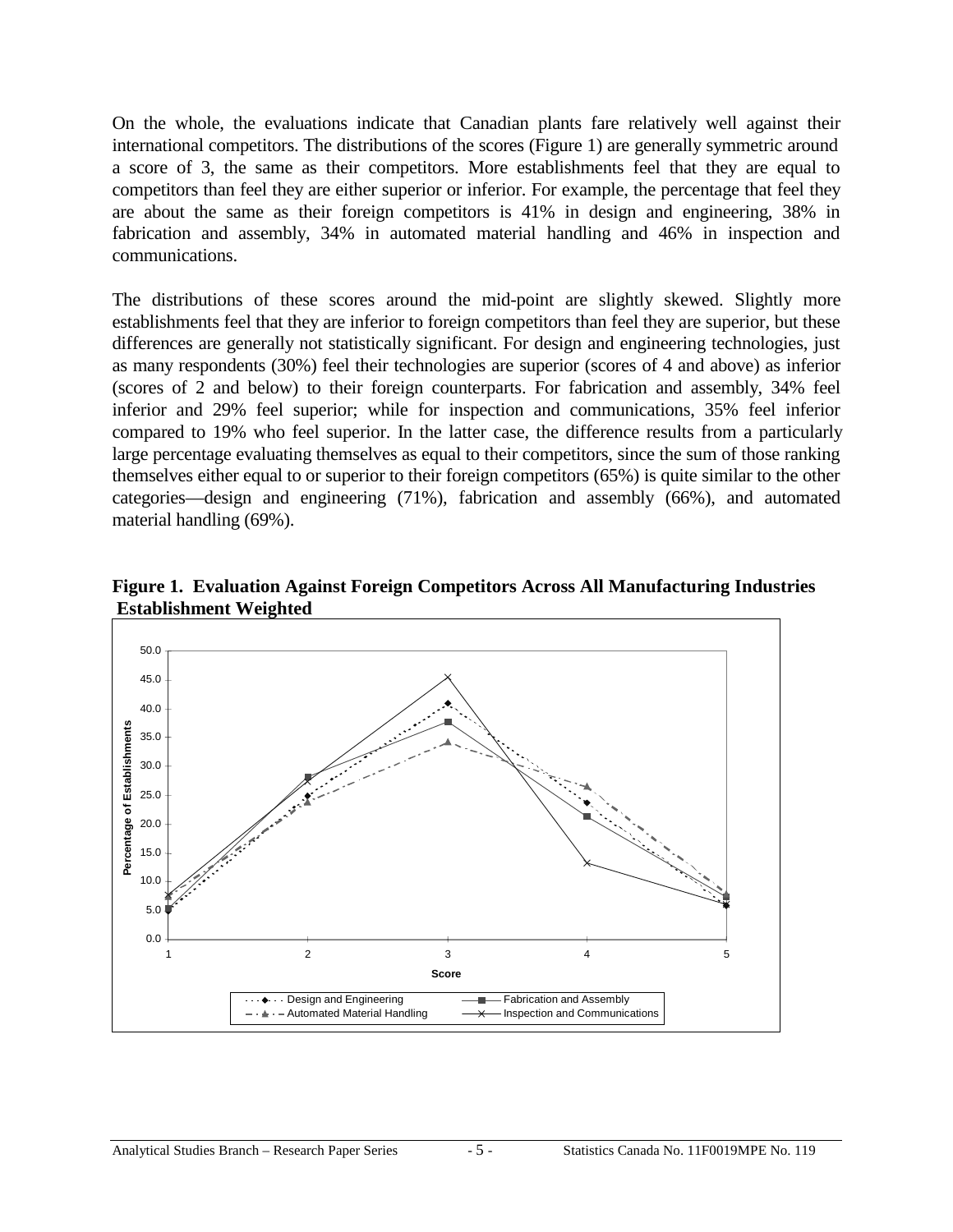On the whole, the evaluations indicate that Canadian plants fare relatively well against their international competitors. The distributions of the scores (Figure 1) are generally symmetric around a score of 3, the same as their competitors. More establishments feel that they are equal to competitors than feel they are either superior or inferior. For example, the percentage that feel they are about the same as their foreign competitors is 41% in design and engineering, 38% in fabrication and assembly, 34% in automated material handling and 46% in inspection and communications.

The distributions of these scores around the mid-point are slightly skewed. Slightly more establishments feel that they are inferior to foreign competitors than feel they are superior, but these differences are generally not statistically significant. For design and engineering technologies, just as many respondents (30%) feel their technologies are superior (scores of 4 and above) as inferior (scores of 2 and below) to their foreign counterparts. For fabrication and assembly, 34% feel inferior and 29% feel superior; while for inspection and communications, 35% feel inferior compared to 19% who feel superior. In the latter case, the difference results from a particularly large percentage evaluating themselves as equal to their competitors, since the sum of those ranking themselves either equal to or superior to their foreign competitors (65%) is quite similar to the other categories—design and engineering (71%), fabrication and assembly (66%), and automated material handling (69%).



**Figure 1. Evaluation Against Foreign Competitors Across All Manufacturing Industries Establishment Weighted**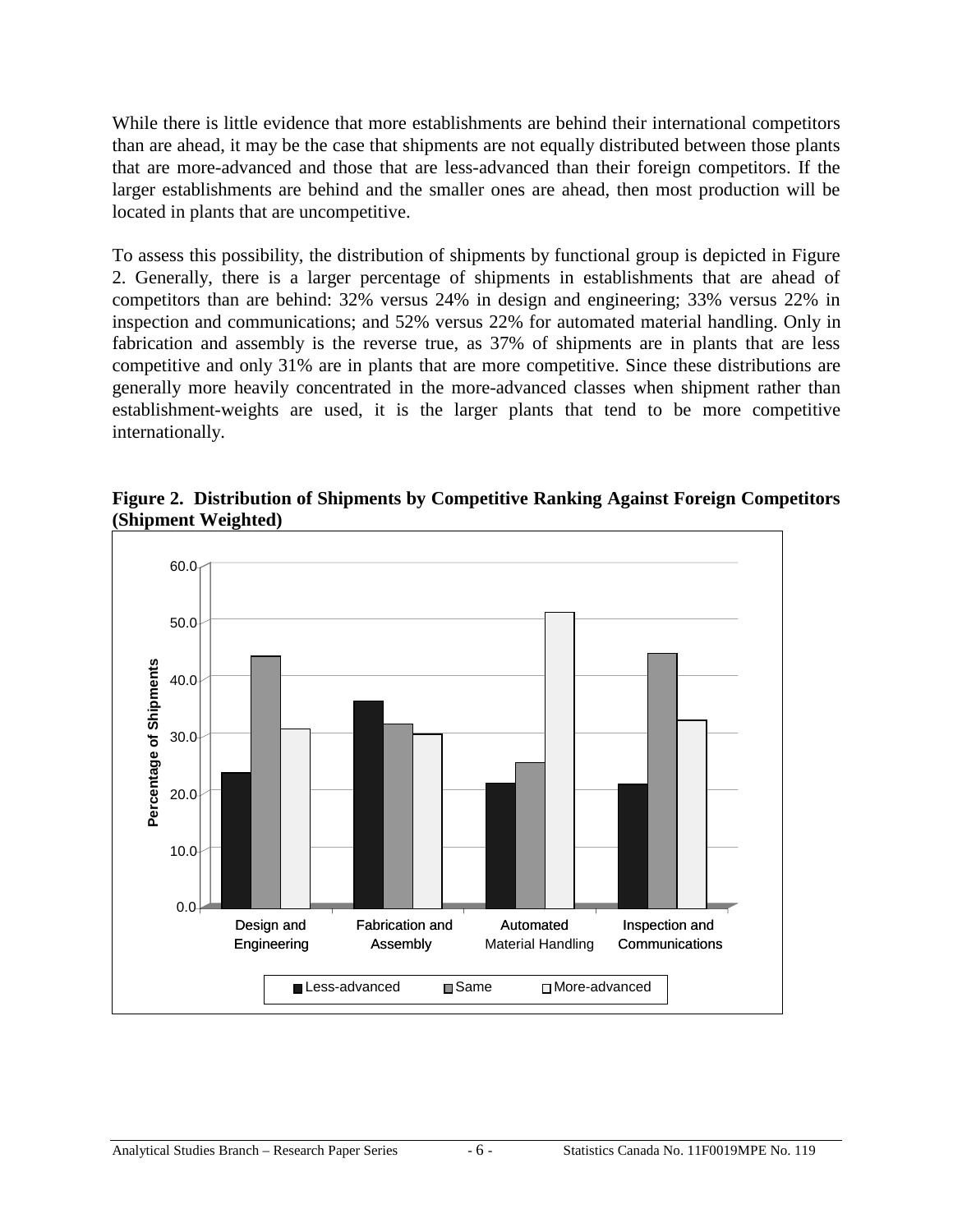While there is little evidence that more establishments are behind their international competitors than are ahead, it may be the case that shipments are not equally distributed between those plants that are more-advanced and those that are less-advanced than their foreign competitors. If the larger establishments are behind and the smaller ones are ahead, then most production will be located in plants that are uncompetitive.

To assess this possibility, the distribution of shipments by functional group is depicted in Figure 2. Generally, there is a larger percentage of shipments in establishments that are ahead of competitors than are behind: 32% versus 24% in design and engineering; 33% versus 22% in inspection and communications; and 52% versus 22% for automated material handling. Only in fabrication and assembly is the reverse true, as 37% of shipments are in plants that are less competitive and only 31% are in plants that are more competitive. Since these distributions are generally more heavily concentrated in the more-advanced classes when shipment rather than establishment-weights are used, it is the larger plants that tend to be more competitive internationally.



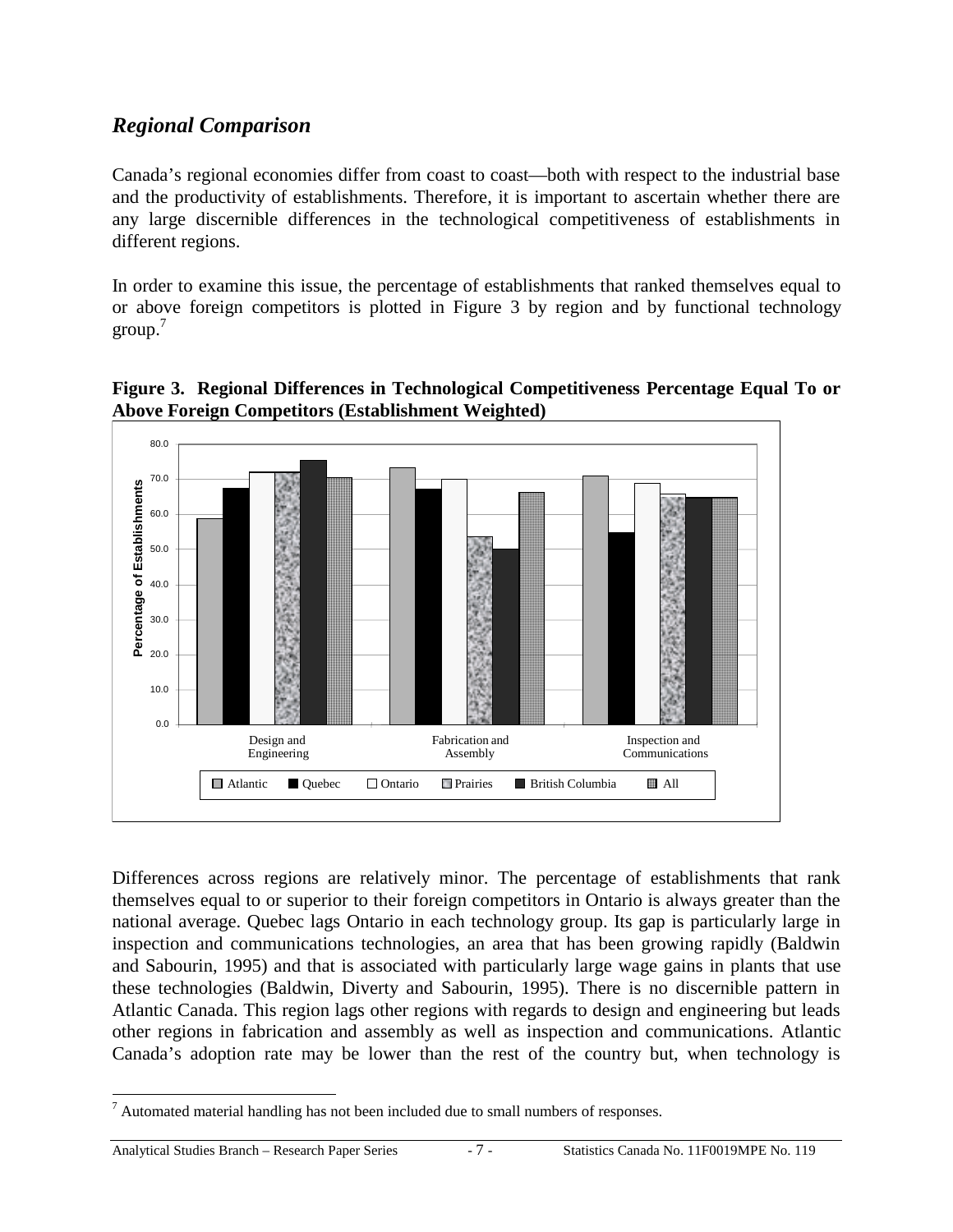## *Regional Comparison*

Canada's regional economies differ from coast to coast—both with respect to the industrial base and the productivity of establishments. Therefore, it is important to ascertain whether there are any large discernible differences in the technological competitiveness of establishments in different regions.

In order to examine this issue, the percentage of establishments that ranked themselves equal to or above foreign competitors is plotted in Figure 3 by region and by functional technology  $\text{group}^7$ 





Differences across regions are relatively minor. The percentage of establishments that rank themselves equal to or superior to their foreign competitors in Ontario is always greater than the national average. Quebec lags Ontario in each technology group. Its gap is particularly large in inspection and communications technologies, an area that has been growing rapidly (Baldwin and Sabourin, 1995) and that is associated with particularly large wage gains in plants that use these technologies (Baldwin, Diverty and Sabourin, 1995). There is no discernible pattern in Atlantic Canada. This region lags other regions with regards to design and engineering but leads other regions in fabrication and assembly as well as inspection and communications. Atlantic Canada's adoption rate may be lower than the rest of the country but, when technology is

 $\overline{a}$  $<sup>7</sup>$  Automated material handling has not been included due to small numbers of responses.</sup>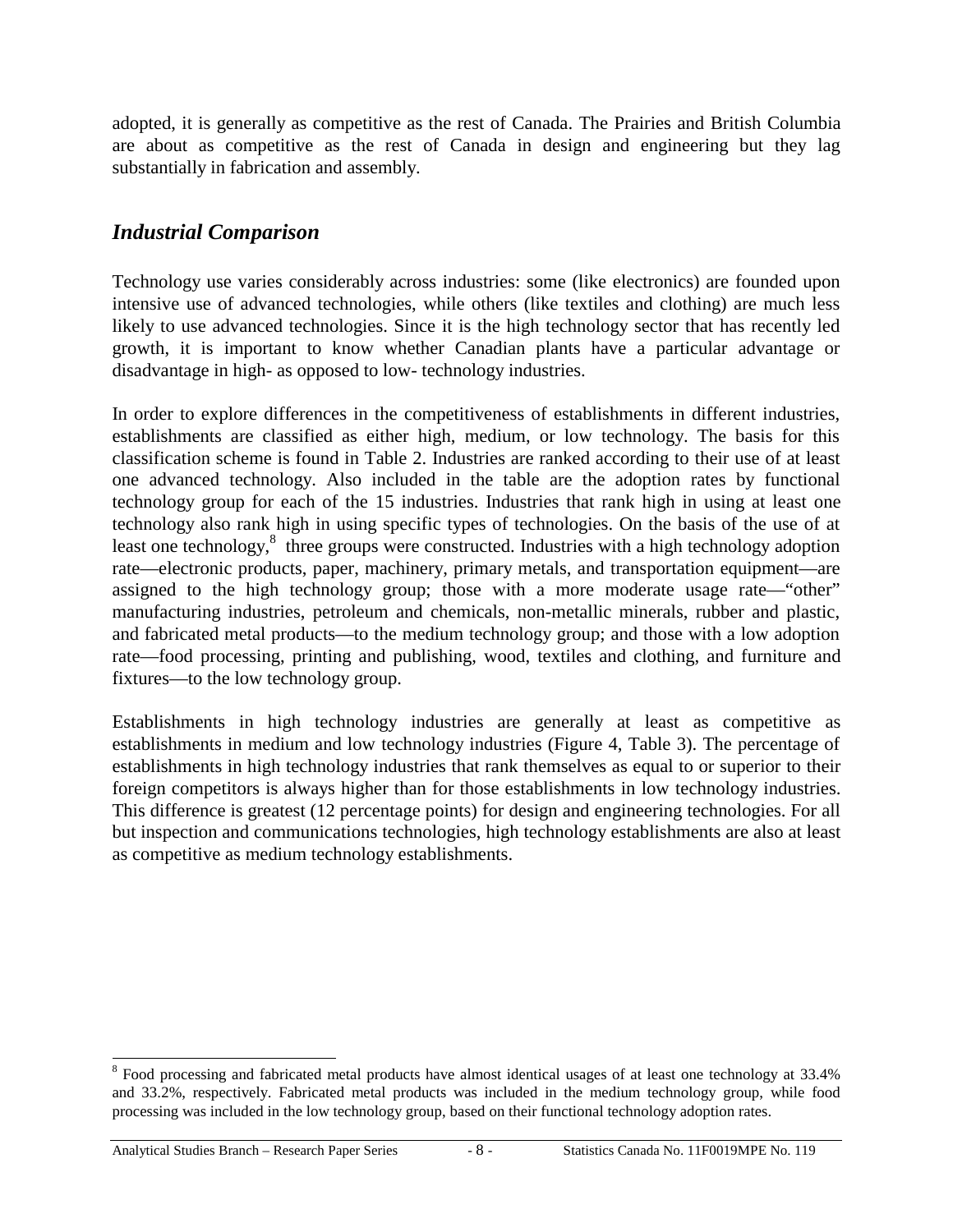adopted, it is generally as competitive as the rest of Canada. The Prairies and British Columbia are about as competitive as the rest of Canada in design and engineering but they lag substantially in fabrication and assembly.

### *Industrial Comparison*

Technology use varies considerably across industries: some (like electronics) are founded upon intensive use of advanced technologies, while others (like textiles and clothing) are much less likely to use advanced technologies. Since it is the high technology sector that has recently led growth, it is important to know whether Canadian plants have a particular advantage or disadvantage in high- as opposed to low- technology industries.

In order to explore differences in the competitiveness of establishments in different industries, establishments are classified as either high, medium, or low technology. The basis for this classification scheme is found in Table 2. Industries are ranked according to their use of at least one advanced technology. Also included in the table are the adoption rates by functional technology group for each of the 15 industries. Industries that rank high in using at least one technology also rank high in using specific types of technologies. On the basis of the use of at least one technology,<sup>8</sup> three groups were constructed. Industries with a high technology adoption rate—electronic products, paper, machinery, primary metals, and transportation equipment—are assigned to the high technology group; those with a more moderate usage rate—"other" manufacturing industries, petroleum and chemicals, non-metallic minerals, rubber and plastic, and fabricated metal products—to the medium technology group; and those with a low adoption rate—food processing, printing and publishing, wood, textiles and clothing, and furniture and fixtures—to the low technology group.

Establishments in high technology industries are generally at least as competitive as establishments in medium and low technology industries (Figure 4, Table 3). The percentage of establishments in high technology industries that rank themselves as equal to or superior to their foreign competitors is always higher than for those establishments in low technology industries. This difference is greatest (12 percentage points) for design and engineering technologies. For all but inspection and communications technologies, high technology establishments are also at least as competitive as medium technology establishments.

 $\overline{a}$ <sup>8</sup> Food processing and fabricated metal products have almost identical usages of at least one technology at 33.4% and 33.2%, respectively. Fabricated metal products was included in the medium technology group, while food processing was included in the low technology group, based on their functional technology adoption rates.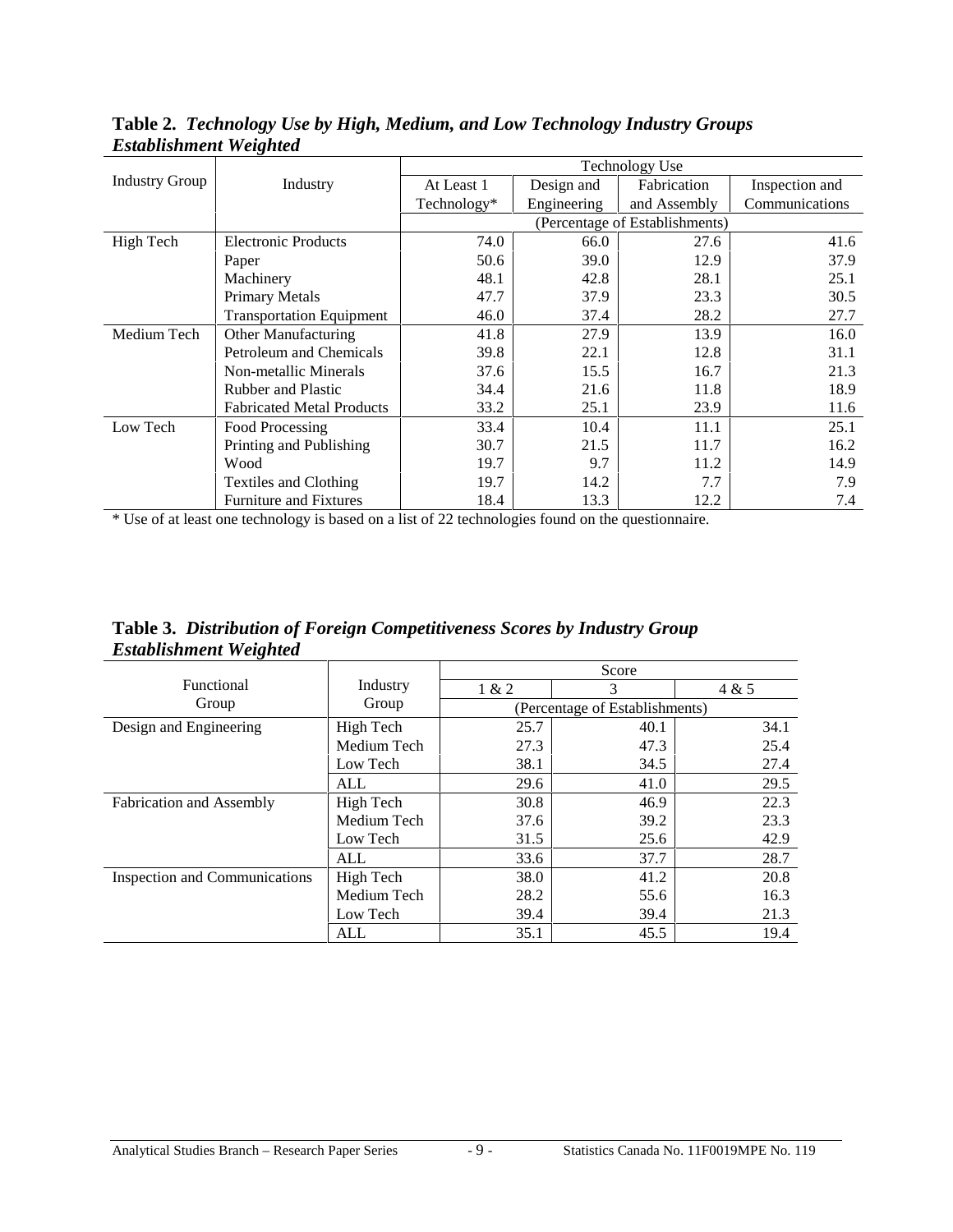|                       |                                  | Technology Use |             |                                |                |  |  |  |  |
|-----------------------|----------------------------------|----------------|-------------|--------------------------------|----------------|--|--|--|--|
| <b>Industry Group</b> | Industry                         | At Least 1     | Design and  | Fabrication                    | Inspection and |  |  |  |  |
|                       |                                  | Technology*    | Engineering | and Assembly                   | Communications |  |  |  |  |
|                       |                                  |                |             | (Percentage of Establishments) |                |  |  |  |  |
| High Tech             | <b>Electronic Products</b>       | 74.0           | 66.0        | 27.6                           | 41.6           |  |  |  |  |
|                       | Paper                            | 50.6           | 39.0        | 12.9                           | 37.9           |  |  |  |  |
|                       | Machinery                        | 48.1           | 42.8        | 28.1                           | 25.1           |  |  |  |  |
|                       | <b>Primary Metals</b>            | 47.7           | 37.9        | 23.3                           | 30.5           |  |  |  |  |
|                       | <b>Transportation Equipment</b>  | 46.0           | 37.4        | 28.2                           | 27.7           |  |  |  |  |
| Medium Tech           | <b>Other Manufacturing</b>       | 41.8           | 27.9        | 13.9                           | 16.0           |  |  |  |  |
|                       | Petroleum and Chemicals          | 39.8           | 22.1        | 12.8                           | 31.1           |  |  |  |  |
|                       | Non-metallic Minerals            | 37.6           | 15.5        | 16.7                           | 21.3           |  |  |  |  |
|                       | <b>Rubber and Plastic</b>        | 34.4           | 21.6        | 11.8                           | 18.9           |  |  |  |  |
|                       | <b>Fabricated Metal Products</b> | 33.2           | 25.1        | 23.9                           | 11.6           |  |  |  |  |
| Low Tech              | Food Processing                  | 33.4           | 10.4        | 11.1                           | 25.1           |  |  |  |  |
|                       | Printing and Publishing          | 30.7           | 21.5        | 11.7                           | 16.2           |  |  |  |  |
|                       | Wood                             | 19.7           | 9.7         | 11.2                           | 14.9           |  |  |  |  |
|                       | <b>Textiles and Clothing</b>     | 19.7           | 14.2        | 7.7                            | 7.9            |  |  |  |  |
|                       | <b>Furniture and Fixtures</b>    | 18.4           | 13.3        | 12.2                           | 7.4            |  |  |  |  |

**Table 2.** *Technology Use by High, Medium, and Low Technology Industry Groups Establishment Weighted*

\* Use of at least one technology is based on a list of 22 technologies found on the questionnaire.

| Table 3. Distribution of Foreign Competitiveness Scores by Industry Group |  |  |
|---------------------------------------------------------------------------|--|--|
| <b>Establishment Weighted</b>                                             |  |  |

|                                 |             |       | Score                          |       |
|---------------------------------|-------------|-------|--------------------------------|-------|
| <b>Functional</b>               | Industry    | 1 & 2 | 3                              | 4 & 5 |
| Group                           | Group       |       | (Percentage of Establishments) |       |
| Design and Engineering          | High Tech   | 25.7  | 40.1                           | 34.1  |
|                                 | Medium Tech | 27.3  | 47.3                           | 25.4  |
|                                 | Low Tech    | 38.1  | 34.5                           | 27.4  |
|                                 | <b>ALL</b>  | 29.6  | 41.0                           | 29.5  |
| <b>Fabrication and Assembly</b> | High Tech   | 30.8  | 46.9                           | 22.3  |
|                                 | Medium Tech | 37.6  | 39.2                           | 23.3  |
|                                 | Low Tech    | 31.5  | 25.6                           | 42.9  |
|                                 | <b>ALL</b>  | 33.6  | 37.7                           | 28.7  |
| Inspection and Communications   | High Tech   | 38.0  | 41.2                           | 20.8  |
|                                 | Medium Tech | 28.2  | 55.6                           | 16.3  |
|                                 | Low Tech    | 39.4  | 39.4                           | 21.3  |
|                                 | <b>ALL</b>  | 35.1  | 45.5                           | 19.4  |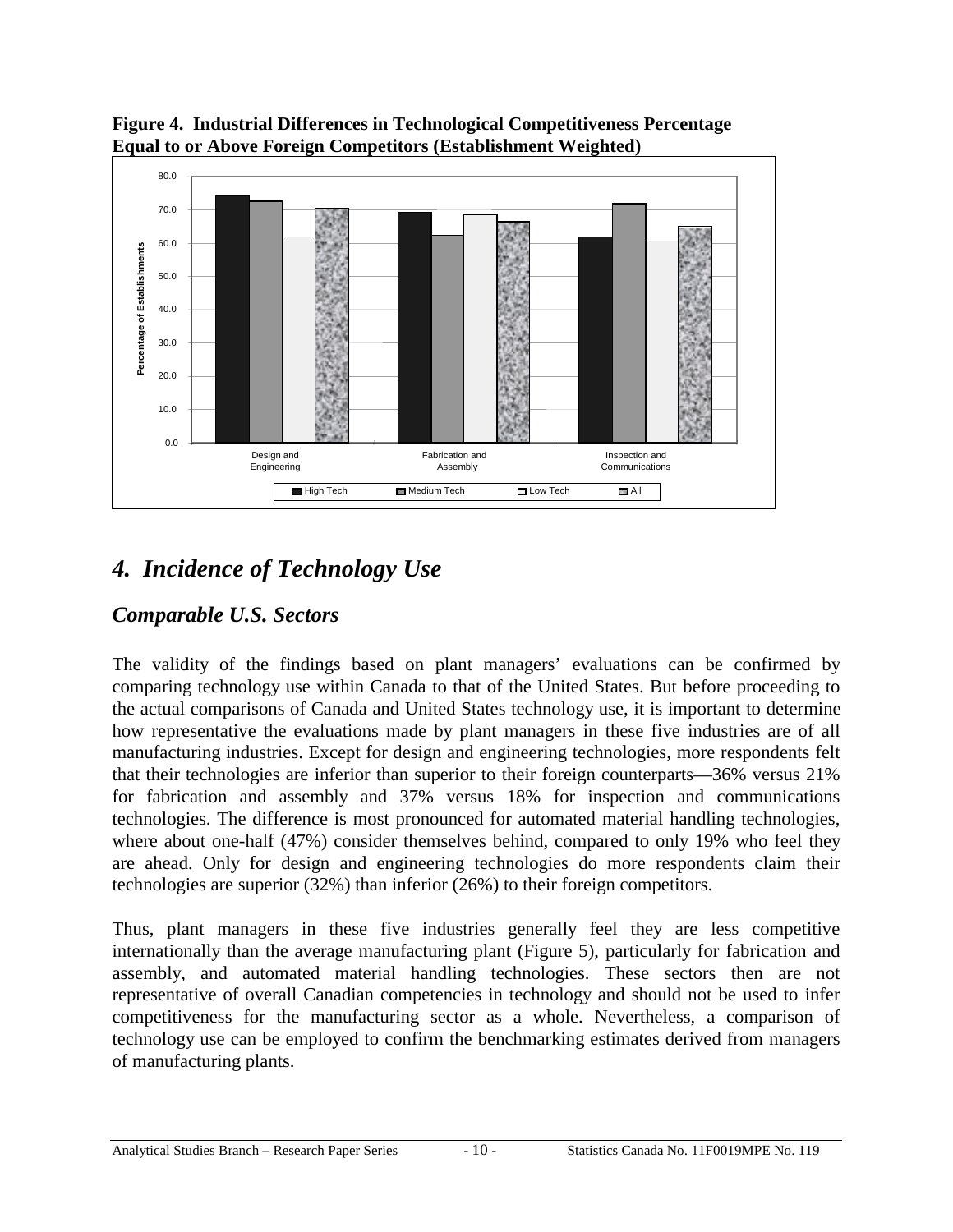

**Figure 4. Industrial Differences in Technological Competitiveness Percentage Equal to or Above Foreign Competitors (Establishment Weighted)**

# *4. Incidence of Technology Use*

## *Comparable U.S. Sectors*

The validity of the findings based on plant managers' evaluations can be confirmed by comparing technology use within Canada to that of the United States. But before proceeding to the actual comparisons of Canada and United States technology use, it is important to determine how representative the evaluations made by plant managers in these five industries are of all manufacturing industries. Except for design and engineering technologies, more respondents felt that their technologies are inferior than superior to their foreign counterparts—36% versus 21% for fabrication and assembly and 37% versus 18% for inspection and communications technologies. The difference is most pronounced for automated material handling technologies, where about one-half (47%) consider themselves behind, compared to only 19% who feel they are ahead. Only for design and engineering technologies do more respondents claim their technologies are superior (32%) than inferior (26%) to their foreign competitors.

Thus, plant managers in these five industries generally feel they are less competitive internationally than the average manufacturing plant (Figure 5), particularly for fabrication and assembly, and automated material handling technologies. These sectors then are not representative of overall Canadian competencies in technology and should not be used to infer competitiveness for the manufacturing sector as a whole. Nevertheless, a comparison of technology use can be employed to confirm the benchmarking estimates derived from managers of manufacturing plants.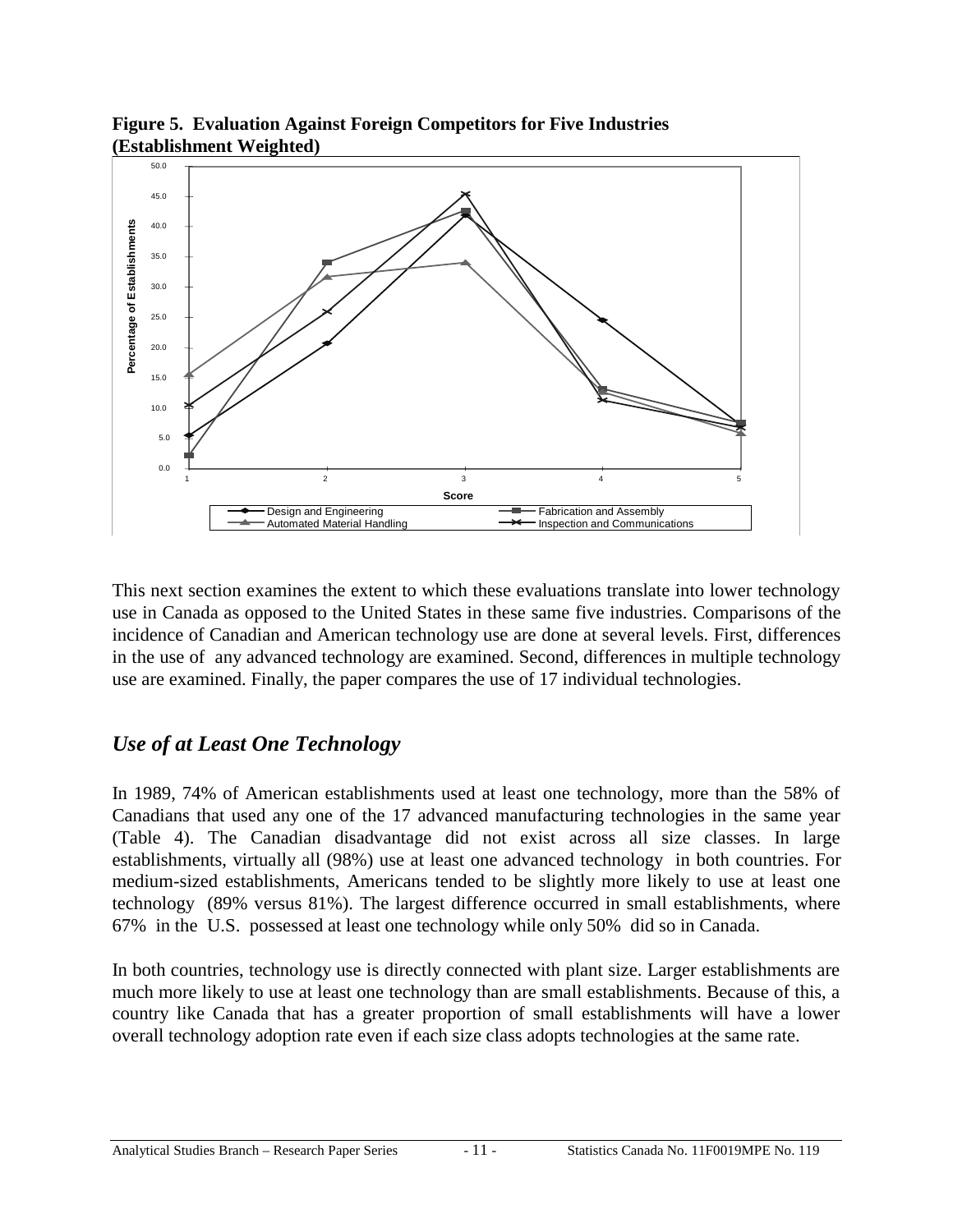

**Figure 5. Evaluation Against Foreign Competitors for Five Industries (Establishment Weighted)**

This next section examines the extent to which these evaluations translate into lower technology use in Canada as opposed to the United States in these same five industries. Comparisons of the incidence of Canadian and American technology use are done at several levels. First, differences in the use of any advanced technology are examined. Second, differences in multiple technology use are examined. Finally, the paper compares the use of 17 individual technologies.

## *Use of at Least One Technology*

In 1989, 74% of American establishments used at least one technology, more than the 58% of Canadians that used any one of the 17 advanced manufacturing technologies in the same year (Table 4). The Canadian disadvantage did not exist across all size classes. In large establishments, virtually all (98%) use at least one advanced technology in both countries. For medium-sized establishments, Americans tended to be slightly more likely to use at least one technology (89% versus 81%). The largest difference occurred in small establishments, where 67% in the U.S. possessed at least one technology while only 50% did so in Canada.

In both countries, technology use is directly connected with plant size. Larger establishments are much more likely to use at least one technology than are small establishments. Because of this, a country like Canada that has a greater proportion of small establishments will have a lower overall technology adoption rate even if each size class adopts technologies at the same rate.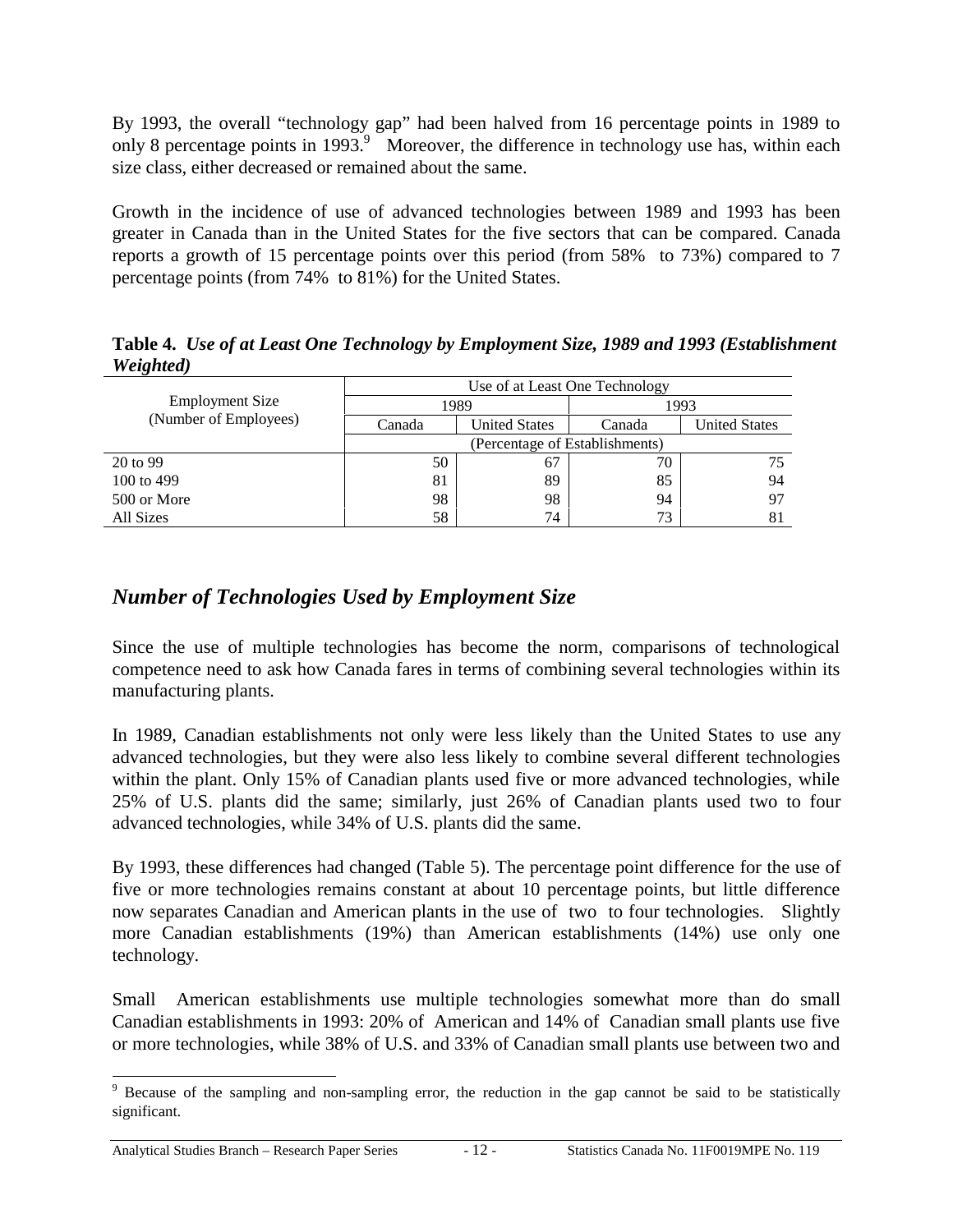By 1993, the overall "technology gap" had been halved from 16 percentage points in 1989 to only 8 percentage points in 1993. $9$  Moreover, the difference in technology use has, within each size class, either decreased or remained about the same.

Growth in the incidence of use of advanced technologies between 1989 and 1993 has been greater in Canada than in the United States for the five sectors that can be compared. Canada reports a growth of 15 percentage points over this period (from 58% to 73%) compared to 7 percentage points (from 74% to 81%) for the United States.

**Table 4.** *Use of at Least One Technology by Employment Size, 1989 and 1993 (Establishment Weighted)*

|                        | Use of at Least One Technology |                      |        |                      |  |  |  |  |
|------------------------|--------------------------------|----------------------|--------|----------------------|--|--|--|--|
| <b>Employment Size</b> |                                | 1989                 | 1993   |                      |  |  |  |  |
| (Number of Employees)  | Canada                         | <b>United States</b> | Canada | <b>United States</b> |  |  |  |  |
|                        | (Percentage of Establishments) |                      |        |                      |  |  |  |  |
| 20 to 99               | 50                             | 67                   | 70     | 75                   |  |  |  |  |
| 100 to 499             | 81                             | 89                   | 85     | 94                   |  |  |  |  |
| 500 or More            | 98                             | 98                   | 94     | 97                   |  |  |  |  |
| All Sizes              | 58                             | 74                   | 73     | 81                   |  |  |  |  |

## *Number of Technologies Used by Employment Size*

Since the use of multiple technologies has become the norm, comparisons of technological competence need to ask how Canada fares in terms of combining several technologies within its manufacturing plants.

In 1989, Canadian establishments not only were less likely than the United States to use any advanced technologies, but they were also less likely to combine several different technologies within the plant. Only 15% of Canadian plants used five or more advanced technologies, while 25% of U.S. plants did the same; similarly, just 26% of Canadian plants used two to four advanced technologies, while 34% of U.S. plants did the same.

By 1993, these differences had changed (Table 5). The percentage point difference for the use of five or more technologies remains constant at about 10 percentage points, but little difference now separates Canadian and American plants in the use of two to four technologies. Slightly more Canadian establishments (19%) than American establishments (14%) use only one technology.

Small American establishments use multiple technologies somewhat more than do small Canadian establishments in 1993: 20% of American and 14% of Canadian small plants use five or more technologies, while 38% of U.S. and 33% of Canadian small plants use between two and

<sup>&</sup>lt;sup>9</sup> Because of the sampling and non-sampling error, the reduction in the gap cannot be said to be statistically significant.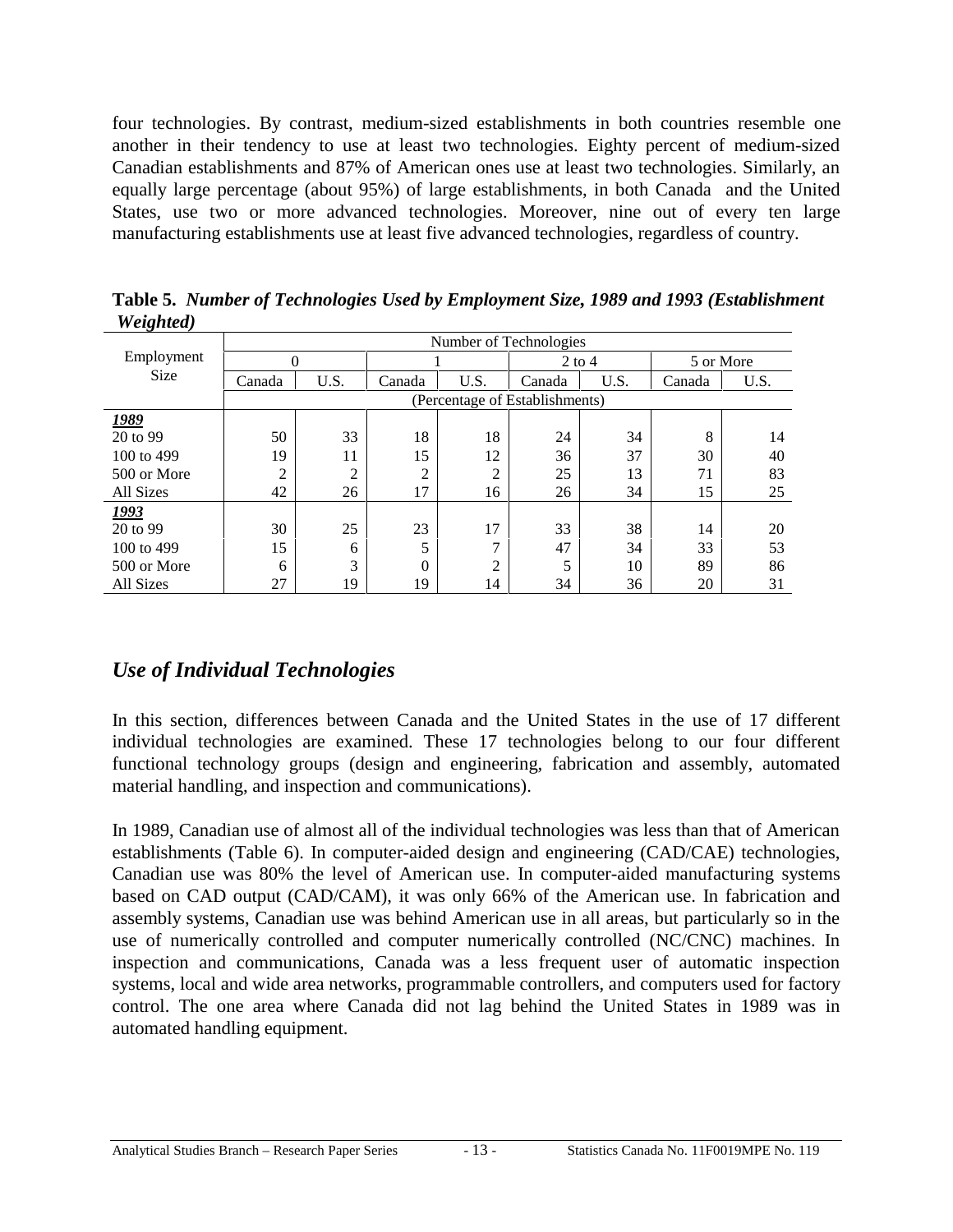four technologies. By contrast, medium-sized establishments in both countries resemble one another in their tendency to use at least two technologies. Eighty percent of medium-sized Canadian establishments and 87% of American ones use at least two technologies. Similarly, an equally large percentage (about 95%) of large establishments, in both Canada and the United States, use two or more advanced technologies. Moreover, nine out of every ten large manufacturing establishments use at least five advanced technologies, regardless of country.

|               | Number of Technologies |                |          |        |                                |      |           |      |  |  |  |
|---------------|------------------------|----------------|----------|--------|--------------------------------|------|-----------|------|--|--|--|
| Employment    | $\theta$               |                |          |        | $2$ to 4                       |      | 5 or More |      |  |  |  |
| <b>Size</b>   | Canada                 | U.S.           | Canada   | U.S.   | Canada                         | U.S. | Canada    | U.S. |  |  |  |
|               |                        |                |          |        | (Percentage of Establishments) |      |           |      |  |  |  |
| <u> 1989 </u> |                        |                |          |        |                                |      |           |      |  |  |  |
| 20 to 99      | 50                     | 33             | 18       | 18     | 24                             | 34   | 8         | 14   |  |  |  |
| 100 to 499    | 19                     | 11             | 15       | 12     | 36                             | 37   | 30        | 40   |  |  |  |
| 500 or More   | C                      | $\overline{2}$ | 2        | ↑<br>∠ | 25                             | 13   | 71        | 83   |  |  |  |
| All Sizes     | 42                     | 26             | 17       | 16     | 26                             | 34   | 15        | 25   |  |  |  |
| <u>1993</u>   |                        |                |          |        |                                |      |           |      |  |  |  |
| 20 to 99      | 30                     | 25             | 23       | 17     | 33                             | 38   | 14        | 20   |  |  |  |
| 100 to 499    | 15                     | 6              | 5        | ⇁      | 47                             | 34   | 33        | 53   |  |  |  |
| 500 or More   | 6                      | 3              | $\theta$ | ↑      | 5                              | 10   | 89        | 86   |  |  |  |
| All Sizes     | 27                     | 19             | 19       | 14     | 34                             | 36   | 20        | 31   |  |  |  |

**Table 5.** *Number of Technologies Used by Employment Size, 1989 and 1993 (Establishment Weighted)*

## *Use of Individual Technologies*

In this section, differences between Canada and the United States in the use of 17 different individual technologies are examined. These 17 technologies belong to our four different functional technology groups (design and engineering, fabrication and assembly, automated material handling, and inspection and communications).

In 1989, Canadian use of almost all of the individual technologies was less than that of American establishments (Table 6). In computer-aided design and engineering (CAD/CAE) technologies, Canadian use was 80% the level of American use. In computer-aided manufacturing systems based on CAD output (CAD/CAM), it was only 66% of the American use. In fabrication and assembly systems, Canadian use was behind American use in all areas, but particularly so in the use of numerically controlled and computer numerically controlled (NC/CNC) machines. In inspection and communications, Canada was a less frequent user of automatic inspection systems, local and wide area networks, programmable controllers, and computers used for factory control. The one area where Canada did not lag behind the United States in 1989 was in automated handling equipment.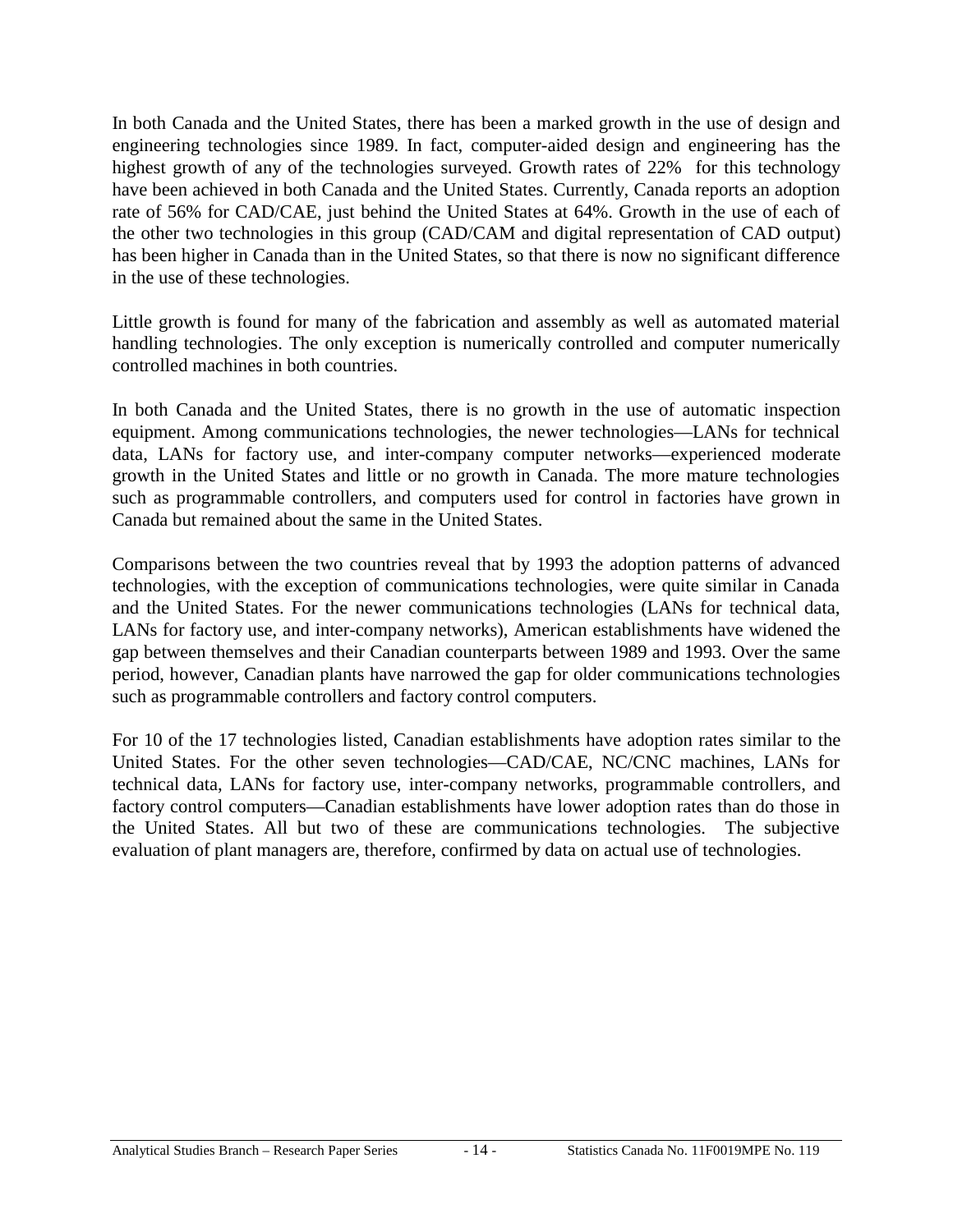In both Canada and the United States, there has been a marked growth in the use of design and engineering technologies since 1989. In fact, computer-aided design and engineering has the highest growth of any of the technologies surveyed. Growth rates of 22% for this technology have been achieved in both Canada and the United States. Currently, Canada reports an adoption rate of 56% for CAD/CAE, just behind the United States at 64%. Growth in the use of each of the other two technologies in this group (CAD/CAM and digital representation of CAD output) has been higher in Canada than in the United States, so that there is now no significant difference in the use of these technologies.

Little growth is found for many of the fabrication and assembly as well as automated material handling technologies. The only exception is numerically controlled and computer numerically controlled machines in both countries.

In both Canada and the United States, there is no growth in the use of automatic inspection equipment. Among communications technologies, the newer technologies—LANs for technical data, LANs for factory use, and inter-company computer networks—experienced moderate growth in the United States and little or no growth in Canada. The more mature technologies such as programmable controllers, and computers used for control in factories have grown in Canada but remained about the same in the United States.

Comparisons between the two countries reveal that by 1993 the adoption patterns of advanced technologies, with the exception of communications technologies, were quite similar in Canada and the United States. For the newer communications technologies (LANs for technical data, LANs for factory use, and inter-company networks), American establishments have widened the gap between themselves and their Canadian counterparts between 1989 and 1993. Over the same period, however, Canadian plants have narrowed the gap for older communications technologies such as programmable controllers and factory control computers.

For 10 of the 17 technologies listed, Canadian establishments have adoption rates similar to the United States. For the other seven technologies—CAD/CAE, NC/CNC machines, LANs for technical data, LANs for factory use, inter-company networks, programmable controllers, and factory control computers—Canadian establishments have lower adoption rates than do those in the United States. All but two of these are communications technologies. The subjective evaluation of plant managers are, therefore, confirmed by data on actual use of technologies.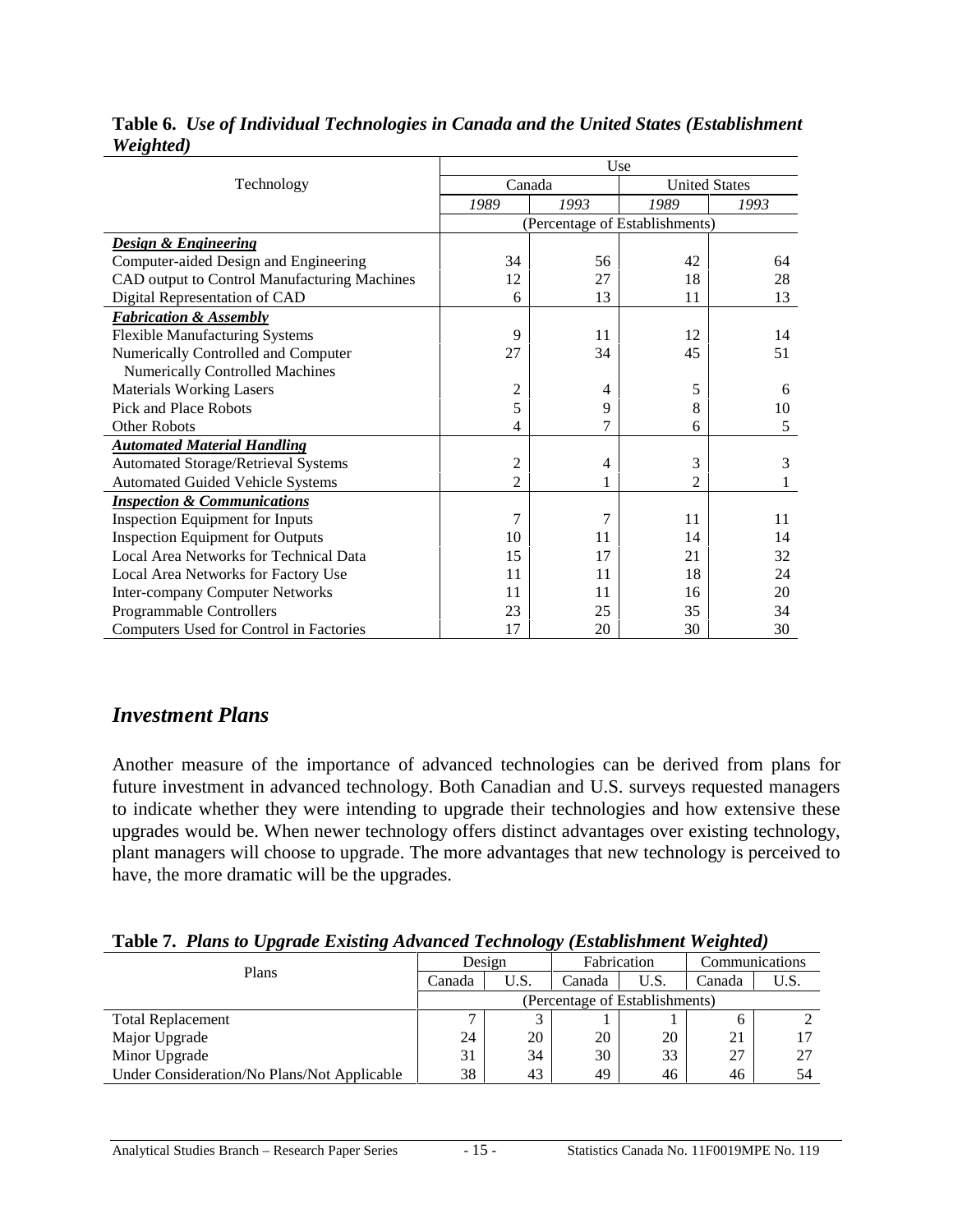|                                              | Use            |                                |                |                      |  |  |  |
|----------------------------------------------|----------------|--------------------------------|----------------|----------------------|--|--|--|
| Technology                                   |                | Canada                         |                | <b>United States</b> |  |  |  |
|                                              | 1989           | 1993                           | 1989           | 1993                 |  |  |  |
|                                              |                | (Percentage of Establishments) |                |                      |  |  |  |
| <b>Design &amp; Engineering</b>              |                |                                |                |                      |  |  |  |
| Computer-aided Design and Engineering        | 34             | 56                             | 42             | 64                   |  |  |  |
| CAD output to Control Manufacturing Machines | 12             | 27                             | 18             | 28                   |  |  |  |
| Digital Representation of CAD                | 6              | 13                             | 11             | 13                   |  |  |  |
| <b>Fabrication &amp; Assembly</b>            |                |                                |                |                      |  |  |  |
| <b>Flexible Manufacturing Systems</b>        | 9              | 11                             | 12             | 14                   |  |  |  |
| Numerically Controlled and Computer          | 27             | 34                             | 45             | 51                   |  |  |  |
| <b>Numerically Controlled Machines</b>       |                |                                |                |                      |  |  |  |
| <b>Materials Working Lasers</b>              | $\overline{c}$ | 4                              | 5              | 6                    |  |  |  |
| <b>Pick and Place Robots</b>                 | 5              | 9                              | 8              | 10                   |  |  |  |
| <b>Other Robots</b>                          | 4              | 7                              | 6              | 5                    |  |  |  |
| <b>Automated Material Handling</b>           |                |                                |                |                      |  |  |  |
| <b>Automated Storage/Retrieval Systems</b>   | 2              | 4                              | 3              | 3                    |  |  |  |
| <b>Automated Guided Vehicle Systems</b>      | 2              | $\mathbf 1$                    | $\overline{c}$ |                      |  |  |  |
| <b>Inspection &amp; Communications</b>       |                |                                |                |                      |  |  |  |
| <b>Inspection Equipment for Inputs</b>       | 7              | 7                              | 11             | 11                   |  |  |  |
| <b>Inspection Equipment for Outputs</b>      | 10             | 11                             | 14             | 14                   |  |  |  |
| Local Area Networks for Technical Data       | 15             | 17                             | 21             | 32                   |  |  |  |
| Local Area Networks for Factory Use          | 11             | 11                             | 18             | 24                   |  |  |  |
| <b>Inter-company Computer Networks</b>       | 11             | 11                             | 16             | 20                   |  |  |  |
| Programmable Controllers                     | 23             | 25                             | 35             | 34                   |  |  |  |
| Computers Used for Control in Factories      | 17             | 20                             | 30             | 30                   |  |  |  |

**Table 6.** *Use of Individual Technologies in Canada and the United States (Establishment Weighted)*

### *Investment Plans*

Another measure of the importance of advanced technologies can be derived from plans for future investment in advanced technology. Both Canadian and U.S. surveys requested managers to indicate whether they were intending to upgrade their technologies and how extensive these upgrades would be. When newer technology offers distinct advantages over existing technology, plant managers will choose to upgrade. The more advantages that new technology is perceived to have, the more dramatic will be the upgrades.

**Table 7.** *Plans to Upgrade Existing Advanced Technology (Establishment Weighted)*

| 1 O                                         |        |        | ື                              |             | . .            |      |  |
|---------------------------------------------|--------|--------|--------------------------------|-------------|----------------|------|--|
|                                             |        | Design |                                | Fabrication | Communications |      |  |
| Plans                                       | Canada | U.S.   | Canada                         | U.S.        | Canada         | U.S. |  |
|                                             |        |        | (Percentage of Establishments) |             |                |      |  |
| <b>Total Replacement</b>                    | ⇁      |        |                                |             |                |      |  |
| Major Upgrade                               | 24     | 20     | 20                             | 20          | 21             |      |  |
| Minor Upgrade                               | 31     | 34     | 30                             | 33          | 27             | 27   |  |
| Under Consideration/No Plans/Not Applicable | 38     | 43     | 49                             | 46          | 46             | 54   |  |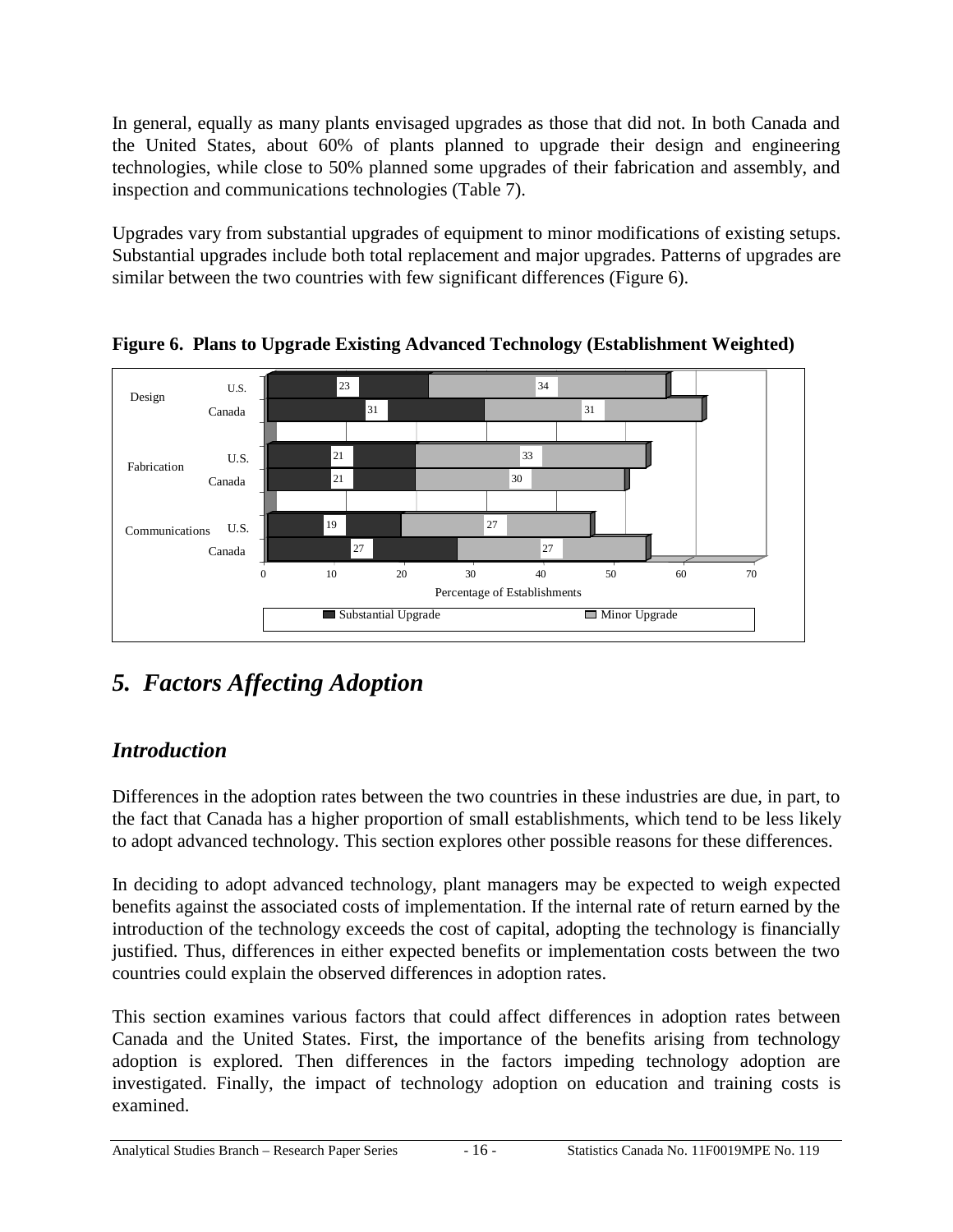In general, equally as many plants envisaged upgrades as those that did not. In both Canada and the United States, about 60% of plants planned to upgrade their design and engineering technologies, while close to 50% planned some upgrades of their fabrication and assembly, and inspection and communications technologies (Table 7).

Upgrades vary from substantial upgrades of equipment to minor modifications of existing setups. Substantial upgrades include both total replacement and major upgrades. Patterns of upgrades are similar between the two countries with few significant differences (Figure 6).



**Figure 6. Plans to Upgrade Existing Advanced Technology (Establishment Weighted)**

# *5. Factors Affecting Adoption*

# *Introduction*

Differences in the adoption rates between the two countries in these industries are due, in part, to the fact that Canada has a higher proportion of small establishments, which tend to be less likely to adopt advanced technology. This section explores other possible reasons for these differences.

In deciding to adopt advanced technology, plant managers may be expected to weigh expected benefits against the associated costs of implementation. If the internal rate of return earned by the introduction of the technology exceeds the cost of capital, adopting the technology is financially justified. Thus, differences in either expected benefits or implementation costs between the two countries could explain the observed differences in adoption rates.

This section examines various factors that could affect differences in adoption rates between Canada and the United States. First, the importance of the benefits arising from technology adoption is explored. Then differences in the factors impeding technology adoption are investigated. Finally, the impact of technology adoption on education and training costs is examined.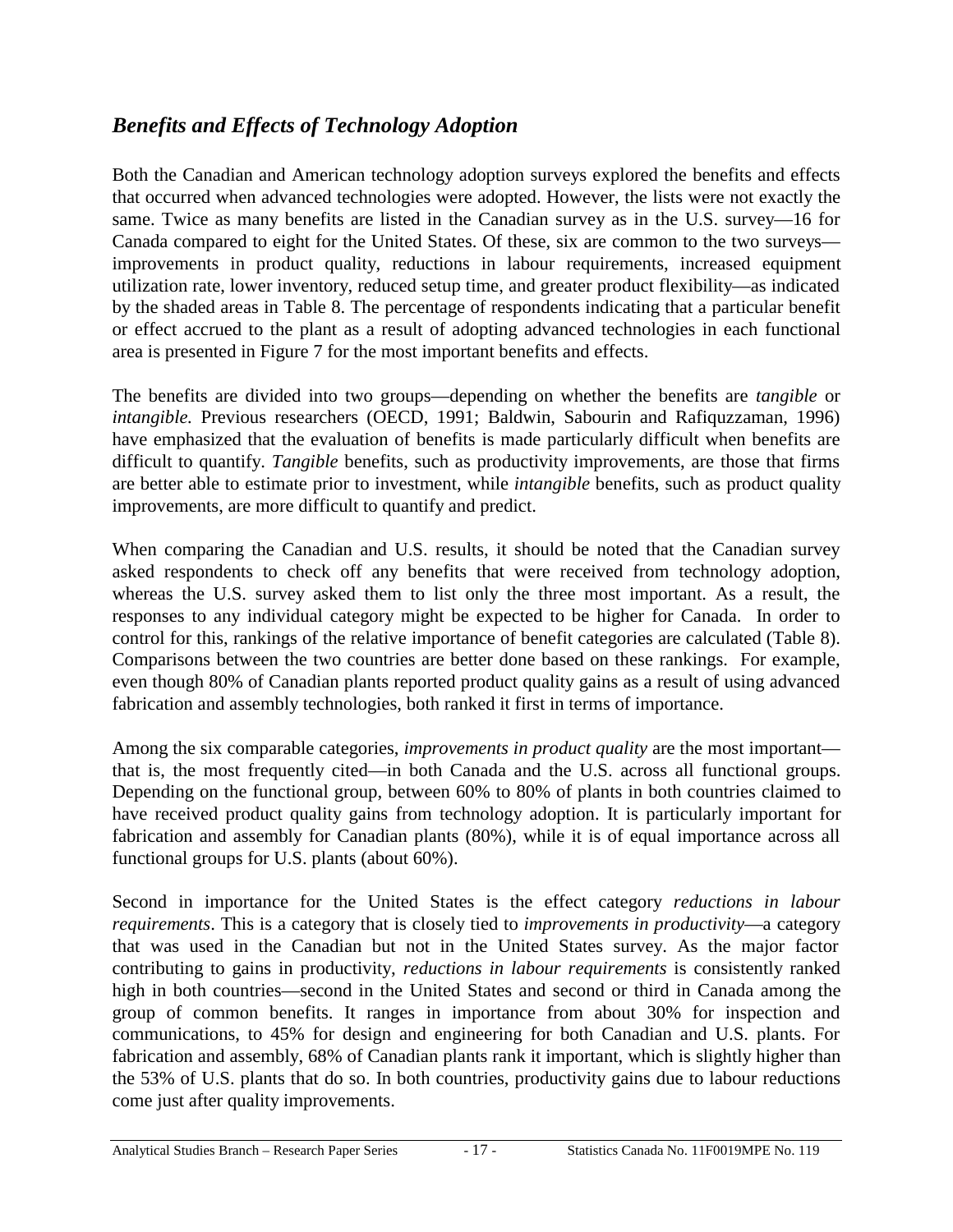## *Benefits and Effects of Technology Adoption*

Both the Canadian and American technology adoption surveys explored the benefits and effects that occurred when advanced technologies were adopted. However, the lists were not exactly the same. Twice as many benefits are listed in the Canadian survey as in the U.S. survey—16 for Canada compared to eight for the United States. Of these, six are common to the two surveys improvements in product quality, reductions in labour requirements, increased equipment utilization rate, lower inventory, reduced setup time, and greater product flexibility—as indicated by the shaded areas in Table 8. The percentage of respondents indicating that a particular benefit or effect accrued to the plant as a result of adopting advanced technologies in each functional area is presented in Figure 7 for the most important benefits and effects.

The benefits are divided into two groups—depending on whether the benefits are *tangible* or *intangible.* Previous researchers (OECD, 1991; Baldwin, Sabourin and Rafiquzzaman, 1996) have emphasized that the evaluation of benefits is made particularly difficult when benefits are difficult to quantify. *Tangible* benefits, such as productivity improvements, are those that firms are better able to estimate prior to investment, while *intangible* benefits, such as product quality improvements, are more difficult to quantify and predict.

When comparing the Canadian and U.S. results, it should be noted that the Canadian survey asked respondents to check off any benefits that were received from technology adoption, whereas the U.S. survey asked them to list only the three most important. As a result, the responses to any individual category might be expected to be higher for Canada. In order to control for this, rankings of the relative importance of benefit categories are calculated (Table 8). Comparisons between the two countries are better done based on these rankings. For example, even though 80% of Canadian plants reported product quality gains as a result of using advanced fabrication and assembly technologies, both ranked it first in terms of importance.

Among the six comparable categories, *improvements in product quality* are the most important that is, the most frequently cited—in both Canada and the U.S. across all functional groups. Depending on the functional group, between 60% to 80% of plants in both countries claimed to have received product quality gains from technology adoption. It is particularly important for fabrication and assembly for Canadian plants (80%), while it is of equal importance across all functional groups for U.S. plants (about 60%).

Second in importance for the United States is the effect category *reductions in labour requirements*. This is a category that is closely tied to *improvements in productivity*—a category that was used in the Canadian but not in the United States survey. As the major factor contributing to gains in productivity, *reductions in labour requirements* is consistently ranked high in both countries—second in the United States and second or third in Canada among the group of common benefits. It ranges in importance from about 30% for inspection and communications, to 45% for design and engineering for both Canadian and U.S. plants. For fabrication and assembly, 68% of Canadian plants rank it important, which is slightly higher than the 53% of U.S. plants that do so. In both countries, productivity gains due to labour reductions come just after quality improvements.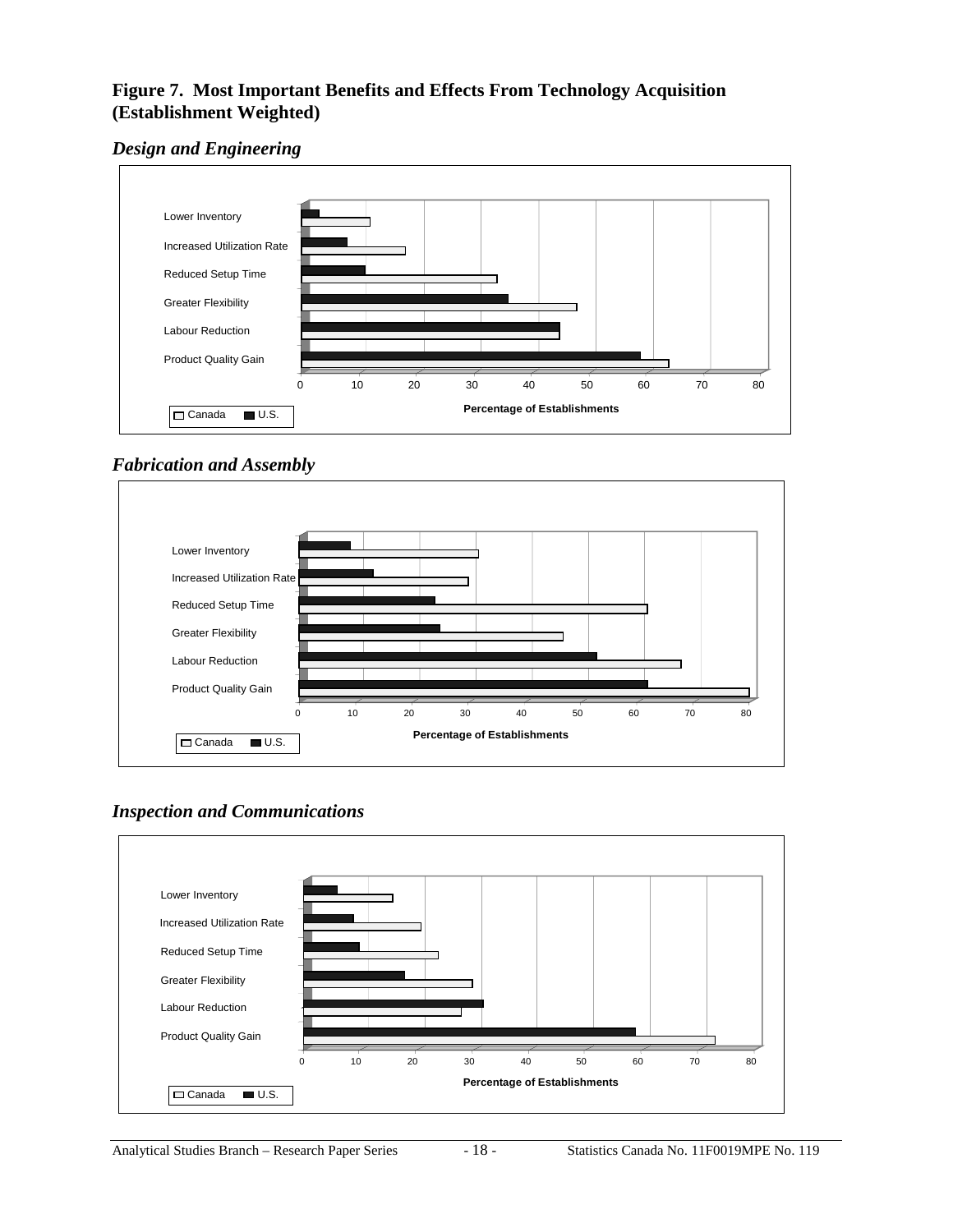### **Figure 7. Most Important Benefits and Effects From Technology Acquisition (Establishment Weighted)**

### *Design and Engineering*



*Fabrication and Assembly*



*Inspection and Communications*

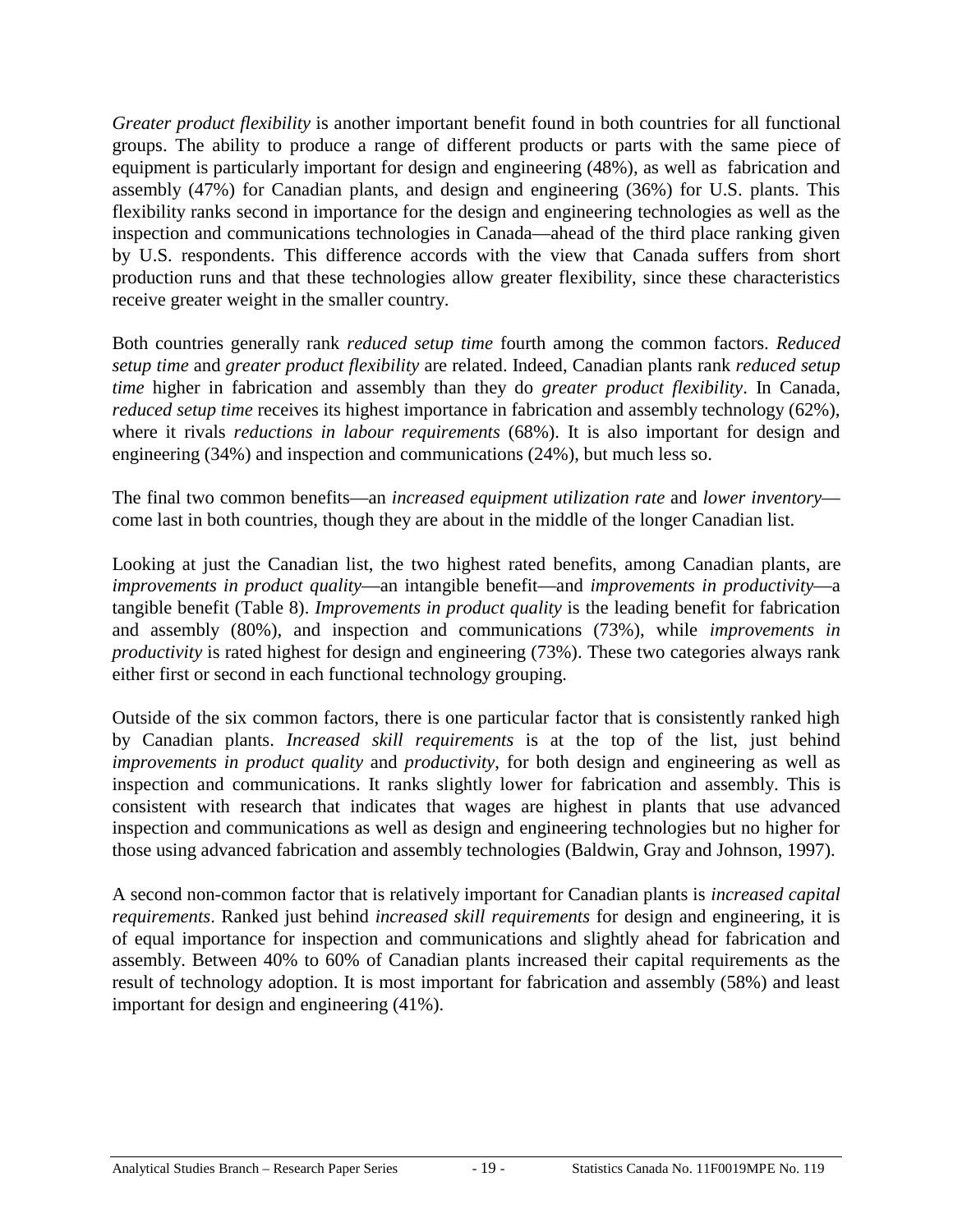*Greater product flexibility* is another important benefit found in both countries for all functional groups. The ability to produce a range of different products or parts with the same piece of equipment is particularly important for design and engineering (48%), as well as fabrication and assembly (47%) for Canadian plants, and design and engineering (36%) for U.S. plants. This flexibility ranks second in importance for the design and engineering technologies as well as the inspection and communications technologies in Canada—ahead of the third place ranking given by U.S. respondents. This difference accords with the view that Canada suffers from short production runs and that these technologies allow greater flexibility, since these characteristics receive greater weight in the smaller country.

Both countries generally rank *reduced setup time* fourth among the common factors. *Reduced setup time* and *greater product flexibility* are related. Indeed, Canadian plants rank *reduced setup time* higher in fabrication and assembly than they do *greater product flexibility*. In Canada, *reduced setup time* receives its highest importance in fabrication and assembly technology (62%), where it rivals *reductions in labour requirements* (68%). It is also important for design and engineering (34%) and inspection and communications (24%), but much less so.

The final two common benefits—an *increased equipment utilization rate* and *lower inventory* come last in both countries, though they are about in the middle of the longer Canadian list.

Looking at just the Canadian list, the two highest rated benefits, among Canadian plants, are *improvements in product quality*—an intangible benefit—and *improvements in productivity*—a tangible benefit (Table 8). *Improvements in product quality* is the leading benefit for fabrication and assembly (80%), and inspection and communications (73%), while *improvements in productivity* is rated highest for design and engineering (73%). These two categories always rank either first or second in each functional technology grouping.

Outside of the six common factors, there is one particular factor that is consistently ranked high by Canadian plants. *Increased skill requirements* is at the top of the list, just behind *improvements in product quality* and *productivity*, for both design and engineering as well as inspection and communications. It ranks slightly lower for fabrication and assembly. This is consistent with research that indicates that wages are highest in plants that use advanced inspection and communications as well as design and engineering technologies but no higher for those using advanced fabrication and assembly technologies (Baldwin, Gray and Johnson, 1997).

A second non-common factor that is relatively important for Canadian plants is *increased capital requirements*. Ranked just behind *increased skill requirements* for design and engineering, it is of equal importance for inspection and communications and slightly ahead for fabrication and assembly. Between 40% to 60% of Canadian plants increased their capital requirements as the result of technology adoption. It is most important for fabrication and assembly (58%) and least important for design and engineering (41%).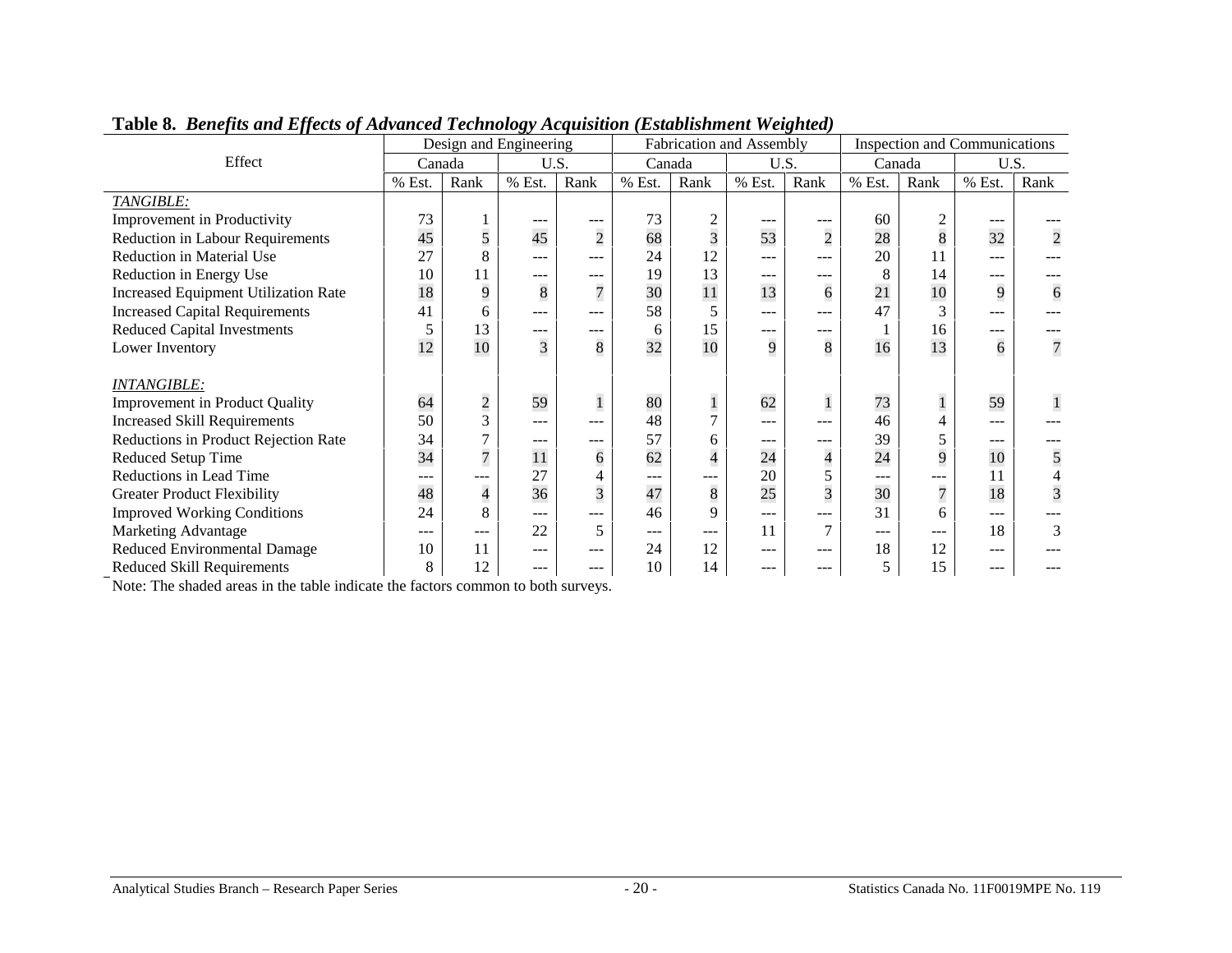|                                                                              |        |                         | Design and Engineering |                |        |                | Fabrication and Assembly |                          |        |      | <b>Inspection and Communications</b> |                |
|------------------------------------------------------------------------------|--------|-------------------------|------------------------|----------------|--------|----------------|--------------------------|--------------------------|--------|------|--------------------------------------|----------------|
| Effect                                                                       | Canada |                         | U.S.                   |                | Canada |                | U.S.                     |                          | Canada |      | U.S.                                 |                |
|                                                                              | % Est. | Rank                    | % Est.                 | Rank           | % Est. | Rank           | % Est.                   | Rank                     | % Est. | Rank | % Est.                               | Rank           |
| TANGIBLE:                                                                    |        |                         |                        |                |        |                |                          |                          |        |      |                                      |                |
| Improvement in Productivity                                                  | 73     |                         | $- - -$                | $---$          | 73     | $\overline{c}$ | $---$                    | ---                      | 60     | 2    | $---$                                |                |
| <b>Reduction in Labour Requirements</b>                                      | 45     | 5                       | 45                     | $\overline{c}$ | 68     | $\overline{3}$ | 53                       | $\overline{c}$           | 28     | 8    | 32                                   | $\overline{c}$ |
| Reduction in Material Use                                                    | 27     | $\overline{\mathsf{8}}$ | ---                    | $---$          | 24     | 12             | $---$                    | ---                      | 20     | 11   | $---$                                |                |
| Reduction in Energy Use                                                      | 10     | 11                      | ---                    | $---$          | 19     | 13             | $---$                    | ---                      | 8      | 14   | $---$                                |                |
| <b>Increased Equipment Utilization Rate</b>                                  | 18     | 9                       | 8                      | $\overline{7}$ | 30     | 11             | 13                       | 6                        | 21     | 10   | 9                                    | 6              |
| <b>Increased Capital Requirements</b>                                        | 41     | 6                       |                        | $---$          | 58     | 5              | ---                      | ---                      | 47     | 3    | ---                                  |                |
| <b>Reduced Capital Investments</b>                                           | 5      | 13                      | ---                    | $---$          | 6      | 15             | $---$                    | ---                      |        | 16   | $---$                                |                |
| Lower Inventory                                                              | 12     | 10                      | $\overline{3}$         | 8              | 32     | 10             | 9                        | 8                        | 16     | 13   | 6                                    | $\overline{7}$ |
|                                                                              |        |                         |                        |                |        |                |                          |                          |        |      |                                      |                |
| <b>INTANGIBLE:</b>                                                           |        |                         |                        |                |        |                |                          |                          |        |      |                                      |                |
| <b>Improvement in Product Quality</b>                                        | 64     | $\overline{c}$          | 59                     | $\mathbf{1}$   | 80     |                | 62                       | $\mathbf{1}$             | 73     |      | 59                                   |                |
| <b>Increased Skill Requirements</b>                                          | 50     | 3                       | ---                    | ---            | 48     | $\mathbf{r}$   | $- - -$                  | ---                      | 46     |      | $---$                                |                |
| Reductions in Product Rejection Rate                                         | 34     |                         |                        | ---            | 57     | 6              | ---                      | ---                      | 39     | 5    | $---$                                |                |
| Reduced Setup Time                                                           | 34     |                         | 11                     | $\overline{6}$ | 62     | $\overline{4}$ | 24                       | $\overline{\mathcal{L}}$ | 24     | 9    | 10                                   | 5              |
| Reductions in Lead Time                                                      | $---$  |                         | 27                     | $\overline{4}$ | ---    | ---            | 20                       | 5                        | ---    | ---  | 11                                   |                |
| <b>Greater Product Flexibility</b>                                           | 48     | $\overline{a}$          | 36                     | $\overline{3}$ | 47     | 8              | 25                       | 3                        | 30     |      | 18                                   | $\overline{3}$ |
| <b>Improved Working Conditions</b>                                           | 24     | 8                       | ---                    | ---            | 46     | $\mathbf Q$    | $---$                    | ---                      | 31     | 6    | ---                                  |                |
| Marketing Advantage                                                          | $---$  | ---                     | 22                     | 5              | ---    | $---$          | 11                       | 7                        | ---    | ---  | 18                                   | 3              |
| Reduced Environmental Damage                                                 | 10     | 11                      | ---                    | $---$          | 24     | 12             | $---$                    | $---$                    | 18     | 12   | $- - -$                              |                |
| <b>Reduced Skill Requirements</b><br>$-44 + 45 - 46$<br>$\sim$ $\sim$ $\sim$ | 8      | 12                      | ---<br>$\sim$          | ---            | 10     | 14             | $- - -$                  | ---                      | 5      | 15   | $---$                                |                |

**Table 8.** *Benefits and Effects of Advanced Technology Acquisition (Establishment Weighted)*

Note: The shaded areas in the table indicate the factors common to both surveys.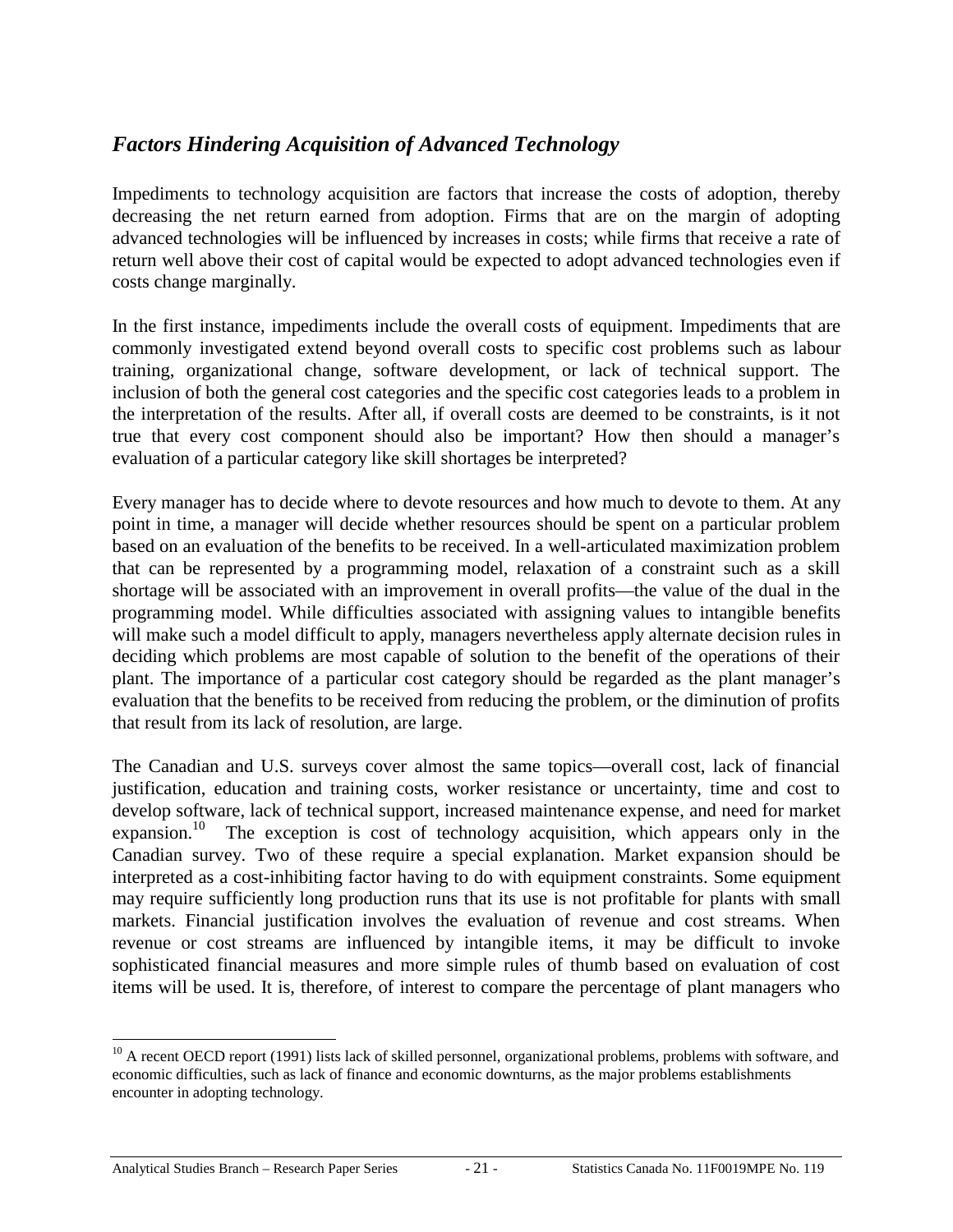## *Factors Hindering Acquisition of Advanced Technology*

Impediments to technology acquisition are factors that increase the costs of adoption, thereby decreasing the net return earned from adoption. Firms that are on the margin of adopting advanced technologies will be influenced by increases in costs; while firms that receive a rate of return well above their cost of capital would be expected to adopt advanced technologies even if costs change marginally.

In the first instance, impediments include the overall costs of equipment. Impediments that are commonly investigated extend beyond overall costs to specific cost problems such as labour training, organizational change, software development, or lack of technical support. The inclusion of both the general cost categories and the specific cost categories leads to a problem in the interpretation of the results. After all, if overall costs are deemed to be constraints, is it not true that every cost component should also be important? How then should a manager's evaluation of a particular category like skill shortages be interpreted?

Every manager has to decide where to devote resources and how much to devote to them. At any point in time, a manager will decide whether resources should be spent on a particular problem based on an evaluation of the benefits to be received. In a well-articulated maximization problem that can be represented by a programming model, relaxation of a constraint such as a skill shortage will be associated with an improvement in overall profits—the value of the dual in the programming model. While difficulties associated with assigning values to intangible benefits will make such a model difficult to apply, managers nevertheless apply alternate decision rules in deciding which problems are most capable of solution to the benefit of the operations of their plant. The importance of a particular cost category should be regarded as the plant manager's evaluation that the benefits to be received from reducing the problem, or the diminution of profits that result from its lack of resolution, are large.

The Canadian and U.S. surveys cover almost the same topics—overall cost, lack of financial justification, education and training costs, worker resistance or uncertainty, time and cost to develop software, lack of technical support, increased maintenance expense, and need for market expansion.10 The exception is cost of technology acquisition, which appears only in the Canadian survey. Two of these require a special explanation. Market expansion should be interpreted as a cost-inhibiting factor having to do with equipment constraints. Some equipment may require sufficiently long production runs that its use is not profitable for plants with small markets. Financial justification involves the evaluation of revenue and cost streams. When revenue or cost streams are influenced by intangible items, it may be difficult to invoke sophisticated financial measures and more simple rules of thumb based on evaluation of cost items will be used. It is, therefore, of interest to compare the percentage of plant managers who

 $\overline{a}$ 

 $10$  A recent OECD report (1991) lists lack of skilled personnel, organizational problems, problems with software, and economic difficulties, such as lack of finance and economic downturns, as the major problems establishments encounter in adopting technology.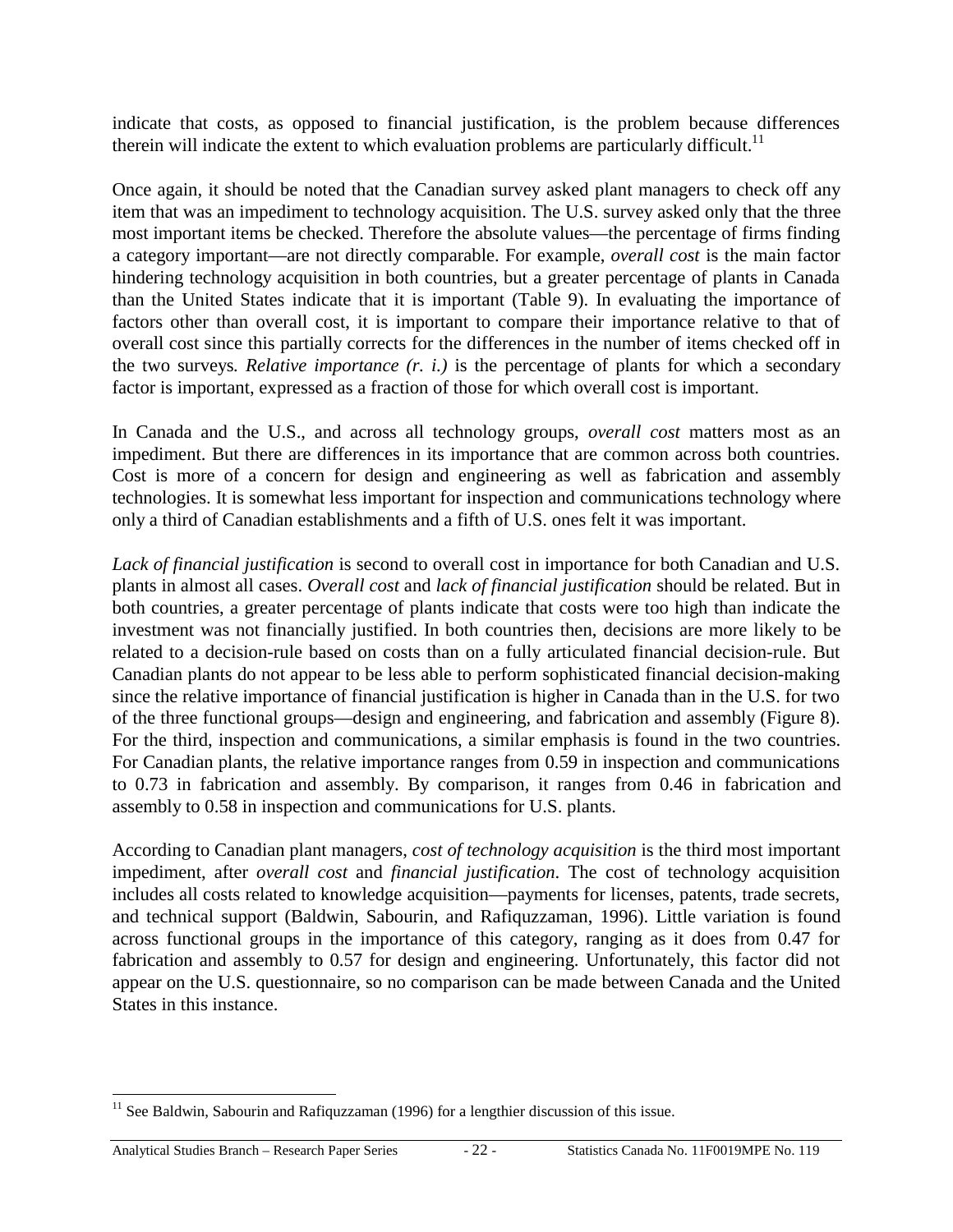indicate that costs, as opposed to financial justification, is the problem because differences therein will indicate the extent to which evaluation problems are particularly difficult.<sup>11</sup>

Once again, it should be noted that the Canadian survey asked plant managers to check off any item that was an impediment to technology acquisition. The U.S. survey asked only that the three most important items be checked. Therefore the absolute values—the percentage of firms finding a category important—are not directly comparable. For example, *overall cost* is the main factor hindering technology acquisition in both countries, but a greater percentage of plants in Canada than the United States indicate that it is important (Table 9). In evaluating the importance of factors other than overall cost, it is important to compare their importance relative to that of overall cost since this partially corrects for the differences in the number of items checked off in the two surveys*. Relative importance (r. i.)* is the percentage of plants for which a secondary factor is important, expressed as a fraction of those for which overall cost is important.

In Canada and the U.S., and across all technology groups, *overall cost* matters most as an impediment. But there are differences in its importance that are common across both countries. Cost is more of a concern for design and engineering as well as fabrication and assembly technologies. It is somewhat less important for inspection and communications technology where only a third of Canadian establishments and a fifth of U.S. ones felt it was important.

*Lack of financial justification* is second to overall cost in importance for both Canadian and U.S. plants in almost all cases. *Overall cost* and *lack of financial justification* should be related. But in both countries, a greater percentage of plants indicate that costs were too high than indicate the investment was not financially justified. In both countries then, decisions are more likely to be related to a decision-rule based on costs than on a fully articulated financial decision-rule. But Canadian plants do not appear to be less able to perform sophisticated financial decision-making since the relative importance of financial justification is higher in Canada than in the U.S. for two of the three functional groups—design and engineering, and fabrication and assembly (Figure 8). For the third, inspection and communications, a similar emphasis is found in the two countries. For Canadian plants, the relative importance ranges from 0.59 in inspection and communications to 0.73 in fabrication and assembly. By comparison, it ranges from 0.46 in fabrication and assembly to 0.58 in inspection and communications for U.S. plants.

According to Canadian plant managers, *cost of technology acquisition* is the third most important impediment, after *overall cost* and *financial justification*. The cost of technology acquisition includes all costs related to knowledge acquisition—payments for licenses, patents, trade secrets, and technical support (Baldwin, Sabourin, and Rafiquzzaman, 1996). Little variation is found across functional groups in the importance of this category, ranging as it does from 0.47 for fabrication and assembly to 0.57 for design and engineering. Unfortunately, this factor did not appear on the U.S. questionnaire, so no comparison can be made between Canada and the United States in this instance.

 $\overline{a}$ 

 $11$  See Baldwin, Sabourin and Rafiquzzaman (1996) for a lengthier discussion of this issue.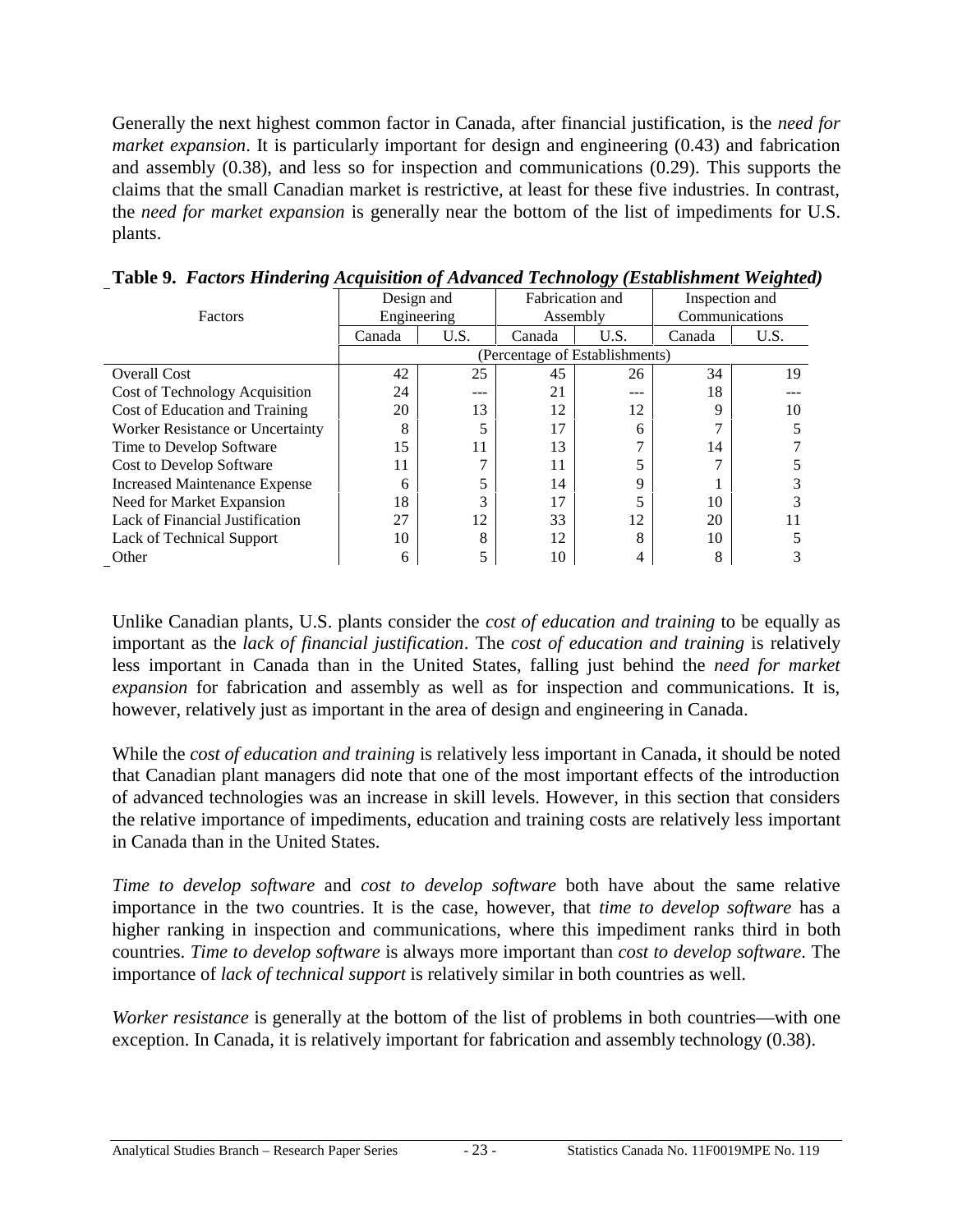Generally the next highest common factor in Canada, after financial justification, is the *need for market expansion*. It is particularly important for design and engineering (0.43) and fabrication and assembly (0.38), and less so for inspection and communications (0.29). This supports the claims that the small Canadian market is restrictive, at least for these five industries. In contrast, the *need for market expansion* is generally near the bottom of the list of impediments for U.S. plants.

|                                      | Design and  |      | Fabrication and                |      | Inspection and |      |  |
|--------------------------------------|-------------|------|--------------------------------|------|----------------|------|--|
| Factors                              | Engineering |      | Assembly                       |      | Communications |      |  |
|                                      | Canada      | U.S. | Canada                         | U.S. | Canada         | U.S. |  |
|                                      |             |      | (Percentage of Establishments) |      |                |      |  |
| Overall Cost                         | 42          | 25   | 45                             | 26   | 34             | 19   |  |
| Cost of Technology Acquisition       | 24          |      | 21                             | ---  | 18             |      |  |
| Cost of Education and Training       | 20          | 13   | 12                             | 12   | 9              | 10   |  |
| Worker Resistance or Uncertainty     |             |      | 17                             | 6    |                |      |  |
| Time to Develop Software             | 15          | 11   | 13                             |      | 14             |      |  |
| Cost to Develop Software             | 11          |      | 11                             |      |                |      |  |
| <b>Increased Maintenance Expense</b> | 6           |      | 14                             |      |                |      |  |
| Need for Market Expansion            | 18          | 3    | 17                             |      | 10             |      |  |
| Lack of Financial Justification      | 27          | 12   | 33                             | 12   | 20             |      |  |
| Lack of Technical Support            | 10          | 8    | 12                             | 8    | 10             |      |  |
| Other                                | 6           |      | 10                             |      | 8              |      |  |

**Table 9.** *Factors Hindering Acquisition of Advanced Technology (Establishment Weighted)*

Unlike Canadian plants, U.S. plants consider the *cost of education and training* to be equally as important as the *lack of financial justification*. The *cost of education and training* is relatively less important in Canada than in the United States, falling just behind the *need for market expansion* for fabrication and assembly as well as for inspection and communications. It is, however, relatively just as important in the area of design and engineering in Canada.

While the *cost of education and training* is relatively less important in Canada, it should be noted that Canadian plant managers did note that one of the most important effects of the introduction of advanced technologies was an increase in skill levels. However, in this section that considers the relative importance of impediments, education and training costs are relatively less important in Canada than in the United States.

*Time to develop software* and *cost to develop software* both have about the same relative importance in the two countries. It is the case, however, that *time to develop software* has a higher ranking in inspection and communications, where this impediment ranks third in both countries. *Time to develop software* is always more important than *cost to develop software*. The importance of *lack of technical support* is relatively similar in both countries as well.

*Worker resistance* is generally at the bottom of the list of problems in both countries—with one exception. In Canada, it is relatively important for fabrication and assembly technology (0.38).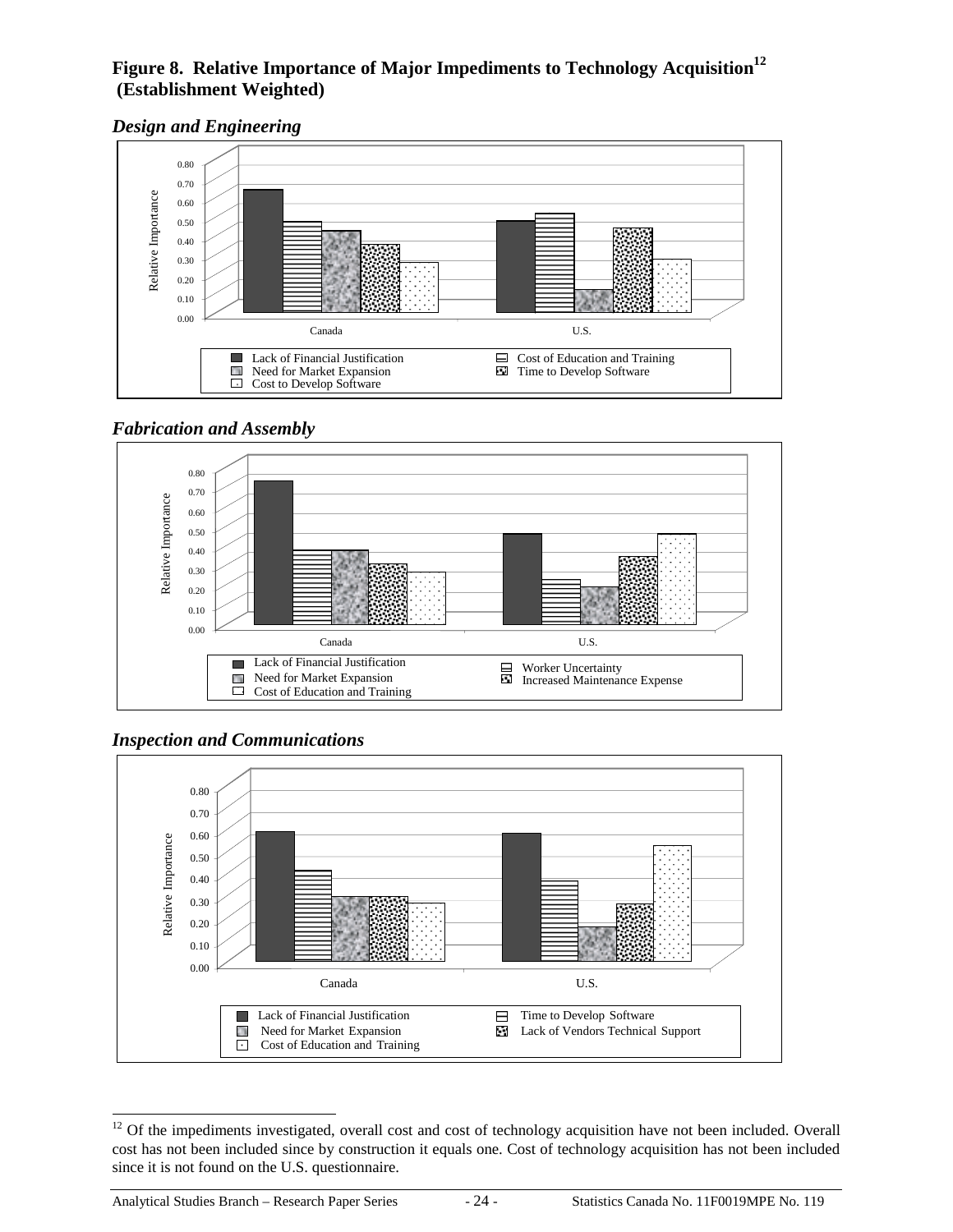### Figure 8. Relative Importance of Major Impediments to Technology Acquisition<sup>12</sup>  **(Establishment Weighted)**

*Design and Engineering*



### *Fabrication and Assembly*



*Inspection and Communications*



 $\overline{a}$  $12$  Of the impediments investigated, overall cost and cost of technology acquisition have not been included. Overall cost has not been included since by construction it equals one. Cost of technology acquisition has not been included since it is not found on the U.S. questionnaire.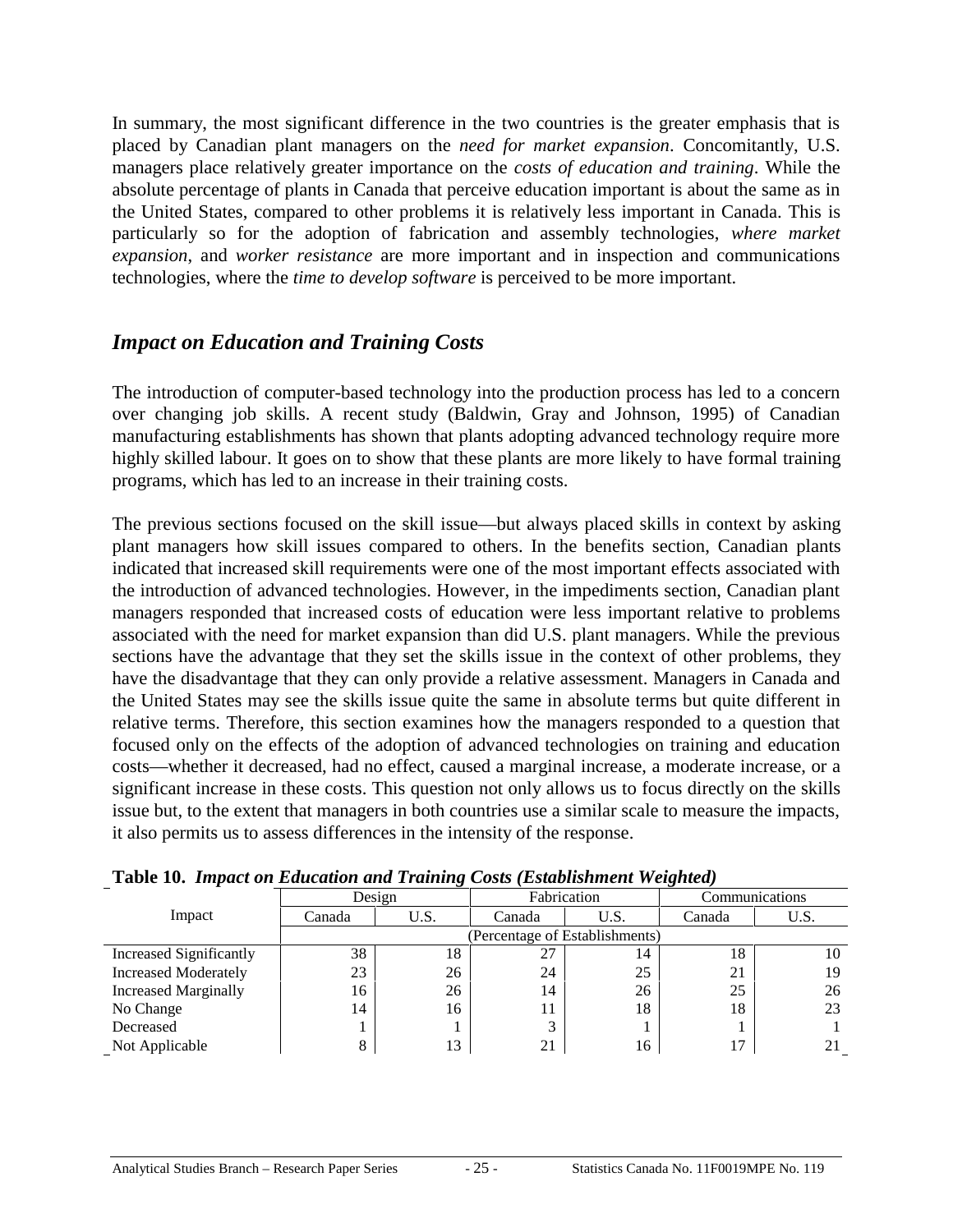In summary, the most significant difference in the two countries is the greater emphasis that is placed by Canadian plant managers on the *need for market expansion*. Concomitantly, U.S. managers place relatively greater importance on the *costs of education and training*. While the absolute percentage of plants in Canada that perceive education important is about the same as in the United States, compared to other problems it is relatively less important in Canada. This is particularly so for the adoption of fabrication and assembly technologies, *where market expansion*, and *worker resistance* are more important and in inspection and communications technologies, where the *time to develop software* is perceived to be more important.

### *Impact on Education and Training Costs*

The introduction of computer-based technology into the production process has led to a concern over changing job skills. A recent study (Baldwin, Gray and Johnson, 1995) of Canadian manufacturing establishments has shown that plants adopting advanced technology require more highly skilled labour. It goes on to show that these plants are more likely to have formal training programs, which has led to an increase in their training costs.

The previous sections focused on the skill issue—but always placed skills in context by asking plant managers how skill issues compared to others. In the benefits section, Canadian plants indicated that increased skill requirements were one of the most important effects associated with the introduction of advanced technologies. However, in the impediments section, Canadian plant managers responded that increased costs of education were less important relative to problems associated with the need for market expansion than did U.S. plant managers. While the previous sections have the advantage that they set the skills issue in the context of other problems, they have the disadvantage that they can only provide a relative assessment. Managers in Canada and the United States may see the skills issue quite the same in absolute terms but quite different in relative terms. Therefore, this section examines how the managers responded to a question that focused only on the effects of the adoption of advanced technologies on training and education costs—whether it decreased, had no effect, caused a marginal increase, a moderate increase, or a significant increase in these costs. This question not only allows us to focus directly on the skills issue but, to the extent that managers in both countries use a similar scale to measure the impacts, it also permits us to assess differences in the intensity of the response.

|                                | Design |                                |    | Fabrication | Communications |    |  |
|--------------------------------|--------|--------------------------------|----|-------------|----------------|----|--|
| Impact                         | Canada | U.S.<br>U.S.<br>Canada         |    | Canada      | U.S.           |    |  |
|                                |        | (Percentage of Establishments) |    |             |                |    |  |
| <b>Increased Significantly</b> | 38     | 18                             | 27 | 14          | 18             | 10 |  |
| <b>Increased Moderately</b>    | 23     | 26                             | 24 | 25          | 21             | 19 |  |
| <b>Increased Marginally</b>    | 16     | 26                             | 14 | 26          | 25             | 26 |  |
| No Change                      | 14     | 16                             | 11 | 18          | 18             | 23 |  |
| Decreased                      |        |                                |    |             |                |    |  |
| Not Applicable                 |        | 13                             | 21 | 16          | 17             |    |  |

**Table 10.** *Impact on Education and Training Costs (Establishment Weighted)*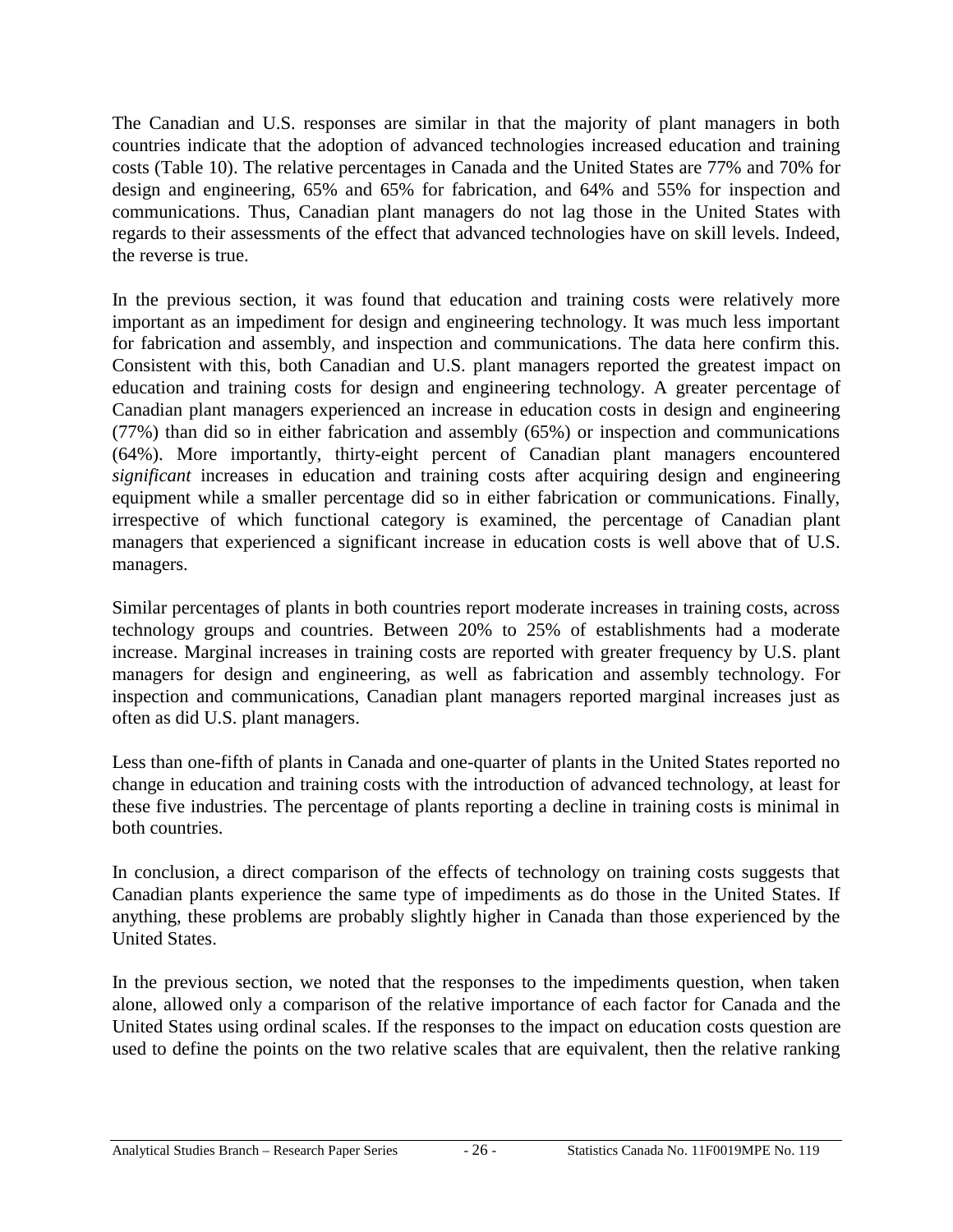The Canadian and U.S. responses are similar in that the majority of plant managers in both countries indicate that the adoption of advanced technologies increased education and training costs (Table 10). The relative percentages in Canada and the United States are 77% and 70% for design and engineering, 65% and 65% for fabrication, and 64% and 55% for inspection and communications. Thus, Canadian plant managers do not lag those in the United States with regards to their assessments of the effect that advanced technologies have on skill levels. Indeed, the reverse is true.

In the previous section, it was found that education and training costs were relatively more important as an impediment for design and engineering technology. It was much less important for fabrication and assembly, and inspection and communications. The data here confirm this. Consistent with this, both Canadian and U.S. plant managers reported the greatest impact on education and training costs for design and engineering technology. A greater percentage of Canadian plant managers experienced an increase in education costs in design and engineering (77%) than did so in either fabrication and assembly (65%) or inspection and communications (64%). More importantly, thirty-eight percent of Canadian plant managers encountered *significant* increases in education and training costs after acquiring design and engineering equipment while a smaller percentage did so in either fabrication or communications. Finally, irrespective of which functional category is examined, the percentage of Canadian plant managers that experienced a significant increase in education costs is well above that of U.S. managers.

Similar percentages of plants in both countries report moderate increases in training costs, across technology groups and countries. Between 20% to 25% of establishments had a moderate increase. Marginal increases in training costs are reported with greater frequency by U.S. plant managers for design and engineering, as well as fabrication and assembly technology. For inspection and communications, Canadian plant managers reported marginal increases just as often as did U.S. plant managers.

Less than one-fifth of plants in Canada and one-quarter of plants in the United States reported no change in education and training costs with the introduction of advanced technology, at least for these five industries. The percentage of plants reporting a decline in training costs is minimal in both countries.

In conclusion, a direct comparison of the effects of technology on training costs suggests that Canadian plants experience the same type of impediments as do those in the United States. If anything, these problems are probably slightly higher in Canada than those experienced by the United States.

In the previous section, we noted that the responses to the impediments question, when taken alone, allowed only a comparison of the relative importance of each factor for Canada and the United States using ordinal scales. If the responses to the impact on education costs question are used to define the points on the two relative scales that are equivalent, then the relative ranking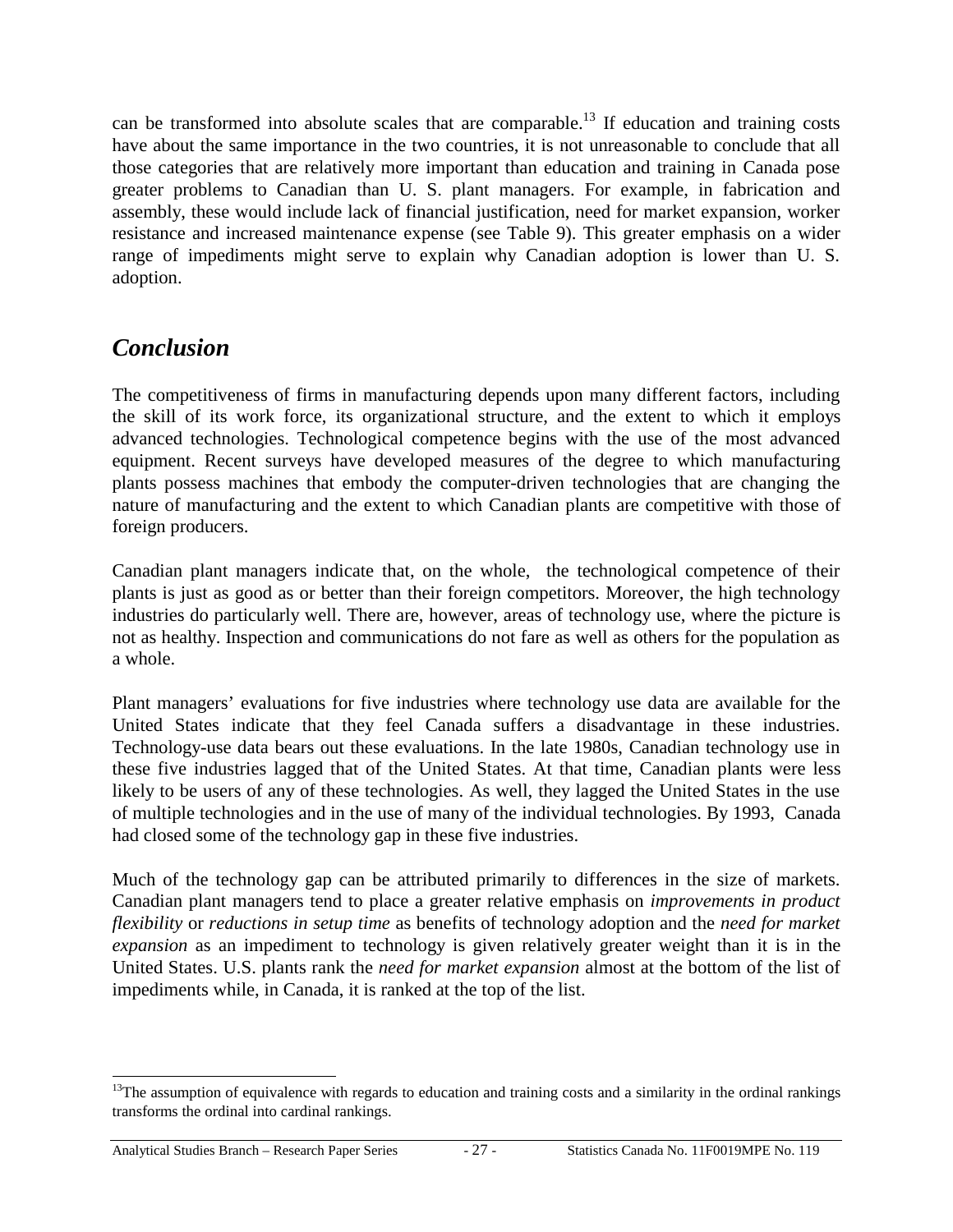can be transformed into absolute scales that are comparable.<sup>13</sup> If education and training costs have about the same importance in the two countries, it is not unreasonable to conclude that all those categories that are relatively more important than education and training in Canada pose greater problems to Canadian than U. S. plant managers. For example, in fabrication and assembly, these would include lack of financial justification, need for market expansion, worker resistance and increased maintenance expense (see Table 9). This greater emphasis on a wider range of impediments might serve to explain why Canadian adoption is lower than U. S. adoption.

## *Conclusion*

The competitiveness of firms in manufacturing depends upon many different factors, including the skill of its work force, its organizational structure, and the extent to which it employs advanced technologies. Technological competence begins with the use of the most advanced equipment. Recent surveys have developed measures of the degree to which manufacturing plants possess machines that embody the computer-driven technologies that are changing the nature of manufacturing and the extent to which Canadian plants are competitive with those of foreign producers.

Canadian plant managers indicate that, on the whole, the technological competence of their plants is just as good as or better than their foreign competitors. Moreover, the high technology industries do particularly well. There are, however, areas of technology use, where the picture is not as healthy. Inspection and communications do not fare as well as others for the population as a whole.

Plant managers' evaluations for five industries where technology use data are available for the United States indicate that they feel Canada suffers a disadvantage in these industries. Technology-use data bears out these evaluations. In the late 1980s, Canadian technology use in these five industries lagged that of the United States. At that time, Canadian plants were less likely to be users of any of these technologies. As well, they lagged the United States in the use of multiple technologies and in the use of many of the individual technologies. By 1993, Canada had closed some of the technology gap in these five industries.

Much of the technology gap can be attributed primarily to differences in the size of markets. Canadian plant managers tend to place a greater relative emphasis on *improvements in product flexibility* or *reductions in setup time* as benefits of technology adoption and the *need for market expansion* as an impediment to technology is given relatively greater weight than it is in the United States. U.S. plants rank the *need for market expansion* almost at the bottom of the list of impediments while, in Canada, it is ranked at the top of the list.

 $\overline{a}$  $13$ The assumption of equivalence with regards to education and training costs and a similarity in the ordinal rankings transforms the ordinal into cardinal rankings.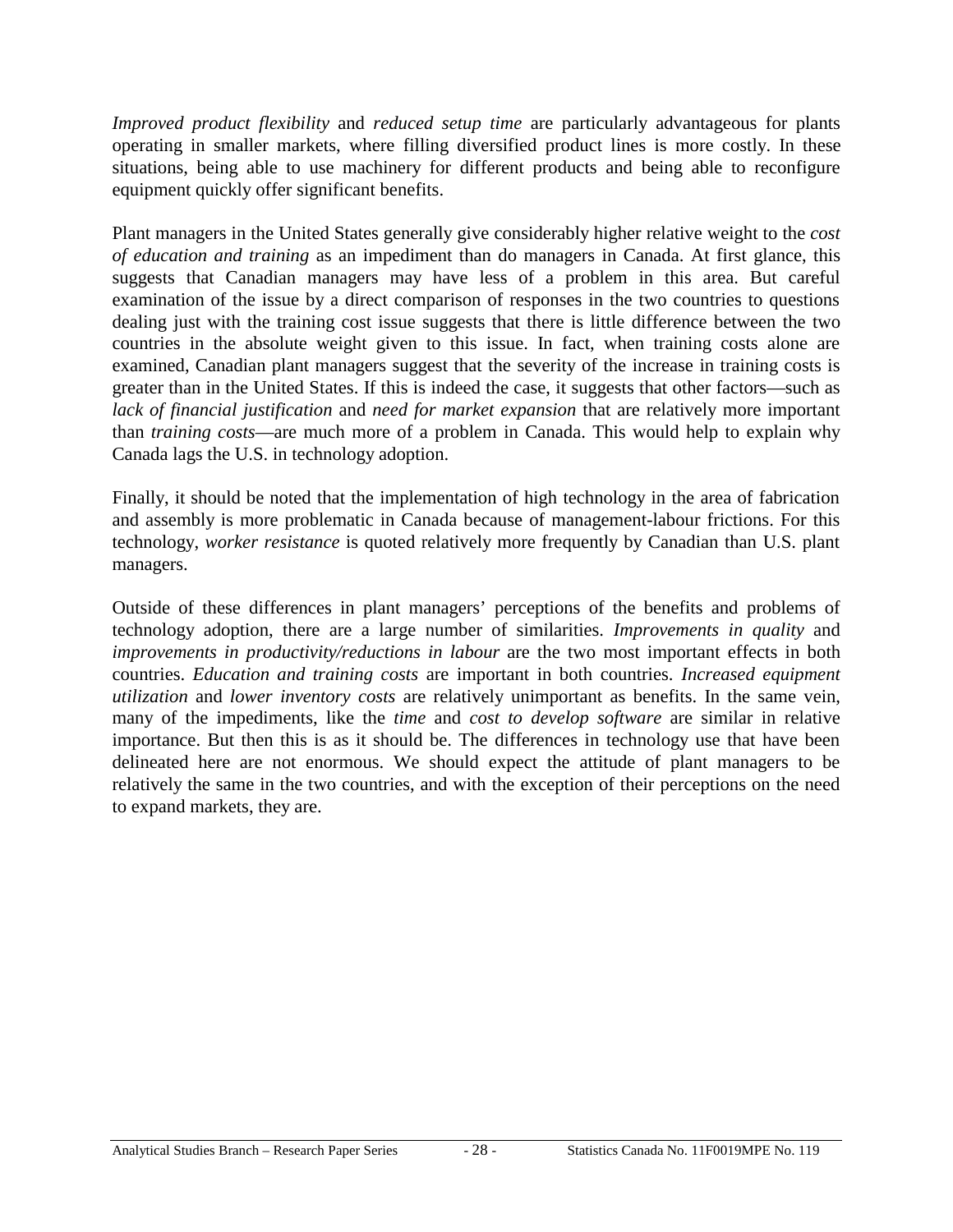*Improved product flexibility* and *reduced setup time* are particularly advantageous for plants operating in smaller markets, where filling diversified product lines is more costly. In these situations, being able to use machinery for different products and being able to reconfigure equipment quickly offer significant benefits.

Plant managers in the United States generally give considerably higher relative weight to the *cost of education and training* as an impediment than do managers in Canada. At first glance, this suggests that Canadian managers may have less of a problem in this area. But careful examination of the issue by a direct comparison of responses in the two countries to questions dealing just with the training cost issue suggests that there is little difference between the two countries in the absolute weight given to this issue. In fact, when training costs alone are examined, Canadian plant managers suggest that the severity of the increase in training costs is greater than in the United States. If this is indeed the case, it suggests that other factors—such as *lack of financial justification* and *need for market expansion* that are relatively more important than *training costs*—are much more of a problem in Canada. This would help to explain why Canada lags the U.S. in technology adoption.

Finally, it should be noted that the implementation of high technology in the area of fabrication and assembly is more problematic in Canada because of management-labour frictions. For this technology, *worker resistance* is quoted relatively more frequently by Canadian than U.S. plant managers.

Outside of these differences in plant managers' perceptions of the benefits and problems of technology adoption, there are a large number of similarities. *Improvements in quality* and *improvements in productivity/reductions in labour* are the two most important effects in both countries. *Education and training costs* are important in both countries. *Increased equipment utilization* and *lower inventory costs* are relatively unimportant as benefits. In the same vein, many of the impediments, like the *time* and *cost to develop software* are similar in relative importance. But then this is as it should be. The differences in technology use that have been delineated here are not enormous. We should expect the attitude of plant managers to be relatively the same in the two countries, and with the exception of their perceptions on the need to expand markets, they are.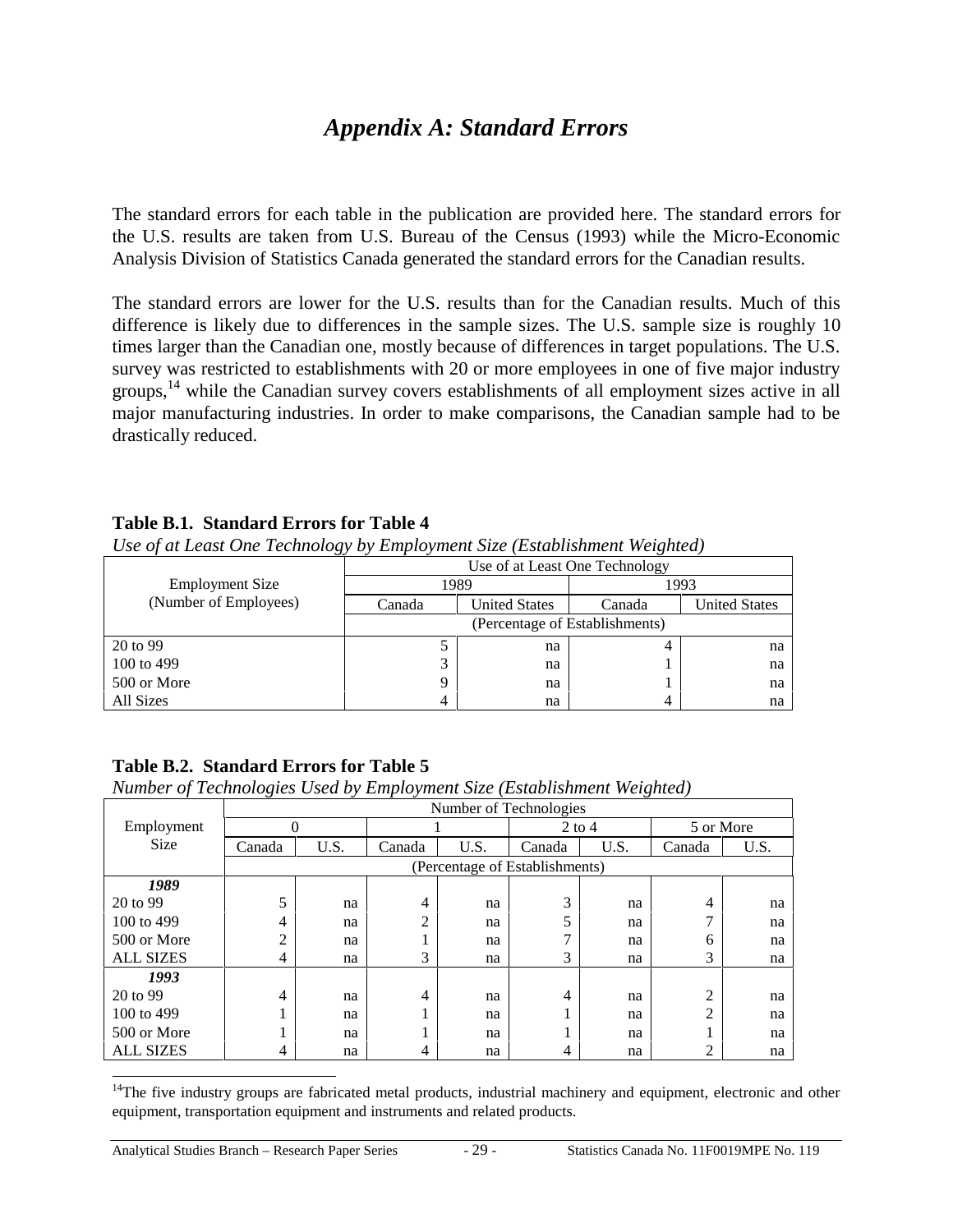# *Appendix A: Standard Errors*

The standard errors for each table in the publication are provided here. The standard errors for the U.S. results are taken from U.S. Bureau of the Census (1993) while the Micro-Economic Analysis Division of Statistics Canada generated the standard errors for the Canadian results.

The standard errors are lower for the U.S. results than for the Canadian results. Much of this difference is likely due to differences in the sample sizes. The U.S. sample size is roughly 10 times larger than the Canadian one, mostly because of differences in target populations. The U.S. survey was restricted to establishments with 20 or more employees in one of five major industry groups,14 while the Canadian survey covers establishments of all employment sizes active in all major manufacturing industries. In order to make comparisons, the Canadian sample had to be drastically reduced.

### **Table B.1. Standard Errors for Table 4**

| Ose of an Least One Technology by Linpio ment size (Lsubushment weighted) |                                |                      |        |                      |  |  |  |  |
|---------------------------------------------------------------------------|--------------------------------|----------------------|--------|----------------------|--|--|--|--|
|                                                                           | Use of at Least One Technology |                      |        |                      |  |  |  |  |
| <b>Employment Size</b>                                                    |                                | 1989                 | 1993   |                      |  |  |  |  |
| (Number of Employees)                                                     | Canada                         | <b>United States</b> | Canada | <b>United States</b> |  |  |  |  |
|                                                                           | (Percentage of Establishments) |                      |        |                      |  |  |  |  |
| 20 to 99                                                                  |                                | na                   | 4      | na                   |  |  |  |  |
| 100 to 499                                                                |                                | na                   |        | na                   |  |  |  |  |
| 500 or More                                                               |                                | na                   |        | na                   |  |  |  |  |
| All Sizes                                                                 |                                | na                   | 4      | na                   |  |  |  |  |

*Use of at Least One Technology by Employment Size (Establishment Weighted)*

### **Table B.2. Standard Errors for Table 5**

*Number of Technologies Used by Employment Size (Establishment Weighted)*

|                  | Number of Technologies         |      |                |      |          |      |           |      |
|------------------|--------------------------------|------|----------------|------|----------|------|-----------|------|
| Employment       |                                |      |                |      | $2$ to 4 |      | 5 or More |      |
| <b>Size</b>      | Canada                         | U.S. | Canada         | U.S. | Canada   | U.S. | Canada    | U.S. |
|                  | (Percentage of Establishments) |      |                |      |          |      |           |      |
| 1989             |                                |      |                |      |          |      |           |      |
| 20 to 99         |                                | na   | 4              | na   | 3        | na   | 4         | na   |
| 100 to 499       | 4                              | na   | $\overline{2}$ | na   | 5        | na   | 7         | na   |
| 500 or More      | ◠                              | na   |                | na   | ⇁        | na   | 6         | na   |
| <b>ALL SIZES</b> | 4                              | na   | 3              | na   | 3        | na   | 3         | na   |
| 1993             |                                |      |                |      |          |      |           |      |
| 20 to 99         | 4                              | na   | 4              | na   | 4        | na   | 2         | na   |
| 100 to 499       |                                | na   |                | na   | ı.       | na   | C<br>∠    | na   |
| 500 or More      |                                | na   |                | na   |          | na   |           | na   |
| <b>ALL SIZES</b> | 4                              | na   | 4              | na   | 4        | na   | 2         | na   |

<sup>14</sup>The five industry groups are fabricated metal products, industrial machinery and equipment, electronic and other equipment, transportation equipment and instruments and related products.

 $\overline{a}$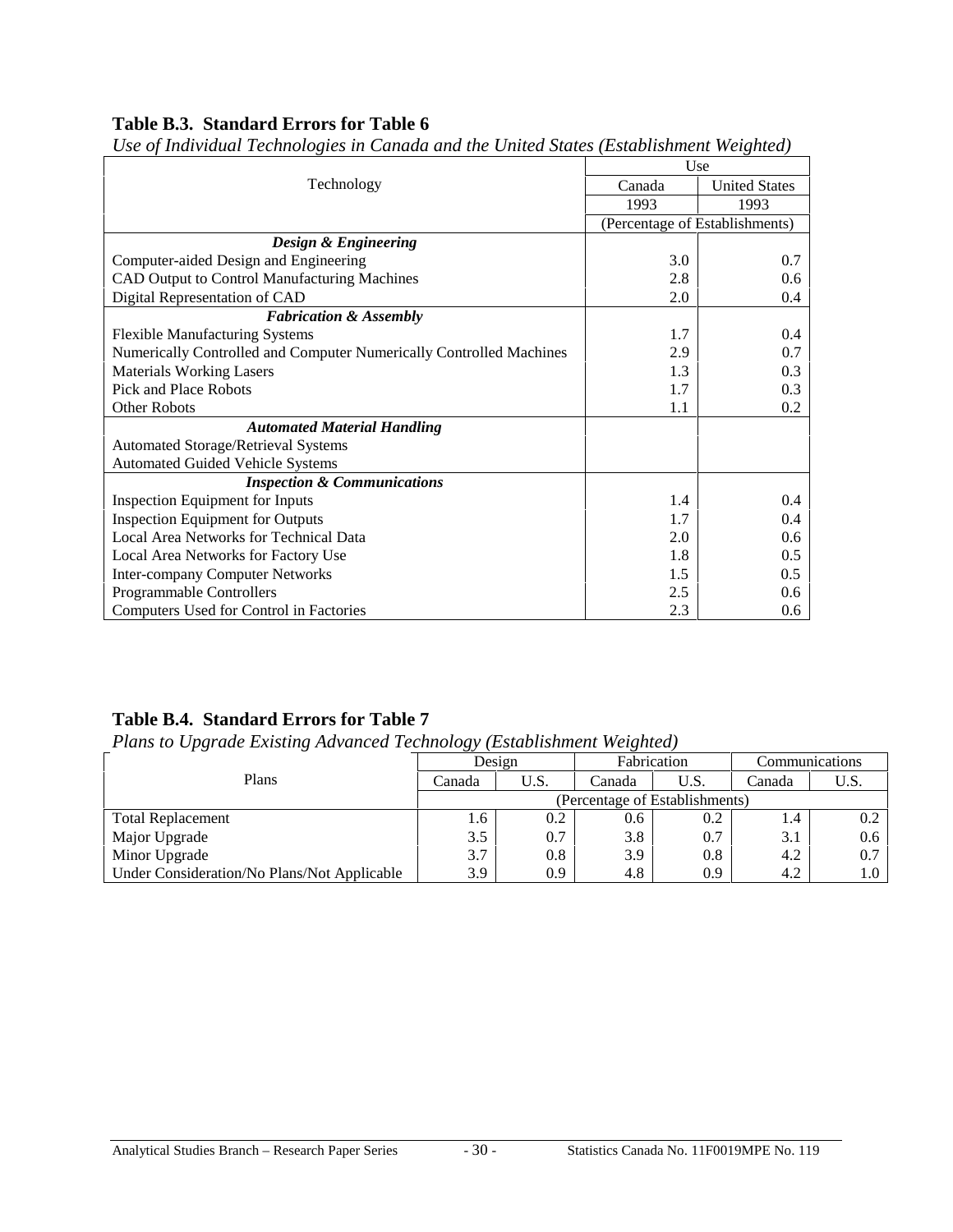### **Table B.3. Standard Errors for Table 6**

|                                                                     | Use    |                                |  |  |
|---------------------------------------------------------------------|--------|--------------------------------|--|--|
| Technology                                                          | Canada | <b>United States</b>           |  |  |
|                                                                     | 1993   | 1993                           |  |  |
|                                                                     |        | (Percentage of Establishments) |  |  |
| Design & Engineering                                                |        |                                |  |  |
| Computer-aided Design and Engineering                               | 3.0    | 0.7                            |  |  |
| CAD Output to Control Manufacturing Machines                        | 2.8    | 0.6                            |  |  |
| Digital Representation of CAD                                       | 2.0    | 0.4                            |  |  |
| <b>Fabrication &amp; Assembly</b>                                   |        |                                |  |  |
| <b>Flexible Manufacturing Systems</b>                               | 1.7    | 0.4                            |  |  |
| Numerically Controlled and Computer Numerically Controlled Machines | 2.9    | 0.7                            |  |  |
| <b>Materials Working Lasers</b>                                     | 1.3    | 0.3                            |  |  |
| <b>Pick and Place Robots</b>                                        | 1.7    | 0.3                            |  |  |
| <b>Other Robots</b>                                                 | 1.1    | 0.2                            |  |  |
| <b>Automated Material Handling</b>                                  |        |                                |  |  |
| <b>Automated Storage/Retrieval Systems</b>                          |        |                                |  |  |
| <b>Automated Guided Vehicle Systems</b>                             |        |                                |  |  |
| <b>Inspection &amp; Communications</b>                              |        |                                |  |  |
| Inspection Equipment for Inputs                                     | 1.4    | 0.4                            |  |  |
| <b>Inspection Equipment for Outputs</b>                             | 1.7    | 0.4                            |  |  |
| Local Area Networks for Technical Data                              | 2.0    | 0.6                            |  |  |
| Local Area Networks for Factory Use                                 | 1.8    | 0.5                            |  |  |
| <b>Inter-company Computer Networks</b>                              | 1.5    | 0.5                            |  |  |
| Programmable Controllers                                            | 2.5    | 0.6                            |  |  |
| Computers Used for Control in Factories                             | 2.3    | 0.6                            |  |  |

*Use of Individual Technologies in Canada and the United States (Establishment Weighted)*

### **Table B.4. Standard Errors for Table 7**

*Plans to Upgrade Existing Advanced Technology (Establishment Weighted)*

|                                             | Design                         |         | Fabrication |      | Communications |                  |
|---------------------------------------------|--------------------------------|---------|-------------|------|----------------|------------------|
| Plans                                       | .<br>Canada                    | U.S.    | Canada      | U.S. | Canada         | U.S.             |
|                                             | (Percentage of Establishments) |         |             |      |                |                  |
| <b>Total Replacement</b>                    | 1.6                            | 0.2     | 0.6         | 0.2  | 1.4            |                  |
| Major Upgrade                               | 3.5                            | 0.7     | 3.8         | 0.7  | 3.1            | 0.6              |
| Minor Upgrade                               | 3.7                            | $0.8\,$ | 3.9         | 0.8  | 4.2            |                  |
| Under Consideration/No Plans/Not Applicable | 3.9                            | 0.9     | 4.8         | 0.9  | 4.2            | 1.0 <sub>1</sub> |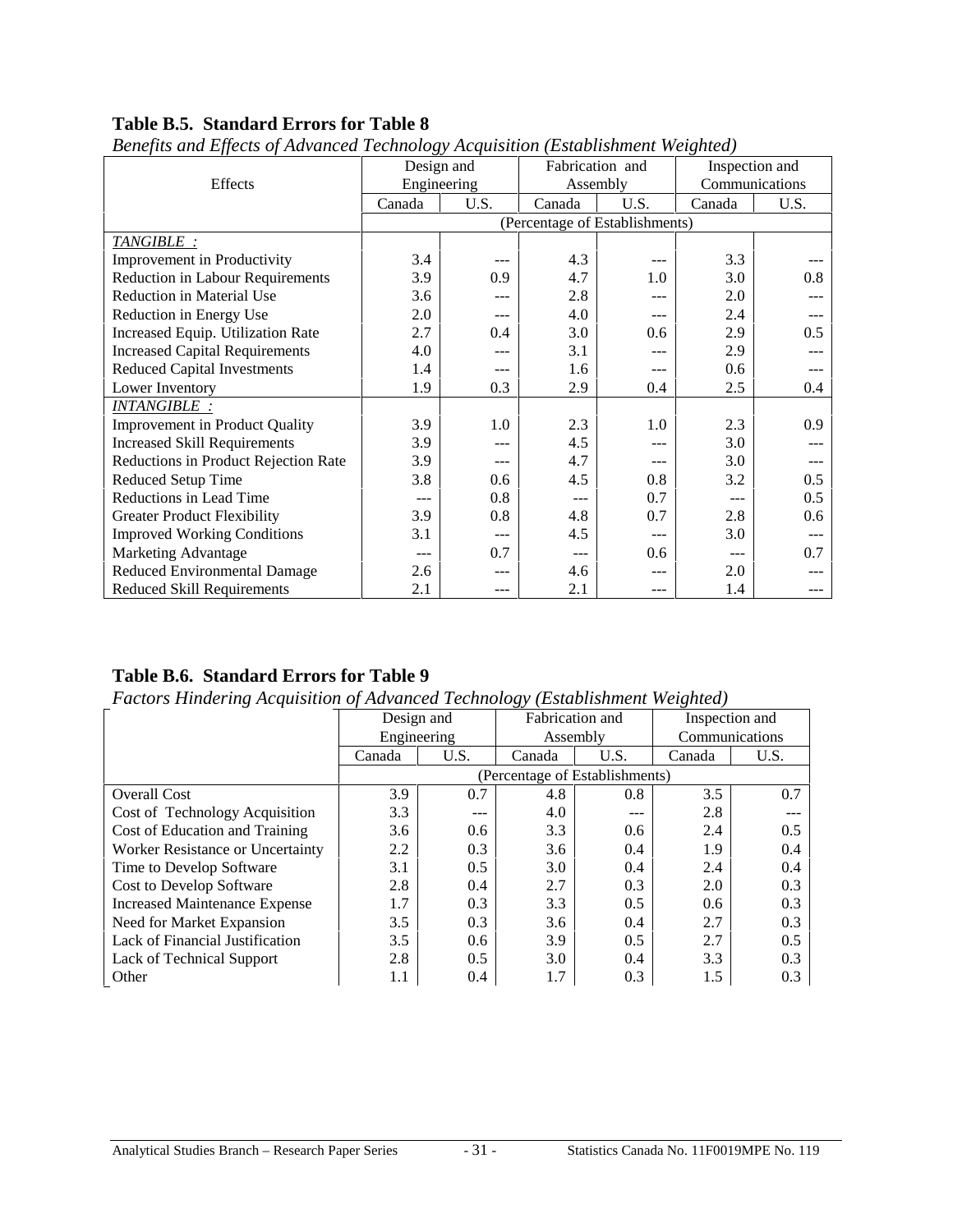### **Table B.5. Standard Errors for Table 8**

*Benefits and Effects of Advanced Technology Acquisition (Establishment Weighted)*

| $D$ chefus ana $D$ flexibility of the control $\zeta$ , the full international intergraphy | Design and  |       |          | Fabrication and                | Inspection and |      |  |
|--------------------------------------------------------------------------------------------|-------------|-------|----------|--------------------------------|----------------|------|--|
| Effects                                                                                    | Engineering |       | Assembly |                                | Communications |      |  |
|                                                                                            | Canada      | U.S.  | Canada   | U.S.                           | Canada         | U.S. |  |
|                                                                                            |             |       |          | (Percentage of Establishments) |                |      |  |
| TANGIBLE :                                                                                 |             |       |          |                                |                |      |  |
| Improvement in Productivity                                                                | 3.4         |       | 4.3      | ---                            | 3.3            |      |  |
| Reduction in Labour Requirements                                                           | 3.9         | 0.9   | 4.7      | 1.0                            | 3.0            | 0.8  |  |
| Reduction in Material Use                                                                  | 3.6         |       | 2.8      | ---                            | 2.0            |      |  |
| Reduction in Energy Use                                                                    | 2.0         | $---$ | 4.0      | $---$                          | 2.4            |      |  |
| Increased Equip. Utilization Rate                                                          | 2.7         | 0.4   | 3.0      | 0.6                            | 2.9            | 0.5  |  |
| <b>Increased Capital Requirements</b>                                                      | 4.0         |       | 3.1      |                                | 2.9            |      |  |
| <b>Reduced Capital Investments</b>                                                         | 1.4         | ---   | 1.6      | $---$                          | 0.6            |      |  |
| Lower Inventory                                                                            | 1.9         | 0.3   | 2.9      | 0.4                            | 2.5            | 0.4  |  |
| <b>INTANGIBLE :</b>                                                                        |             |       |          |                                |                |      |  |
| <b>Improvement in Product Quality</b>                                                      | 3.9         | 1.0   | 2.3      | 1.0                            | 2.3            | 0.9  |  |
| <b>Increased Skill Requirements</b>                                                        | 3.9         |       | 4.5      | ---                            | 3.0            |      |  |
| Reductions in Product Rejection Rate                                                       | 3.9         | ---   | 4.7      | $- - -$                        | 3.0            |      |  |
| Reduced Setup Time                                                                         | 3.8         | 0.6   | 4.5      | 0.8                            | 3.2            | 0.5  |  |
| Reductions in Lead Time                                                                    | $---$       | 0.8   | $---$    | 0.7                            | $---$          | 0.5  |  |
| <b>Greater Product Flexibility</b>                                                         | 3.9         | 0.8   | 4.8      | 0.7                            | 2.8            | 0.6  |  |
| <b>Improved Working Conditions</b>                                                         | 3.1         | ---   | 4.5      | $---$                          | 3.0            |      |  |
| Marketing Advantage                                                                        | ---         | 0.7   | ---      | 0.6                            | $---$          | 0.7  |  |
| Reduced Environmental Damage                                                               | 2.6         |       | 4.6      |                                | 2.0            |      |  |
| <b>Reduced Skill Requirements</b>                                                          | 2.1         |       | 2.1      |                                | 1.4            |      |  |

### **Table B.6. Standard Errors for Table 9**

*Factors Hindering Acquisition of Advanced Technology (Establishment Weighted)*

|                                  | Design and  |         | Fabrication and                |      | Inspection and |      |
|----------------------------------|-------------|---------|--------------------------------|------|----------------|------|
|                                  | Engineering |         | Assembly                       |      | Communications |      |
|                                  | Canada      | U.S.    | Canada                         | U.S. | Canada         | U.S. |
|                                  |             |         | (Percentage of Establishments) |      |                |      |
| <b>Overall Cost</b>              | 3.9         | 0.7     | 4.8                            | 0.8  | 3.5            | 0.7  |
| Cost of Technology Acquisition   | 3.3         | $- - -$ | 4.0                            | ---  | 2.8            |      |
| Cost of Education and Training   | 3.6         | 0.6     | 3.3                            | 0.6  | 2.4            | 0.5  |
| Worker Resistance or Uncertainty | 2.2         | 0.3     | 3.6                            | 0.4  | 1.9            | 0.4  |
| Time to Develop Software         | 3.1         | 0.5     | 3.0                            | 0.4  | 2.4            | 0.4  |
| <b>Cost to Develop Software</b>  | 2.8         | 0.4     | 2.7                            | 0.3  | 2.0            | 0.3  |
| Increased Maintenance Expense    | 1.7         | 0.3     | 3.3                            | 0.5  | $0.6^{\circ}$  | 0.3  |
| Need for Market Expansion        | 3.5         | 0.3     | 3.6                            | 0.4  | 2.7            | 0.3  |
| Lack of Financial Justification  | 3.5         | 0.6     | 3.9                            | 0.5  | 2.7            | 0.5  |
| Lack of Technical Support        | 2.8         | 0.5     | 3.0                            | 0.4  | 3.3            | 0.3  |
| Other                            | 1.1         | 0.4     | 1.7                            | 0.3  | 1.5            | 0.3  |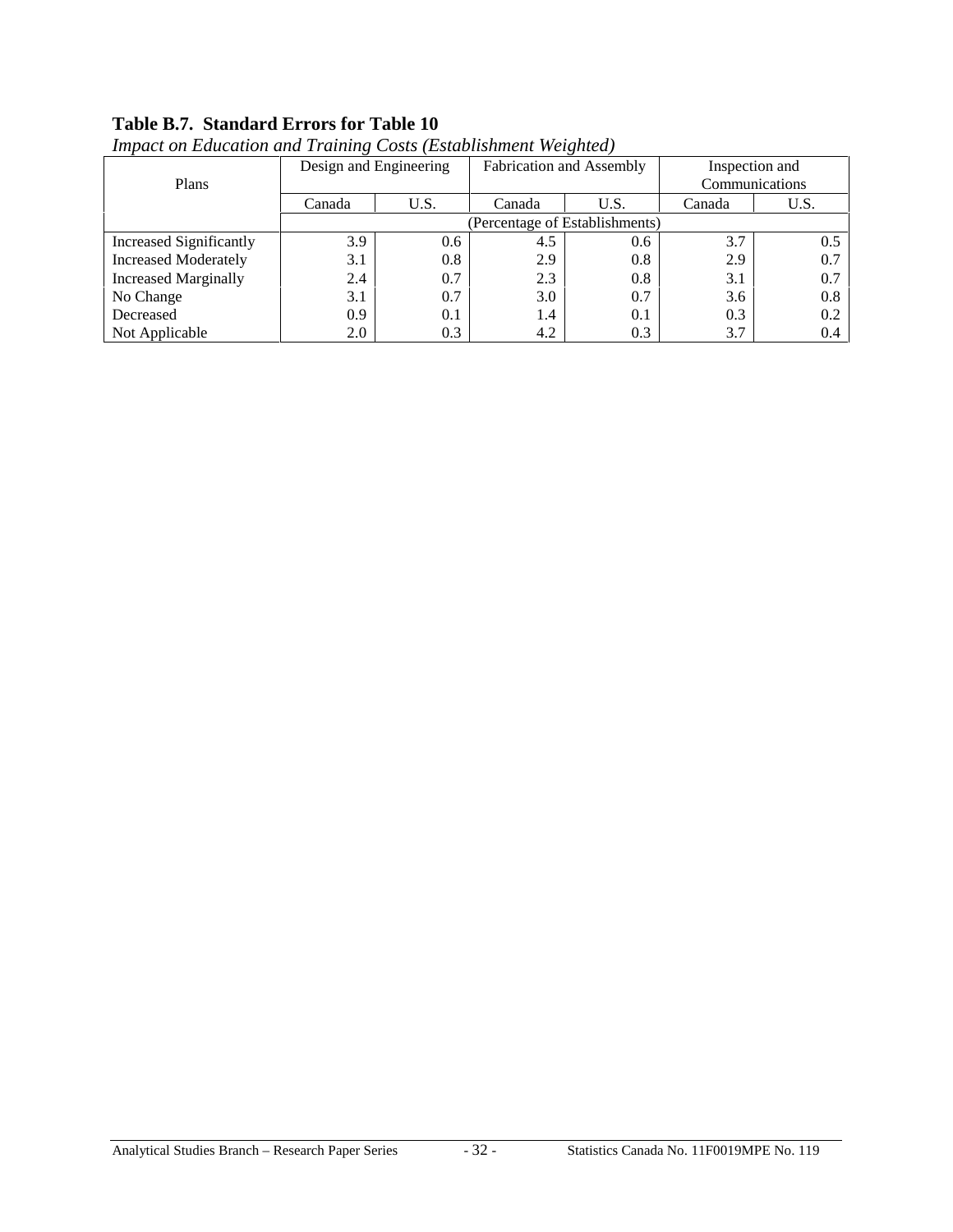### **Table B.7. Standard Errors for Table 10**

|                                | Design and Engineering |                                | Fabrication and Assembly |      | Inspection and |      |  |  |
|--------------------------------|------------------------|--------------------------------|--------------------------|------|----------------|------|--|--|
| Plans                          |                        |                                |                          |      | Communications |      |  |  |
|                                | Canada                 | U.S.                           | Canada                   | U.S. | Canada         | U.S. |  |  |
|                                |                        | (Percentage of Establishments) |                          |      |                |      |  |  |
| <b>Increased Significantly</b> | 3.9                    | 0.6                            | 4.5                      | 0.6  | 3.7            | 0.5  |  |  |
| <b>Increased Moderately</b>    | 3.1                    | 0.8                            | 2.9                      | 0.8  | 2.9            | 0.7  |  |  |
| <b>Increased Marginally</b>    | 2.4                    | 0.7                            | 2.3                      | 0.8  | 3.1            | 0.7  |  |  |
| No Change                      | 3.1                    | 0.7                            | 3.0                      | 0.7  | 3.6            | 0.8  |  |  |
| Decreased                      | 0.9                    | 0.1                            | 1.4                      | 0.1  | 0.3            | 0.2  |  |  |
| Not Applicable                 | 2.0                    | 0.3                            | 4.2                      | 0.3  | 3.7            | 0.4  |  |  |

*Impact on Education and Training Costs (Establishment Weighted)*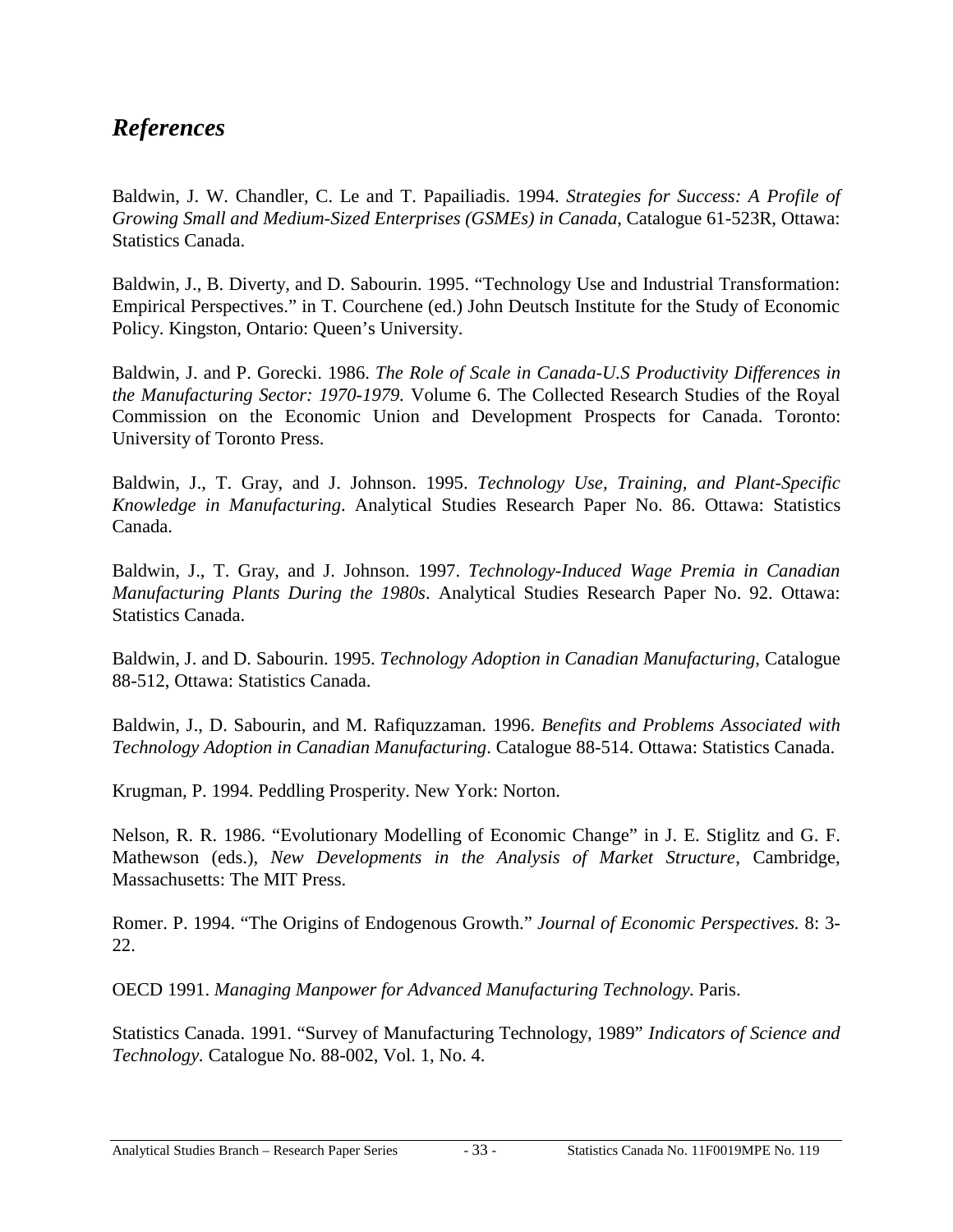## *References*

Baldwin, J. W. Chandler, C. Le and T. Papailiadis. 1994. *Strategies for Success: A Profile of Growing Small and Medium-Sized Enterprises (GSMEs) in Canada*, Catalogue 61-523R, Ottawa: Statistics Canada.

Baldwin, J., B. Diverty, and D. Sabourin. 1995. "Technology Use and Industrial Transformation: Empirical Perspectives." in T. Courchene (ed.) John Deutsch Institute for the Study of Economic Policy. Kingston, Ontario: Queen's University.

Baldwin, J. and P. Gorecki. 1986. *The Role of Scale in Canada-U.S Productivity Differences in the Manufacturing Sector: 1970-1979.* Volume 6. The Collected Research Studies of the Royal Commission on the Economic Union and Development Prospects for Canada. Toronto: University of Toronto Press.

Baldwin, J., T. Gray, and J. Johnson. 1995. *Technology Use, Training, and Plant-Specific Knowledge in Manufacturing*. Analytical Studies Research Paper No. 86. Ottawa: Statistics Canada.

Baldwin, J., T. Gray, and J. Johnson. 1997. *Technology-Induced Wage Premia in Canadian Manufacturing Plants During the 1980s*. Analytical Studies Research Paper No. 92. Ottawa: Statistics Canada.

Baldwin, J. and D. Sabourin. 1995. *Technology Adoption in Canadian Manufacturing*, Catalogue 88-512, Ottawa: Statistics Canada.

Baldwin, J., D. Sabourin, and M. Rafiquzzaman. 1996. *Benefits and Problems Associated with Technology Adoption in Canadian Manufacturing*. Catalogue 88-514. Ottawa: Statistics Canada.

Krugman, P. 1994. Peddling Prosperity. New York: Norton.

Nelson, R. R. 1986. "Evolutionary Modelling of Economic Change" in J. E. Stiglitz and G. F. Mathewson (eds.), *New Developments in the Analysis of Market Structure*, Cambridge, Massachusetts: The MIT Press.

Romer. P. 1994. "The Origins of Endogenous Growth." *Journal of Economic Perspectives.* 8: 3- 22.

OECD 1991. *Managing Manpower for Advanced Manufacturing Technology.* Paris.

Statistics Canada. 1991. "Survey of Manufacturing Technology, 1989" *Indicators of Science and Technology.* Catalogue No. 88-002, Vol. 1, No. 4.